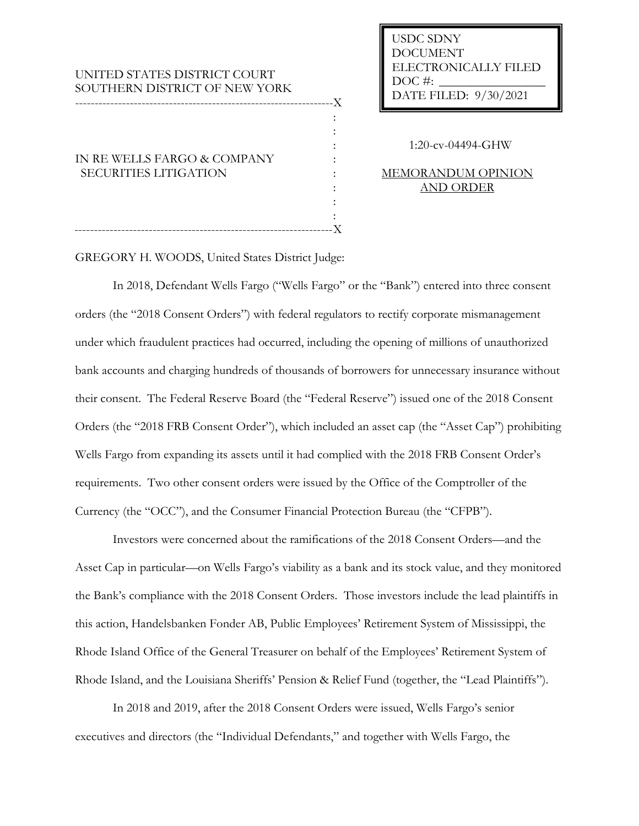# UNITED STATES DISTRICT COURT SOUTHERN DISTRICT OF NEW YORK

------------------------------------------------------------------

IN RE WELLS FARGO & COMPANY SECURITIES LITIGATION

USDC SDNY DOCUMENT ELECTRONICALLY FILED DOC #: DATE FILED: 9/30/2021

1:20-cv-04494-GHW

MEMORANDUM OPINION AND ORDER

GREGORY H. WOODS, United States District Judge:

------------------------------------------------------------------

In 2018, Defendant Wells Fargo ("Wells Fargo" or the "Bank") entered into three consent orders (the "2018 Consent Orders") with federal regulators to rectify corporate mismanagement under which fraudulent practices had occurred, including the opening of millions of unauthorized bank accounts and charging hundreds of thousands of borrowers for unnecessary insurance without their consent. The Federal Reserve Board (the "Federal Reserve") issued one of the 2018 Consent Orders (the "2018 FRB Consent Order"), which included an asset cap (the "Asset Cap") prohibiting Wells Fargo from expanding its assets until it had complied with the 2018 FRB Consent Order's requirements. Two other consent orders were issued by the Office of the Comptroller of the Currency (the "OCC"), and the Consumer Financial Protection Bureau (the "CFPB").

X : : : : : : : : X

Investors were concerned about the ramifications of the 2018 Consent Orders—and the Asset Cap in particular—on Wells Fargo's viability as a bank and its stock value, and they monitored the Bank's compliance with the 2018 Consent Orders. Those investors include the lead plaintiffs in this action, Handelsbanken Fonder AB, Public Employees' Retirement System of Mississippi, the Rhode Island Office of the General Treasurer on behalf of the Employees' Retirement System of Rhode Island, and the Louisiana Sheriffs' Pension & Relief Fund (together, the "Lead Plaintiffs").

In 2018 and 2019, after the 2018 Consent Orders were issued, Wells Fargo's senior executives and directors (the "Individual Defendants," and together with Wells Fargo, the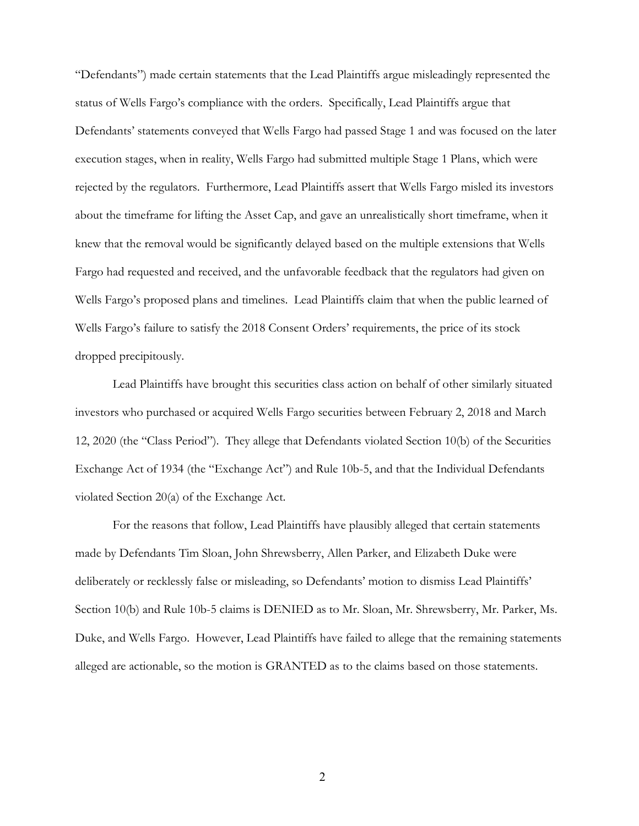"Defendants") made certain statements that the Lead Plaintiffs argue misleadingly represented the status of Wells Fargo's compliance with the orders. Specifically, Lead Plaintiffs argue that Defendants' statements conveyed that Wells Fargo had passed Stage 1 and was focused on the later execution stages, when in reality, Wells Fargo had submitted multiple Stage 1 Plans, which were rejected by the regulators. Furthermore, Lead Plaintiffs assert that Wells Fargo misled its investors about the timeframe for lifting the Asset Cap, and gave an unrealistically short timeframe, when it knew that the removal would be significantly delayed based on the multiple extensions that Wells Fargo had requested and received, and the unfavorable feedback that the regulators had given on Wells Fargo's proposed plans and timelines. Lead Plaintiffs claim that when the public learned of Wells Fargo's failure to satisfy the 2018 Consent Orders' requirements, the price of its stock dropped precipitously.

Lead Plaintiffs have brought this securities class action on behalf of other similarly situated investors who purchased or acquired Wells Fargo securities between February 2, 2018 and March 12, 2020 (the "Class Period"). They allege that Defendants violated Section 10(b) of the Securities Exchange Act of 1934 (the "Exchange Act") and Rule 10b-5, and that the Individual Defendants violated Section 20(a) of the Exchange Act.

For the reasons that follow, Lead Plaintiffs have plausibly alleged that certain statements made by Defendants Tim Sloan, John Shrewsberry, Allen Parker, and Elizabeth Duke were deliberately or recklessly false or misleading, so Defendants' motion to dismiss Lead Plaintiffs' Section 10(b) and Rule 10b-5 claims is DENIED as to Mr. Sloan, Mr. Shrewsberry, Mr. Parker, Ms. Duke, and Wells Fargo. However, Lead Plaintiffs have failed to allege that the remaining statements alleged are actionable, so the motion is GRANTED as to the claims based on those statements.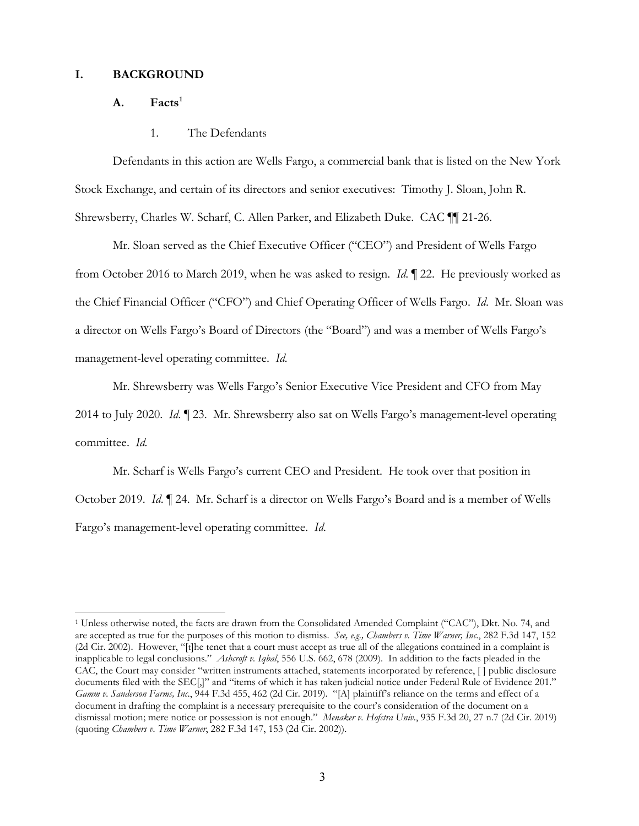### **I. BACKGROUND**

## **A. Facts1**

1. The Defendants

Defendants in this action are Wells Fargo, a commercial bank that is listed on the New York Stock Exchange, and certain of its directors and senior executives: Timothy J. Sloan, John R. Shrewsberry, Charles W. Scharf, C. Allen Parker, and Elizabeth Duke. CAC ¶¶ 21-26.

Mr. Sloan served as the Chief Executive Officer ("CEO") and President of Wells Fargo from October 2016 to March 2019, when he was asked to resign. *Id*. ¶ 22. He previously worked as the Chief Financial Officer ("CFO") and Chief Operating Officer of Wells Fargo. *Id*. Mr. Sloan was a director on Wells Fargo's Board of Directors (the "Board") and was a member of Wells Fargo's management-level operating committee. *Id.* 

Mr. Shrewsberry was Wells Fargo's Senior Executive Vice President and CFO from May 2014 to July 2020. *Id*. ¶ 23. Mr. Shrewsberry also sat on Wells Fargo's management-level operating committee. *Id.* 

Mr. Scharf is Wells Fargo's current CEO and President. He took over that position in October 2019. *Id*. ¶ 24. Mr. Scharf is a director on Wells Fargo's Board and is a member of Wells Fargo's management-level operating committee. *Id.* 

<sup>1</sup> Unless otherwise noted, the facts are drawn from the Consolidated Amended Complaint ("CAC"), Dkt. No. 74, and are accepted as true for the purposes of this motion to dismiss. *See, e.g., Chambers v. Time Warner, Inc.*, 282 F.3d 147, 152 (2d Cir. 2002). However, "[t]he tenet that a court must accept as true all of the allegations contained in a complaint is inapplicable to legal conclusions." *Ashcroft v. Iqbal*, 556 U.S. 662, 678 (2009). In addition to the facts pleaded in the CAC, the Court may consider "written instruments attached, statements incorporated by reference, [ ] public disclosure documents filed with the SEC[,]" and "items of which it has taken judicial notice under Federal Rule of Evidence 201." *Gamm v. Sanderson Farms, Inc.*, 944 F.3d 455, 462 (2d Cir. 2019). "[A] plaintiff's reliance on the terms and effect of a document in drafting the complaint is a necessary prerequisite to the court's consideration of the document on a dismissal motion; mere notice or possession is not enough." *Menaker v. Hofstra Univ*., 935 F.3d 20, 27 n.7 (2d Cir. 2019) (quoting *Chambers v. Time Warner*, 282 F.3d 147, 153 (2d Cir. 2002)).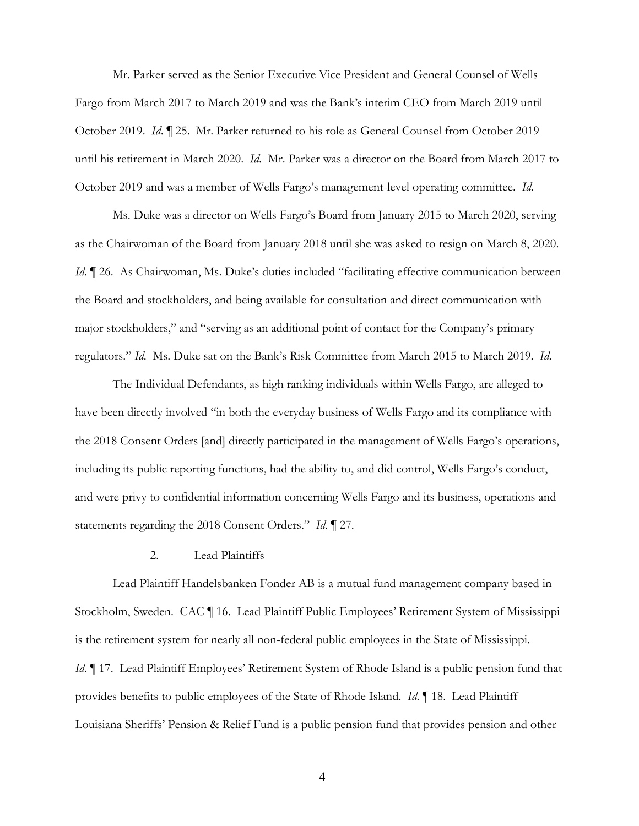Mr. Parker served as the Senior Executive Vice President and General Counsel of Wells Fargo from March 2017 to March 2019 and was the Bank's interim CEO from March 2019 until October 2019. *Id*. ¶ 25. Mr. Parker returned to his role as General Counsel from October 2019 until his retirement in March 2020. *Id*. Mr. Parker was a director on the Board from March 2017 to October 2019 and was a member of Wells Fargo's management-level operating committee. *Id.* 

Ms. Duke was a director on Wells Fargo's Board from January 2015 to March 2020, serving as the Chairwoman of the Board from January 2018 until she was asked to resign on March 8, 2020. *Id.* 126. As Chairwoman, Ms. Duke's duties included "facilitating effective communication between the Board and stockholders, and being available for consultation and direct communication with major stockholders," and "serving as an additional point of contact for the Company's primary regulators." *Id*. Ms. Duke sat on the Bank's Risk Committee from March 2015 to March 2019. *Id*.

The Individual Defendants, as high ranking individuals within Wells Fargo, are alleged to have been directly involved "in both the everyday business of Wells Fargo and its compliance with the 2018 Consent Orders [and] directly participated in the management of Wells Fargo's operations, including its public reporting functions, had the ability to, and did control, Wells Fargo's conduct, and were privy to confidential information concerning Wells Fargo and its business, operations and statements regarding the 2018 Consent Orders." *Id*. ¶ 27.

#### 2. Lead Plaintiffs

Lead Plaintiff Handelsbanken Fonder AB is a mutual fund management company based in Stockholm, Sweden. CAC ¶ 16. Lead Plaintiff Public Employees' Retirement System of Mississippi is the retirement system for nearly all non-federal public employees in the State of Mississippi. *Id*. If 17. Lead Plaintiff Employees' Retirement System of Rhode Island is a public pension fund that provides benefits to public employees of the State of Rhode Island. *Id*. ¶ 18. Lead Plaintiff Louisiana Sheriffs' Pension & Relief Fund is a public pension fund that provides pension and other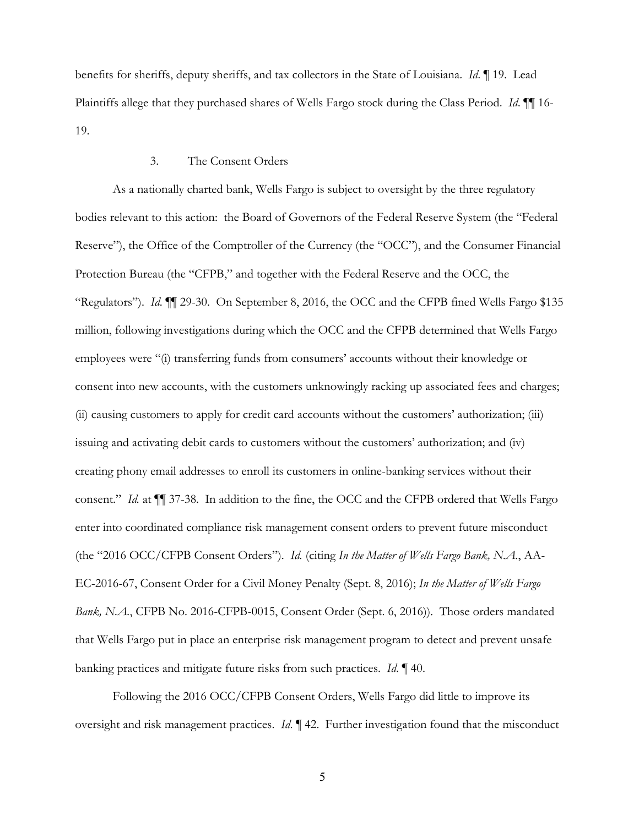benefits for sheriffs, deputy sheriffs, and tax collectors in the State of Louisiana. *Id*. ¶ 19. Lead Plaintiffs allege that they purchased shares of Wells Fargo stock during the Class Period. *Id*. ¶¶ 16- 19.

# 3. The Consent Orders

As a nationally charted bank, Wells Fargo is subject to oversight by the three regulatory bodies relevant to this action: the Board of Governors of the Federal Reserve System (the "Federal Reserve"), the Office of the Comptroller of the Currency (the "OCC"), and the Consumer Financial Protection Bureau (the "CFPB," and together with the Federal Reserve and the OCC, the "Regulators"). *Id*. ¶¶ 29-30. On September 8, 2016, the OCC and the CFPB fined Wells Fargo \$135 million, following investigations during which the OCC and the CFPB determined that Wells Fargo employees were "(i) transferring funds from consumers' accounts without their knowledge or consent into new accounts, with the customers unknowingly racking up associated fees and charges; (ii) causing customers to apply for credit card accounts without the customers' authorization; (iii) issuing and activating debit cards to customers without the customers' authorization; and (iv) creating phony email addresses to enroll its customers in online-banking services without their consent." *Id.* at ¶¶ 37-38.In addition to the fine, the OCC and the CFPB ordered that Wells Fargo enter into coordinated compliance risk management consent orders to prevent future misconduct (the "2016 OCC/CFPB Consent Orders"). *Id.* (citing *In the Matter of Wells Fargo Bank, N.A.*, AA-EC-2016-67, Consent Order for a Civil Money Penalty (Sept. 8, 2016); *In the Matter of Wells Fargo Bank, N.A.*, CFPB No. 2016-CFPB-0015, Consent Order (Sept. 6, 2016))*.* Those orders mandated that Wells Fargo put in place an enterprise risk management program to detect and prevent unsafe banking practices and mitigate future risks from such practices. *Id*. ¶ 40.

Following the 2016 OCC/CFPB Consent Orders, Wells Fargo did little to improve its oversight and risk management practices. *Id*. ¶ 42. Further investigation found that the misconduct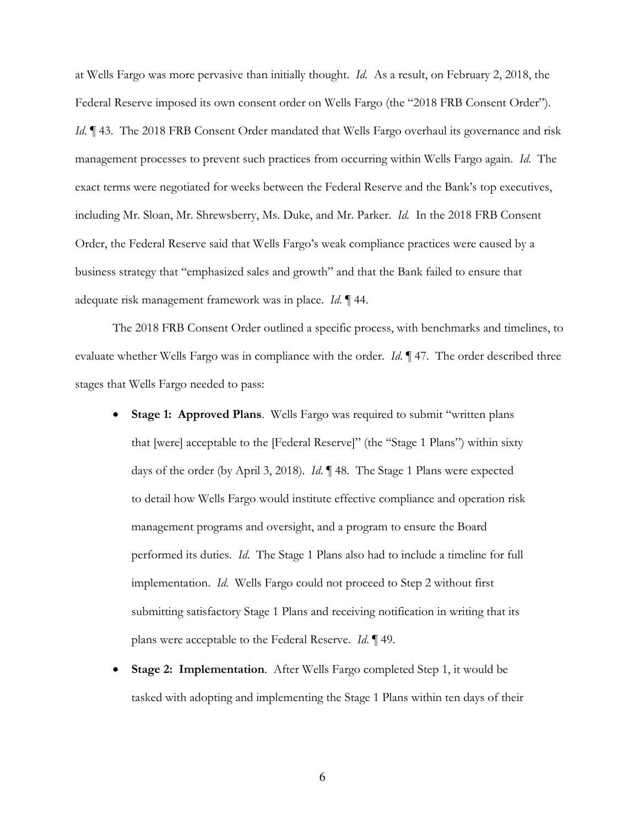at Wells Fargo was more pervasive than initially thought. *Id.* As a result, on February 2, 2018, the Federal Reserve imposed its own consent order on Wells Fargo (the "2018 FRB Consent Order"). *Id*. **[43.** The 2018 FRB Consent Order mandated that Wells Fargo overhaul its governance and risk management processes to prevent such practices from occurring within Wells Fargo again. *Id.* The exact terms were negotiated for weeks between the Federal Reserve and the Bank's top executives, including Mr. Sloan, Mr. Shrewsberry, Ms. Duke, and Mr. Parker. *Id.* In the 2018 FRB Consent Order, the Federal Reserve said that Wells Fargo's weak compliance practices were caused by a business strategy that "emphasized sales and growth" and that the Bank failed to ensure that adequate risk management framework was in place. *Id*. ¶ 44.

The 2018 FRB Consent Order outlined a specific process, with benchmarks and timelines, to evaluate whether Wells Fargo was in compliance with the order. *Id*. ¶ 47. The order described three stages that Wells Fargo needed to pass:

- **Stage 1: Approved Plans**. Wells Fargo was required to submit "written plans that [were] acceptable to the [Federal Reserve]" (the "Stage 1 Plans") within sixty days of the order (by April 3, 2018). *Id*. ¶ 48. The Stage 1 Plans were expected to detail how Wells Fargo would institute effective compliance and operation risk management programs and oversight, and a program to ensure the Board performed its duties. *Id*. The Stage 1 Plans also had to include a timeline for full implementation. *Id*. Wells Fargo could not proceed to Step 2 without first submitting satisfactory Stage 1 Plans and receiving notification in writing that its plans were acceptable to the Federal Reserve. *Id*. ¶ 49.
- **Stage 2: Implementation**.After Wells Fargo completed Step 1, it would be tasked with adopting and implementing the Stage 1 Plans within ten days of their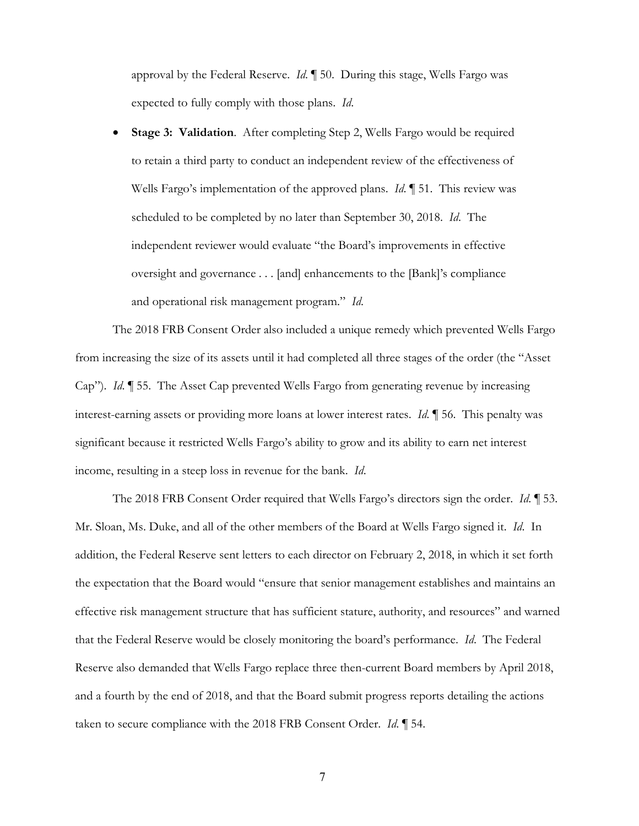approval by the Federal Reserve. *Id*. ¶ 50. During this stage, Wells Fargo was expected to fully comply with those plans. *Id*.

• **Stage 3: Validation**. After completing Step 2, Wells Fargo would be required to retain a third party to conduct an independent review of the effectiveness of Wells Fargo's implementation of the approved plans. *Id*. ¶ 51. This review was scheduled to be completed by no later than September 30, 2018. *Id*. The independent reviewer would evaluate "the Board's improvements in effective oversight and governance . . . [and] enhancements to the [Bank]'s compliance and operational risk management program." *Id*.

The 2018 FRB Consent Order also included a unique remedy which prevented Wells Fargo from increasing the size of its assets until it had completed all three stages of the order (the "Asset Cap"). *Id*. ¶ 55. The Asset Cap prevented Wells Fargo from generating revenue by increasing interest-earning assets or providing more loans at lower interest rates. *Id.* ¶ 56.This penalty was significant because it restricted Wells Fargo's ability to grow and its ability to earn net interest income, resulting in a steep loss in revenue for the bank. *Id*.

The 2018 FRB Consent Order required that Wells Fargo's directors sign the order. *Id*. ¶ 53. Mr. Sloan, Ms. Duke, and all of the other members of the Board at Wells Fargo signed it. *Id*. In addition, the Federal Reserve sent letters to each director on February 2, 2018, in which it set forth the expectation that the Board would "ensure that senior management establishes and maintains an effective risk management structure that has sufficient stature, authority, and resources" and warned that the Federal Reserve would be closely monitoring the board's performance. *Id*. The Federal Reserve also demanded that Wells Fargo replace three then-current Board members by April 2018, and a fourth by the end of 2018, and that the Board submit progress reports detailing the actions taken to secure compliance with the 2018 FRB Consent Order. *Id*. ¶ 54.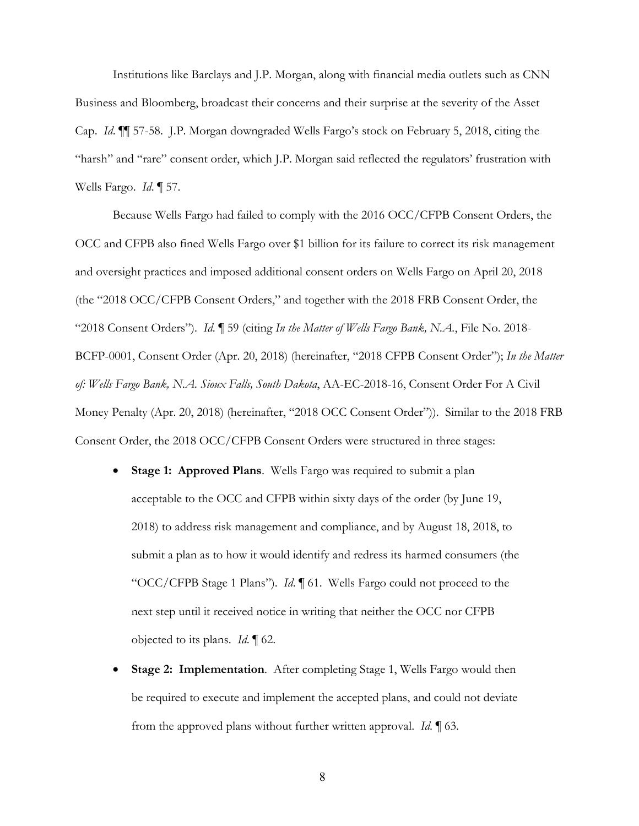Institutions like Barclays and J.P. Morgan, along with financial media outlets such as CNN Business and Bloomberg, broadcast their concerns and their surprise at the severity of the Asset Cap. *Id*. ¶¶ 57-58. J.P. Morgan downgraded Wells Fargo's stock on February 5, 2018, citing the "harsh" and "rare" consent order, which J.P. Morgan said reflected the regulators' frustration with Wells Fargo. *Id*. ¶ 57.

Because Wells Fargo had failed to comply with the 2016 OCC/CFPB Consent Orders, the OCC and CFPB also fined Wells Fargo over \$1 billion for its failure to correct its risk management and oversight practices and imposed additional consent orders on Wells Fargo on April 20, 2018 (the "2018 OCC/CFPB Consent Orders," and together with the 2018 FRB Consent Order, the "2018 Consent Orders"). *Id*. ¶ 59 (citing *In the Matter of Wells Fargo Bank, N.A.*, File No. 2018- BCFP-0001, Consent Order (Apr. 20, 2018) (hereinafter, "2018 CFPB Consent Order"); *In the Matter of: Wells Fargo Bank, N.A. Sioux Falls, South Dakota*, AA-EC-2018-16, Consent Order For A Civil Money Penalty (Apr. 20, 2018) (hereinafter, "2018 OCC Consent Order")). Similar to the 2018 FRB Consent Order, the 2018 OCC/CFPB Consent Orders were structured in three stages:

- **Stage 1: Approved Plans**. Wells Fargo was required to submit a plan acceptable to the OCC and CFPB within sixty days of the order (by June 19, 2018) to address risk management and compliance, and by August 18, 2018, to submit a plan as to how it would identify and redress its harmed consumers (the "OCC/CFPB Stage 1 Plans"). *Id*. ¶ 61. Wells Fargo could not proceed to the next step until it received notice in writing that neither the OCC nor CFPB objected to its plans. *Id*. ¶ 62.
- **Stage 2: Implementation**.After completing Stage 1, Wells Fargo would then be required to execute and implement the accepted plans, and could not deviate from the approved plans without further written approval. *Id*. ¶ 63.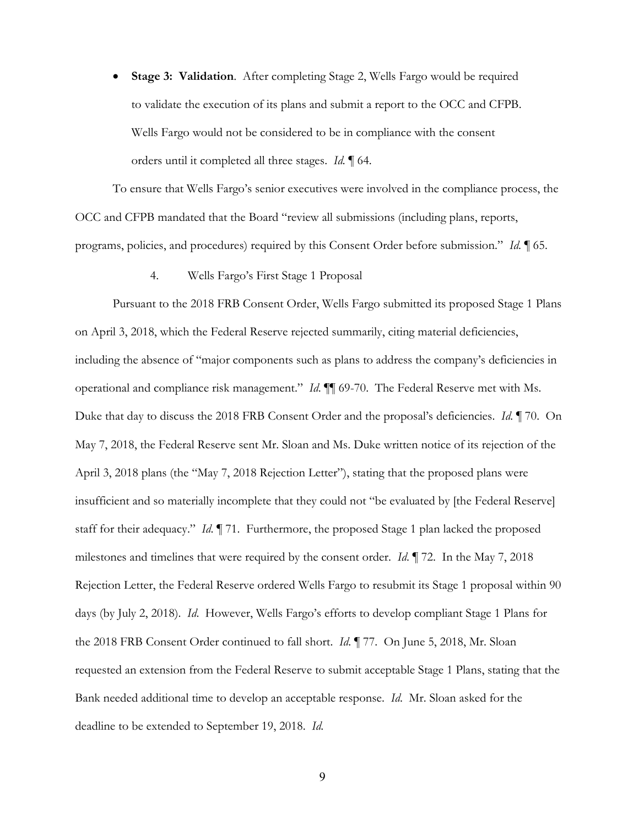• **Stage 3: Validation**. After completing Stage 2, Wells Fargo would be required to validate the execution of its plans and submit a report to the OCC and CFPB. Wells Fargo would not be considered to be in compliance with the consent orders until it completed all three stages. *Id.* ¶ 64.

To ensure that Wells Fargo's senior executives were involved in the compliance process, the OCC and CFPB mandated that the Board "review all submissions (including plans, reports, programs, policies, and procedures) required by this Consent Order before submission." *Id*. ¶ 65.

4. Wells Fargo's First Stage 1 Proposal

Pursuant to the 2018 FRB Consent Order, Wells Fargo submitted its proposed Stage 1 Plans on April 3, 2018, which the Federal Reserve rejected summarily, citing material deficiencies, including the absence of "major components such as plans to address the company's deficiencies in operational and compliance risk management." *Id*. ¶¶ 69-70. The Federal Reserve met with Ms. Duke that day to discuss the 2018 FRB Consent Order and the proposal's deficiencies. *Id*. ¶ 70. On May 7, 2018, the Federal Reserve sent Mr. Sloan and Ms. Duke written notice of its rejection of the April 3, 2018 plans (the "May 7, 2018 Rejection Letter"), stating that the proposed plans were insufficient and so materially incomplete that they could not "be evaluated by [the Federal Reserve] staff for their adequacy." *Id*. ¶ 71. Furthermore, the proposed Stage 1 plan lacked the proposed milestones and timelines that were required by the consent order. *Id*. ¶ 72. In the May 7, 2018 Rejection Letter, the Federal Reserve ordered Wells Fargo to resubmit its Stage 1 proposal within 90 days (by July 2, 2018). *Id*. However, Wells Fargo's efforts to develop compliant Stage 1 Plans for the 2018 FRB Consent Order continued to fall short. *Id*. ¶ 77. On June 5, 2018, Mr. Sloan requested an extension from the Federal Reserve to submit acceptable Stage 1 Plans, stating that the Bank needed additional time to develop an acceptable response. *Id*. Mr. Sloan asked for the deadline to be extended to September 19, 2018. *Id*.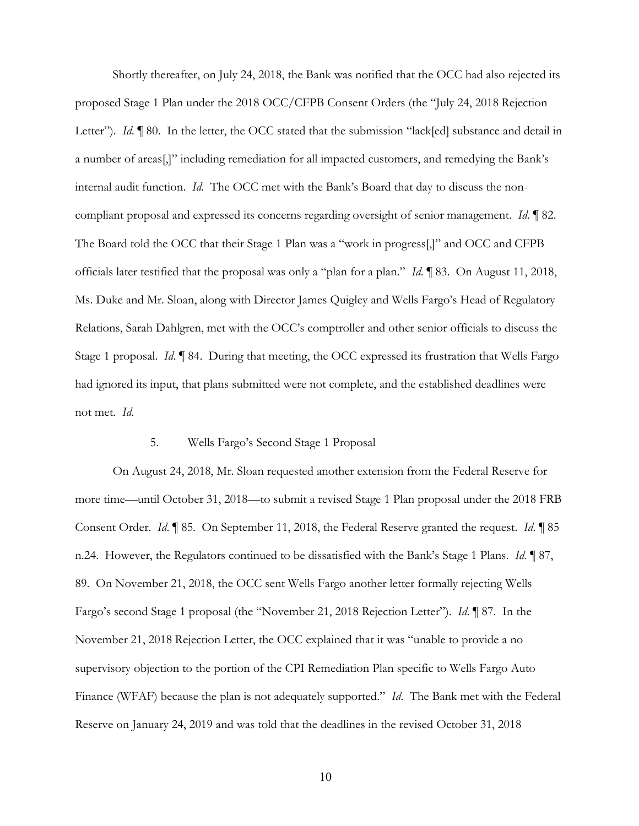Shortly thereafter, on July 24, 2018, the Bank was notified that the OCC had also rejected its proposed Stage 1 Plan under the 2018 OCC/CFPB Consent Orders (the "July 24, 2018 Rejection Letter"). *Id.* 180. In the letter, the OCC stated that the submission "lack[ed] substance and detail in a number of areas[,]" including remediation for all impacted customers, and remedying the Bank's internal audit function. *Id*. The OCC met with the Bank's Board that day to discuss the noncompliant proposal and expressed its concerns regarding oversight of senior management. *Id*. ¶ 82. The Board told the OCC that their Stage 1 Plan was a "work in progress[,]" and OCC and CFPB officials later testified that the proposal was only a "plan for a plan." *Id*. ¶ 83. On August 11, 2018, Ms. Duke and Mr. Sloan, along with Director James Quigley and Wells Fargo's Head of Regulatory Relations, Sarah Dahlgren, met with the OCC's comptroller and other senior officials to discuss the Stage 1 proposal. *Id*. ¶ 84. During that meeting, the OCC expressed its frustration that Wells Fargo had ignored its input, that plans submitted were not complete, and the established deadlines were not met. *Id*.

## 5. Wells Fargo's Second Stage 1 Proposal

On August 24, 2018, Mr. Sloan requested another extension from the Federal Reserve for more time—until October 31, 2018—to submit a revised Stage 1 Plan proposal under the 2018 FRB Consent Order. *Id*. ¶ 85. On September 11, 2018, the Federal Reserve granted the request. *Id*. ¶ 85 n.24. However, the Regulators continued to be dissatisfied with the Bank's Stage 1 Plans. *Id*. ¶ 87, 89. On November 21, 2018, the OCC sent Wells Fargo another letter formally rejecting Wells Fargo's second Stage 1 proposal (the "November 21, 2018 Rejection Letter"). *Id*. ¶ 87. In the November 21, 2018 Rejection Letter, the OCC explained that it was "unable to provide a no supervisory objection to the portion of the CPI Remediation Plan specific to Wells Fargo Auto Finance (WFAF) because the plan is not adequately supported." *Id*. The Bank met with the Federal Reserve on January 24, 2019 and was told that the deadlines in the revised October 31, 2018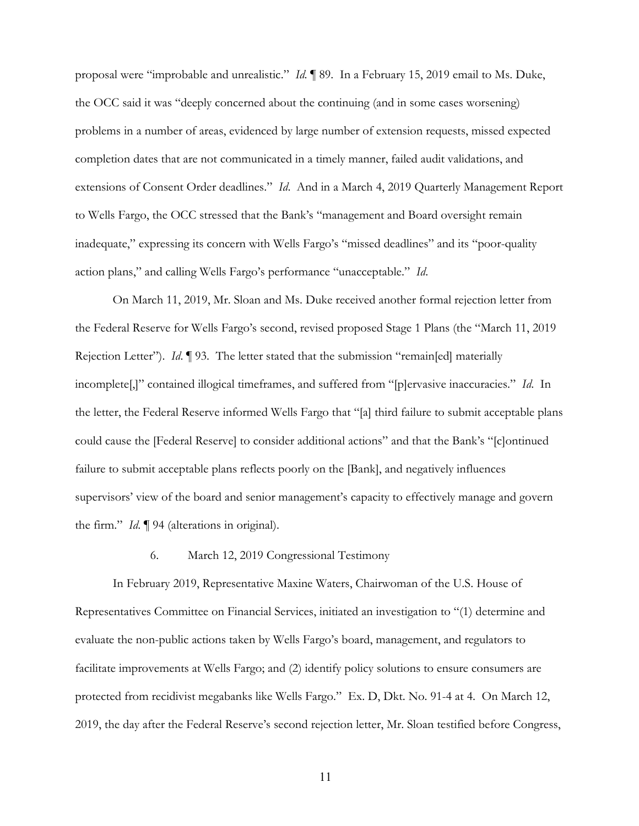proposal were "improbable and unrealistic." *Id*. ¶ 89. In a February 15, 2019 email to Ms. Duke, the OCC said it was "deeply concerned about the continuing (and in some cases worsening) problems in a number of areas, evidenced by large number of extension requests, missed expected completion dates that are not communicated in a timely manner, failed audit validations, and extensions of Consent Order deadlines." *Id*. And in a March 4, 2019 Quarterly Management Report to Wells Fargo, the OCC stressed that the Bank's "management and Board oversight remain inadequate," expressing its concern with Wells Fargo's "missed deadlines" and its "poor-quality action plans," and calling Wells Fargo's performance "unacceptable." *Id*.

On March 11, 2019, Mr. Sloan and Ms. Duke received another formal rejection letter from the Federal Reserve for Wells Fargo's second, revised proposed Stage 1 Plans (the "March 11, 2019 Rejection Letter"). *Id.* 193. The letter stated that the submission "remain[ed] materially incomplete[,]" contained illogical timeframes, and suffered from "[p]ervasive inaccuracies." *Id*. In the letter, the Federal Reserve informed Wells Fargo that "[a] third failure to submit acceptable plans could cause the [Federal Reserve] to consider additional actions" and that the Bank's "[c]ontinued failure to submit acceptable plans reflects poorly on the [Bank], and negatively influences supervisors' view of the board and senior management's capacity to effectively manage and govern the firm." *Id*. ¶ 94 (alterations in original).

## 6. March 12, 2019 Congressional Testimony

In February 2019, Representative Maxine Waters, Chairwoman of the U.S. House of Representatives Committee on Financial Services, initiated an investigation to "(1) determine and evaluate the non-public actions taken by Wells Fargo's board, management, and regulators to facilitate improvements at Wells Fargo; and (2) identify policy solutions to ensure consumers are protected from recidivist megabanks like Wells Fargo." Ex. D, Dkt. No. 91-4 at 4. On March 12, 2019, the day after the Federal Reserve's second rejection letter, Mr. Sloan testified before Congress,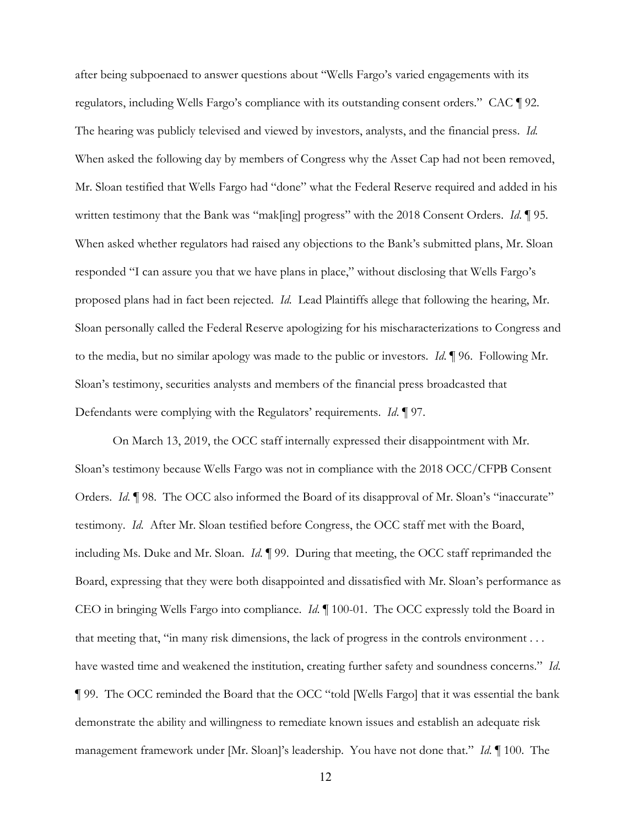after being subpoenaed to answer questions about "Wells Fargo's varied engagements with its regulators, including Wells Fargo's compliance with its outstanding consent orders." CAC ¶ 92. The hearing was publicly televised and viewed by investors, analysts, and the financial press. *Id.*  When asked the following day by members of Congress why the Asset Cap had not been removed, Mr. Sloan testified that Wells Fargo had "done" what the Federal Reserve required and added in his written testimony that the Bank was "mak[ing] progress" with the 2018 Consent Orders. *Id*. ¶ 95. When asked whether regulators had raised any objections to the Bank's submitted plans, Mr. Sloan responded "I can assure you that we have plans in place," without disclosing that Wells Fargo's proposed plans had in fact been rejected. *Id.* Lead Plaintiffs allege that following the hearing, Mr. Sloan personally called the Federal Reserve apologizing for his mischaracterizations to Congress and to the media, but no similar apology was made to the public or investors. *Id*. ¶ 96. Following Mr. Sloan's testimony, securities analysts and members of the financial press broadcasted that Defendants were complying with the Regulators' requirements. *Id*. ¶ 97.

On March 13, 2019, the OCC staff internally expressed their disappointment with Mr. Sloan's testimony because Wells Fargo was not in compliance with the 2018 OCC/CFPB Consent Orders. *Id.* **[98.** The OCC also informed the Board of its disapproval of Mr. Sloan's "inaccurate" testimony. *Id*. After Mr. Sloan testified before Congress, the OCC staff met with the Board, including Ms. Duke and Mr. Sloan. *Id*. ¶ 99. During that meeting, the OCC staff reprimanded the Board, expressing that they were both disappointed and dissatisfied with Mr. Sloan's performance as CEO in bringing Wells Fargo into compliance. *Id*. ¶ 100-01. The OCC expressly told the Board in that meeting that, "in many risk dimensions, the lack of progress in the controls environment . . . have wasted time and weakened the institution, creating further safety and soundness concerns." *Id*. ¶ 99. The OCC reminded the Board that the OCC "told [Wells Fargo] that it was essential the bank demonstrate the ability and willingness to remediate known issues and establish an adequate risk management framework under [Mr. Sloan]'s leadership. You have not done that." *Id*. ¶ 100. The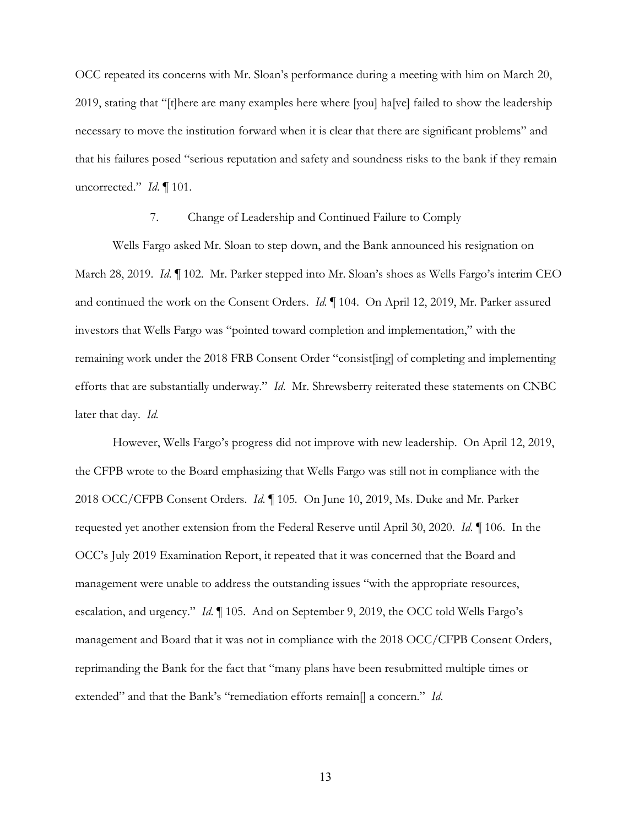OCC repeated its concerns with Mr. Sloan's performance during a meeting with him on March 20, 2019, stating that "[t]here are many examples here where [you] ha[ve] failed to show the leadership necessary to move the institution forward when it is clear that there are significant problems" and that his failures posed "serious reputation and safety and soundness risks to the bank if they remain uncorrected." *Id*. ¶ 101.

## 7. Change of Leadership and Continued Failure to Comply

Wells Fargo asked Mr. Sloan to step down, and the Bank announced his resignation on March 28, 2019. *Id.* ¶ 102. Mr. Parker stepped into Mr. Sloan's shoes as Wells Fargo's interim CEO and continued the work on the Consent Orders. *Id*. ¶ 104. On April 12, 2019, Mr. Parker assured investors that Wells Fargo was "pointed toward completion and implementation," with the remaining work under the 2018 FRB Consent Order "consist[ing] of completing and implementing efforts that are substantially underway." *Id*. Mr. Shrewsberry reiterated these statements on CNBC later that day. *Id.* 

However, Wells Fargo's progress did not improve with new leadership. On April 12, 2019, the CFPB wrote to the Board emphasizing that Wells Fargo was still not in compliance with the 2018 OCC/CFPB Consent Orders. *Id*. ¶ 105*.* On June 10, 2019, Ms. Duke and Mr. Parker requested yet another extension from the Federal Reserve until April 30, 2020. *Id*. ¶ 106. In the OCC's July 2019 Examination Report, it repeated that it was concerned that the Board and management were unable to address the outstanding issues "with the appropriate resources, escalation, and urgency." *Id*. ¶ 105. And on September 9, 2019, the OCC told Wells Fargo's management and Board that it was not in compliance with the 2018 OCC/CFPB Consent Orders, reprimanding the Bank for the fact that "many plans have been resubmitted multiple times or extended" and that the Bank's "remediation efforts remain[] a concern." *Id*.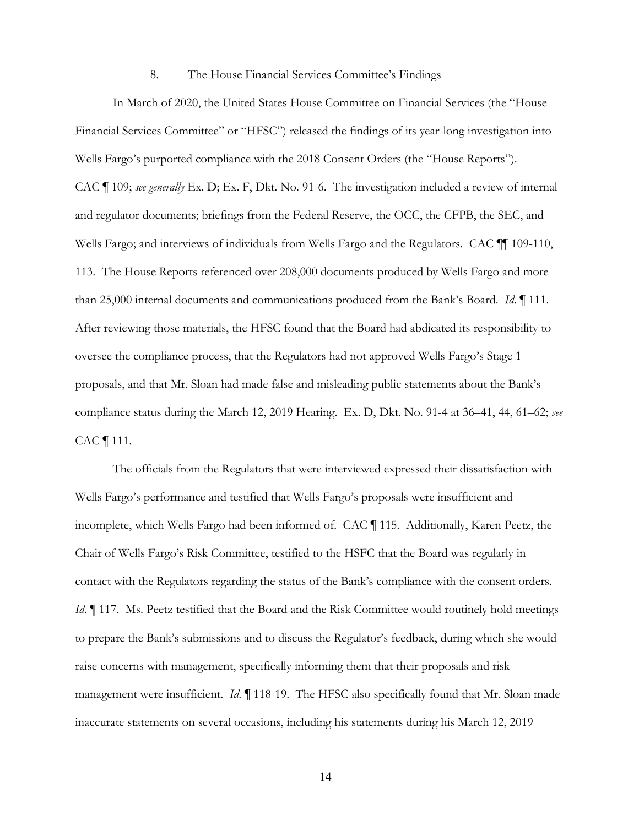#### 8. The House Financial Services Committee's Findings

In March of 2020, the United States House Committee on Financial Services (the "House Financial Services Committee" or "HFSC") released the findings of its year-long investigation into Wells Fargo's purported compliance with the 2018 Consent Orders (the "House Reports"). CAC ¶ 109; *see generally* Ex. D; Ex. F, Dkt. No. 91-6. The investigation included a review of internal and regulator documents; briefings from the Federal Reserve, the OCC, the CFPB, the SEC, and Wells Fargo; and interviews of individuals from Wells Fargo and the Regulators. CAC ¶¶ 109-110, 113. The House Reports referenced over 208,000 documents produced by Wells Fargo and more than 25,000 internal documents and communications produced from the Bank's Board. *Id*. ¶ 111. After reviewing those materials, the HFSC found that the Board had abdicated its responsibility to oversee the compliance process, that the Regulators had not approved Wells Fargo's Stage 1 proposals, and that Mr. Sloan had made false and misleading public statements about the Bank's compliance status during the March 12, 2019 Hearing. Ex. D, Dkt. No. 91-4 at 36–41, 44, 61–62; *see* CAC ¶ 111.

The officials from the Regulators that were interviewed expressed their dissatisfaction with Wells Fargo's performance and testified that Wells Fargo's proposals were insufficient and incomplete, which Wells Fargo had been informed of. CAC ¶ 115. Additionally, Karen Peetz, the Chair of Wells Fargo's Risk Committee, testified to the HSFC that the Board was regularly in contact with the Regulators regarding the status of the Bank's compliance with the consent orders. *Id*. If 117. Ms. Peetz testified that the Board and the Risk Committee would routinely hold meetings to prepare the Bank's submissions and to discuss the Regulator's feedback, during which she would raise concerns with management, specifically informing them that their proposals and risk management were insufficient. *Id*. ¶ 118-19. The HFSC also specifically found that Mr. Sloan made inaccurate statements on several occasions, including his statements during his March 12, 2019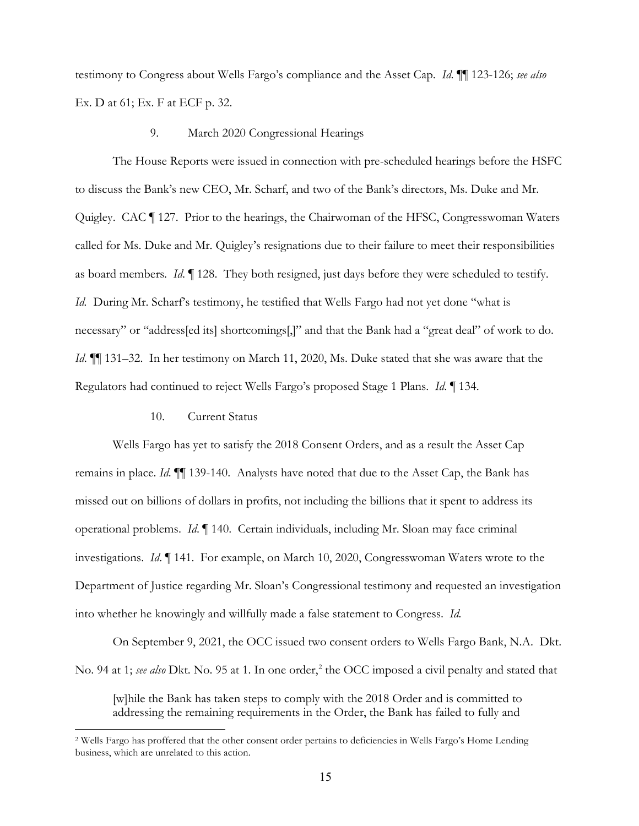testimony to Congress about Wells Fargo's compliance and the Asset Cap. *Id*. ¶¶ 123-126; *see also* Ex. D at 61; Ex. F at ECF p. 32.

## 9. March 2020 Congressional Hearings

 The House Reports were issued in connection with pre-scheduled hearings before the HSFC to discuss the Bank's new CEO, Mr. Scharf, and two of the Bank's directors, Ms. Duke and Mr. Quigley. CAC ¶ 127. Prior to the hearings, the Chairwoman of the HFSC, Congresswoman Waters called for Ms. Duke and Mr. Quigley's resignations due to their failure to meet their responsibilities as board members. *Id*. ¶ 128. They both resigned, just days before they were scheduled to testify. *Id.* During Mr. Scharf's testimony, he testified that Wells Fargo had not yet done "what is necessary" or "address[ed its] shortcomings[,]" and that the Bank had a "great deal" of work to do. *Id*.  $\P$  131–32. In her testimony on March 11, 2020, Ms. Duke stated that she was aware that the Regulators had continued to reject Wells Fargo's proposed Stage 1 Plans. *Id*. ¶ 134.

## 10. Current Status

Wells Fargo has yet to satisfy the 2018 Consent Orders, and as a result the Asset Cap remains in place. *Id*. ¶¶ 139-140. Analysts have noted that due to the Asset Cap, the Bank has missed out on billions of dollars in profits, not including the billions that it spent to address its operational problems. *Id*. ¶ 140. Certain individuals, including Mr. Sloan may face criminal investigations. *Id*. ¶ 141. For example, on March 10, 2020, Congresswoman Waters wrote to the Department of Justice regarding Mr. Sloan's Congressional testimony and requested an investigation into whether he knowingly and willfully made a false statement to Congress. *Id.* 

On September 9, 2021, the OCC issued two consent orders to Wells Fargo Bank, N.A. Dkt. No. 94 at 1; *see also* Dkt. No. 95 at 1. In one order,<sup>2</sup> the OCC imposed a civil penalty and stated that

[w]hile the Bank has taken steps to comply with the 2018 Order and is committed to addressing the remaining requirements in the Order, the Bank has failed to fully and

<sup>2</sup> Wells Fargo has proffered that the other consent order pertains to deficiencies in Wells Fargo's Home Lending business, which are unrelated to this action.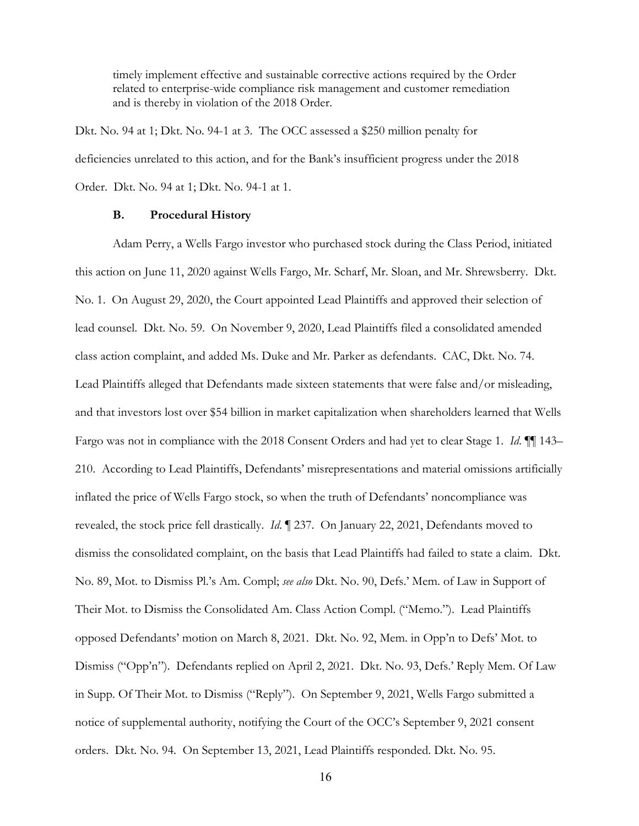timely implement effective and sustainable corrective actions required by the Order related to enterprise-wide compliance risk management and customer remediation and is thereby in violation of the 2018 Order.

Dkt. No. 94 at 1; Dkt. No. 94-1 at 3. The OCC assessed a \$250 million penalty for deficiencies unrelated to this action, and for the Bank's insufficient progress under the 2018 Order. Dkt. No. 94 at 1; Dkt. No. 94-1 at 1.

#### **B. Procedural History**

Adam Perry, a Wells Fargo investor who purchased stock during the Class Period, initiated this action on June 11, 2020 against Wells Fargo, Mr. Scharf, Mr. Sloan, and Mr. Shrewsberry. Dkt. No. 1. On August 29, 2020, the Court appointed Lead Plaintiffs and approved their selection of lead counsel. Dkt. No. 59. On November 9, 2020, Lead Plaintiffs filed a consolidated amended class action complaint, and added Ms. Duke and Mr. Parker as defendants. CAC, Dkt. No. 74. Lead Plaintiffs alleged that Defendants made sixteen statements that were false and/or misleading, and that investors lost over \$54 billion in market capitalization when shareholders learned that Wells Fargo was not in compliance with the 2018 Consent Orders and had yet to clear Stage 1. *Id*. ¶¶ 143– 210. According to Lead Plaintiffs, Defendants' misrepresentations and material omissions artificially inflated the price of Wells Fargo stock, so when the truth of Defendants' noncompliance was revealed, the stock price fell drastically. *Id*. ¶ 237. On January 22, 2021, Defendants moved to dismiss the consolidated complaint, on the basis that Lead Plaintiffs had failed to state a claim. Dkt. No. 89, Mot. to Dismiss Pl.'s Am. Compl; *see also* Dkt. No. 90, Defs.' Mem. of Law in Support of Their Mot. to Dismiss the Consolidated Am. Class Action Compl. ("Memo."). Lead Plaintiffs opposed Defendants' motion on March 8, 2021. Dkt. No. 92, Mem. in Opp'n to Defs' Mot. to Dismiss ("Opp'n"). Defendants replied on April 2, 2021. Dkt. No. 93, Defs.' Reply Mem. Of Law in Supp. Of Their Mot. to Dismiss ("Reply"). On September 9, 2021, Wells Fargo submitted a notice of supplemental authority, notifying the Court of the OCC's September 9, 2021 consent orders. Dkt. No. 94. On September 13, 2021, Lead Plaintiffs responded. Dkt. No. 95.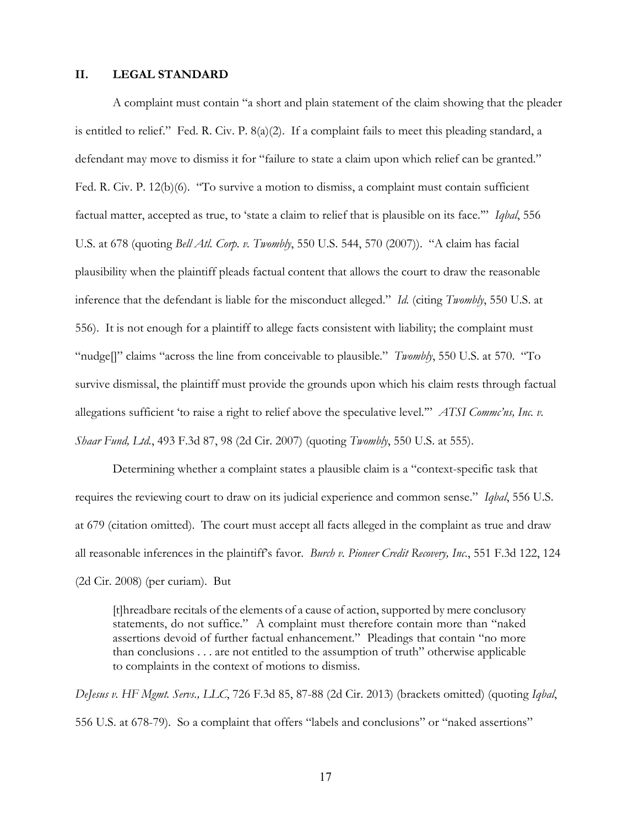### **II. LEGAL STANDARD**

A complaint must contain "a short and plain statement of the claim showing that the pleader is entitled to relief." Fed. R. Civ. P. 8(a)(2). If a complaint fails to meet this pleading standard, a defendant may move to dismiss it for "failure to state a claim upon which relief can be granted." Fed. R. Civ. P. 12(b)(6). "To survive a motion to dismiss, a complaint must contain sufficient factual matter, accepted as true, to 'state a claim to relief that is plausible on its face.'" *Iqbal*, 556 U.S. at 678 (quoting *Bell Atl. Corp. v. Twombly*, 550 U.S. 544, 570 (2007)). "A claim has facial plausibility when the plaintiff pleads factual content that allows the court to draw the reasonable inference that the defendant is liable for the misconduct alleged." *Id.* (citing *Twombly*, 550 U.S. at 556). It is not enough for a plaintiff to allege facts consistent with liability; the complaint must "nudge[]" claims "across the line from conceivable to plausible." *Twombly*, 550 U.S. at 570. "To survive dismissal, the plaintiff must provide the grounds upon which his claim rests through factual allegations sufficient 'to raise a right to relief above the speculative level.'" *ATSI Commc'ns, Inc. v. Shaar Fund, Ltd.*, 493 F.3d 87, 98 (2d Cir. 2007) (quoting *Twombly*, 550 U.S. at 555).

Determining whether a complaint states a plausible claim is a "context-specific task that requires the reviewing court to draw on its judicial experience and common sense." *Iqbal*, 556 U.S. at 679 (citation omitted). The court must accept all facts alleged in the complaint as true and draw all reasonable inferences in the plaintiff's favor. *Burch v. Pioneer Credit Recovery, Inc*., 551 F.3d 122, 124 (2d Cir. 2008) (per curiam). But

[t]hreadbare recitals of the elements of a cause of action, supported by mere conclusory statements, do not suffice." A complaint must therefore contain more than "naked assertions devoid of further factual enhancement." Pleadings that contain "no more than conclusions . . . are not entitled to the assumption of truth" otherwise applicable to complaints in the context of motions to dismiss.

*DeJesus v. HF Mgmt. Servs., LLC*, 726 F.3d 85, 87-88 (2d Cir. 2013) (brackets omitted) (quoting *Iqbal*, 556 U.S. at 678-79). So a complaint that offers "labels and conclusions" or "naked assertions"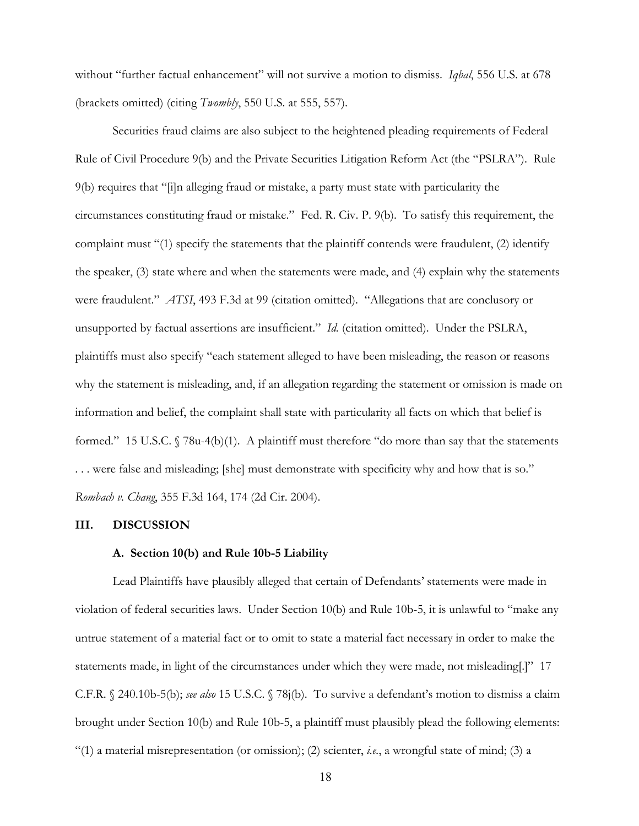without "further factual enhancement" will not survive a motion to dismiss. *Iqbal*, 556 U.S. at 678 (brackets omitted) (citing *Twombly*, 550 U.S. at 555, 557).

Securities fraud claims are also subject to the heightened pleading requirements of Federal Rule of Civil Procedure 9(b) and the Private Securities Litigation Reform Act (the "PSLRA"). Rule 9(b) requires that "[i]n alleging fraud or mistake, a party must state with particularity the circumstances constituting fraud or mistake." Fed. R. Civ. P. 9(b). To satisfy this requirement, the complaint must "(1) specify the statements that the plaintiff contends were fraudulent, (2) identify the speaker, (3) state where and when the statements were made, and (4) explain why the statements were fraudulent." *ATSI*, 493 F.3d at 99 (citation omitted). "Allegations that are conclusory or unsupported by factual assertions are insufficient." *Id.* (citation omitted). Under the PSLRA, plaintiffs must also specify "each statement alleged to have been misleading, the reason or reasons why the statement is misleading, and, if an allegation regarding the statement or omission is made on information and belief, the complaint shall state with particularity all facts on which that belief is formed." 15 U.S.C. § 78u-4(b)(1). A plaintiff must therefore "do more than say that the statements . . . were false and misleading; [she] must demonstrate with specificity why and how that is so." *Rombach v. Chang*, 355 F.3d 164, 174 (2d Cir. 2004).

### **III. DISCUSSION**

#### **A. Section 10(b) and Rule 10b-5 Liability**

Lead Plaintiffs have plausibly alleged that certain of Defendants' statements were made in violation of federal securities laws. Under Section 10(b) and Rule 10b-5, it is unlawful to "make any untrue statement of a material fact or to omit to state a material fact necessary in order to make the statements made, in light of the circumstances under which they were made, not misleading[.]" 17 C.F.R. § 240.10b-5(b); *see also* 15 U.S.C. § 78j(b). To survive a defendant's motion to dismiss a claim brought under Section 10(b) and Rule 10b-5, a plaintiff must plausibly plead the following elements: "(1) a material misrepresentation (or omission); (2) scienter, *i.e.*, a wrongful state of mind; (3) a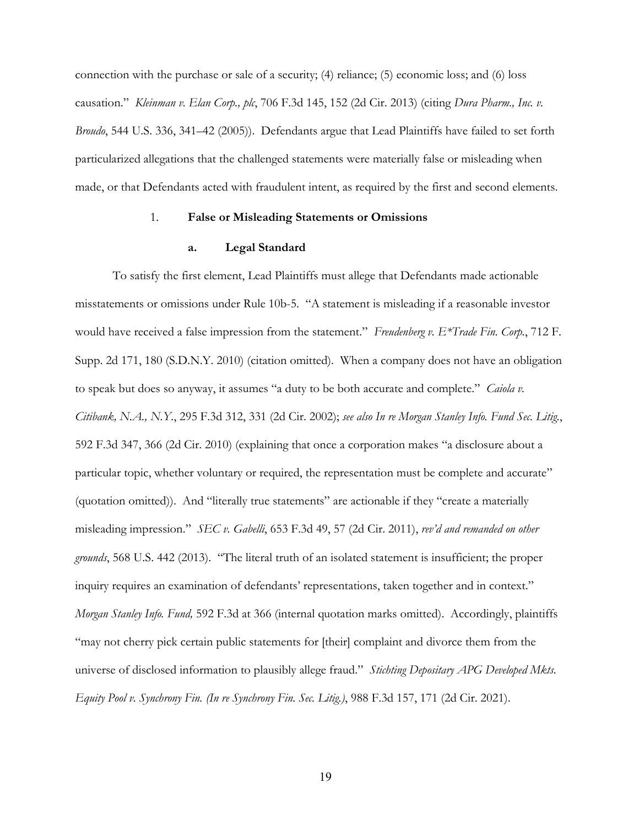connection with the purchase or sale of a security; (4) reliance; (5) economic loss; and (6) loss causation." *Kleinman v. Elan Corp., plc*, 706 F.3d 145, 152 (2d Cir. 2013) (citing *Dura Pharm., Inc. v. Broudo*, 544 U.S. 336, 341–42 (2005)). Defendants argue that Lead Plaintiffs have failed to set forth particularized allegations that the challenged statements were materially false or misleading when made, or that Defendants acted with fraudulent intent, as required by the first and second elements.

## 1. **False or Misleading Statements or Omissions**

#### **a. Legal Standard**

To satisfy the first element, Lead Plaintiffs must allege that Defendants made actionable misstatements or omissions under Rule 10b-5. "A statement is misleading if a reasonable investor would have received a false impression from the statement." *Freudenberg v. E\*Trade Fin. Corp.*, 712 F. Supp. 2d 171, 180 (S.D.N.Y. 2010) (citation omitted). When a company does not have an obligation to speak but does so anyway, it assumes "a duty to be both accurate and complete." *Caiola v. Citibank, N.A., N.Y.*, 295 F.3d 312, 331 (2d Cir. 2002); *see also In re Morgan Stanley Info. Fund Sec. Litig.*, 592 F.3d 347, 366 (2d Cir. 2010) (explaining that once a corporation makes "a disclosure about a particular topic, whether voluntary or required, the representation must be complete and accurate" (quotation omitted)). And "literally true statements" are actionable if they "create a materially misleading impression." *SEC v. Gabelli*, 653 F.3d 49, 57 (2d Cir. 2011), *rev'd and remanded on other grounds*, 568 U.S. 442 (2013). "The literal truth of an isolated statement is insufficient; the proper inquiry requires an examination of defendants' representations, taken together and in context." *Morgan Stanley Info. Fund,* 592 F.3d at 366 (internal quotation marks omitted). Accordingly, plaintiffs "may not cherry pick certain public statements for [their] complaint and divorce them from the universe of disclosed information to plausibly allege fraud." *Stichting Depositary APG Developed Mkts. Equity Pool v. Synchrony Fin. (In re Synchrony Fin. Sec. Litig.)*, 988 F.3d 157, 171 (2d Cir. 2021).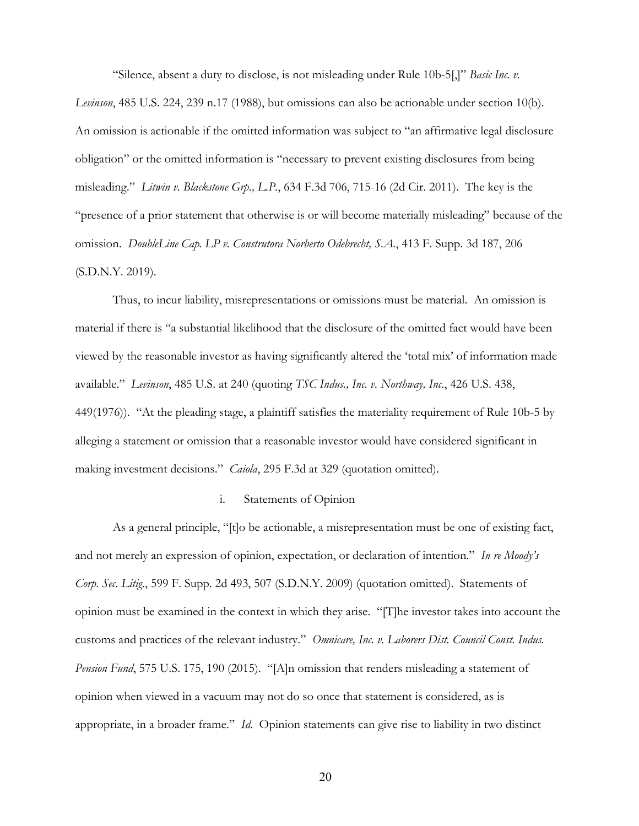"Silence, absent a duty to disclose, is not misleading under Rule 10b-5[,]" *Basic Inc. v.* 

*Levinson*, 485 U.S. 224, 239 n.17 (1988), but omissions can also be actionable under section 10(b). An omission is actionable if the omitted information was subject to "an affirmative legal disclosure obligation" or the omitted information is "necessary to prevent existing disclosures from being misleading." *Litwin v. Blackstone Grp., L.P.*, 634 F.3d 706, 715-16 (2d Cir. 2011). The key is the "presence of a prior statement that otherwise is or will become materially misleading" because of the omission. *DoubleLine Cap. LP v. Construtora Norberto Odebrecht, S.A.*, 413 F. Supp. 3d 187, 206 (S.D.N.Y. 2019).

Thus, to incur liability, misrepresentations or omissions must be material. An omission is material if there is "a substantial likelihood that the disclosure of the omitted fact would have been viewed by the reasonable investor as having significantly altered the 'total mix' of information made available." *Levinson*, 485 U.S. at 240 (quoting *TSC Indus., Inc. v. Northway, Inc.*, 426 U.S. 438, 449(1976)). "At the pleading stage, a plaintiff satisfies the materiality requirement of Rule 10b-5 by alleging a statement or omission that a reasonable investor would have considered significant in making investment decisions." *Caiola*, 295 F.3d at 329 (quotation omitted).

## i. Statements of Opinion

As a general principle, "[t]o be actionable, a misrepresentation must be one of existing fact, and not merely an expression of opinion, expectation, or declaration of intention." *In re Moody's Corp. Sec. Litig.*, 599 F. Supp. 2d 493, 507 (S.D.N.Y. 2009) (quotation omitted). Statements of opinion must be examined in the context in which they arise. "[T]he investor takes into account the customs and practices of the relevant industry." *Omnicare, Inc. v. Laborers Dist. Council Const. Indus. Pension Fund*, 575 U.S. 175, 190 (2015). "[A]n omission that renders misleading a statement of opinion when viewed in a vacuum may not do so once that statement is considered, as is appropriate, in a broader frame." *Id*. Opinion statements can give rise to liability in two distinct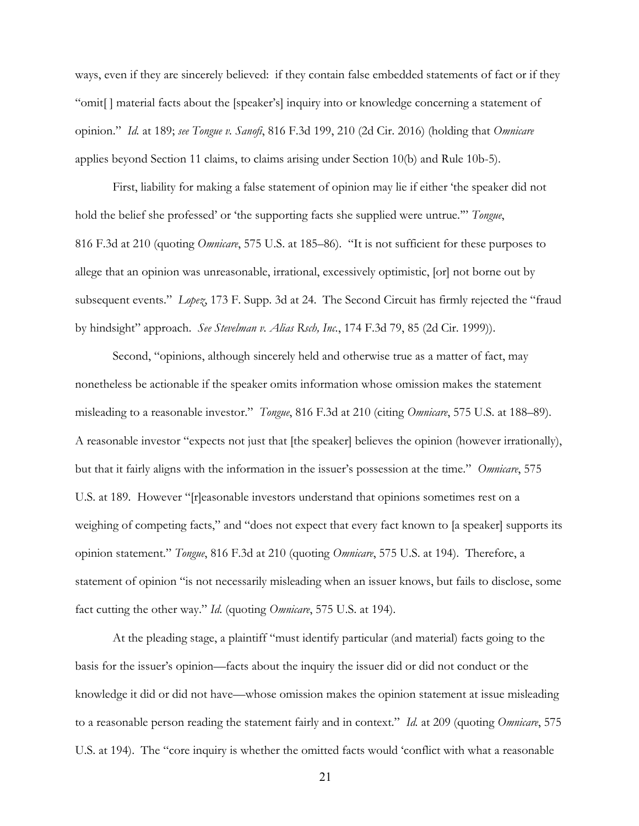ways, even if they are sincerely believed: if they contain false embedded statements of fact or if they "omit[ ] material facts about the [speaker's] inquiry into or knowledge concerning a statement of opinion." *Id.* at 189; *see Tongue v. Sanofi*, 816 F.3d 199, 210 (2d Cir. 2016) (holding that *Omnicare*  applies beyond Section 11 claims, to claims arising under Section 10(b) and Rule 10b-5).

First, liability for making a false statement of opinion may lie if either 'the speaker did not hold the belief she professed' or 'the supporting facts she supplied were untrue.'" *Tongue*, 816 F.3d at 210 (quoting *Omnicare*, 575 U.S. at 185–86). "It is not sufficient for these purposes to allege that an opinion was unreasonable, irrational, excessively optimistic, [or] not borne out by subsequent events." *Lopez*, 173 F. Supp. 3d at 24. The Second Circuit has firmly rejected the "fraud by hindsight" approach. *See Stevelman v. Alias Rsch, Inc.*, 174 F.3d 79, 85 (2d Cir. 1999)).

Second, "opinions, although sincerely held and otherwise true as a matter of fact, may nonetheless be actionable if the speaker omits information whose omission makes the statement misleading to a reasonable investor." *Tongue*, 816 F.3d at 210 (citing *Omnicare*, 575 U.S. at 188–89). A reasonable investor "expects not just that [the speaker] believes the opinion (however irrationally), but that it fairly aligns with the information in the issuer's possession at the time." *Omnicare*, 575 U.S. at 189. However "[r]easonable investors understand that opinions sometimes rest on a weighing of competing facts," and "does not expect that every fact known to [a speaker] supports its opinion statement." *Tongue*, 816 F.3d at 210 (quoting *Omnicare*, 575 U.S. at 194). Therefore, a statement of opinion "is not necessarily misleading when an issuer knows, but fails to disclose, some fact cutting the other way." *Id*. (quoting *Omnicare*, 575 U.S. at 194).

At the pleading stage, a plaintiff "must identify particular (and material) facts going to the basis for the issuer's opinion—facts about the inquiry the issuer did or did not conduct or the knowledge it did or did not have—whose omission makes the opinion statement at issue misleading to a reasonable person reading the statement fairly and in context." *Id.* at 209 (quoting *Omnicare*, 575 U.S. at 194). The "core inquiry is whether the omitted facts would 'conflict with what a reasonable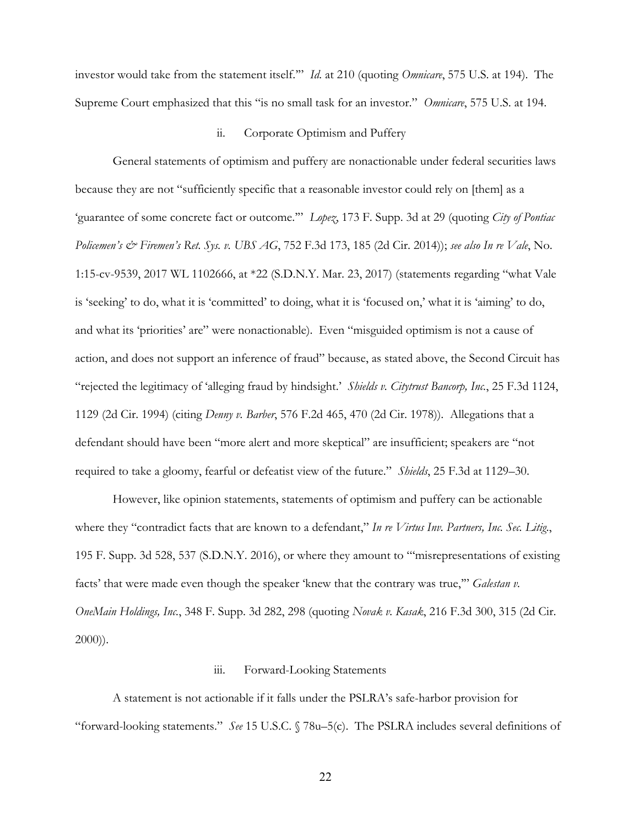investor would take from the statement itself.'" *Id.* at 210 (quoting *Omnicare*, 575 U.S. at 194). The Supreme Court emphasized that this "is no small task for an investor." *Omnicare*, 575 U.S. at 194.

## ii. Corporate Optimism and Puffery

General statements of optimism and puffery are nonactionable under federal securities laws because they are not "sufficiently specific that a reasonable investor could rely on [them] as a 'guarantee of some concrete fact or outcome.'" *Lopez*, 173 F. Supp. 3d at 29 (quoting *City of Pontiac Policemen's & Firemen's Ret. Sys. v. UBS AG*, 752 F.3d 173, 185 (2d Cir. 2014)); *see also In re Vale*, No. 1:15-cv-9539, 2017 WL 1102666, at \*22 (S.D.N.Y. Mar. 23, 2017) (statements regarding "what Vale is 'seeking' to do, what it is 'committed' to doing, what it is 'focused on,' what it is 'aiming' to do, and what its 'priorities' are" were nonactionable). Even "misguided optimism is not a cause of action, and does not support an inference of fraud" because, as stated above, the Second Circuit has "rejected the legitimacy of 'alleging fraud by hindsight.' *Shields v. Citytrust Bancorp, Inc.*, 25 F.3d 1124, 1129 (2d Cir. 1994) (citing *Denny v. Barber*, 576 F.2d 465, 470 (2d Cir. 1978)). Allegations that a defendant should have been "more alert and more skeptical" are insufficient; speakers are "not required to take a gloomy, fearful or defeatist view of the future." *Shields*, 25 F.3d at 1129–30.

However, like opinion statements, statements of optimism and puffery can be actionable where they "contradict facts that are known to a defendant," *In re Virtus Inv. Partners, Inc. Sec. Litig*., 195 F. Supp. 3d 528, 537 (S.D.N.Y. 2016), or where they amount to "'misrepresentations of existing facts' that were made even though the speaker 'knew that the contrary was true,'" *Galestan v. OneMain Holdings, Inc.*, 348 F. Supp. 3d 282, 298 (quoting *Novak v. Kasak*, 216 F.3d 300, 315 (2d Cir. 2000)).

#### iii. Forward-Looking Statements

A statement is not actionable if it falls under the PSLRA's safe-harbor provision for "forward-looking statements." *See* 15 U.S.C. § 78u–5(c). The PSLRA includes several definitions of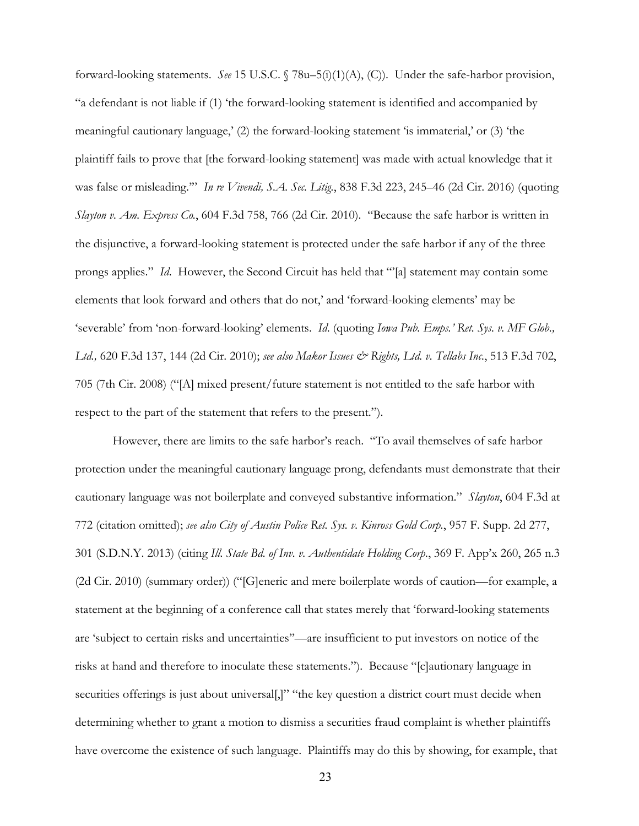forward-looking statements. *See* 15 U.S.C. § 78u–5(i)(1)(A), (C)). Under the safe-harbor provision, "a defendant is not liable if (1) 'the forward-looking statement is identified and accompanied by meaningful cautionary language,' (2) the forward-looking statement 'is immaterial,' or (3) 'the plaintiff fails to prove that [the forward-looking statement] was made with actual knowledge that it was false or misleading.'" *In re Vivendi, S.A. Sec. Litig.*, 838 F.3d 223, 245–46 (2d Cir. 2016) (quoting *Slayton v. Am. Express Co.*, 604 F.3d 758, 766 (2d Cir. 2010). "Because the safe harbor is written in the disjunctive, a forward-looking statement is protected under the safe harbor if any of the three prongs applies." *Id*. However, the Second Circuit has held that "'[a] statement may contain some elements that look forward and others that do not,' and 'forward-looking elements' may be 'severable' from 'non-forward-looking' elements. *Id*. (quoting *Iowa Pub. Emps.' Ret. Sys. v. MF Glob., Ltd.,* 620 F.3d 137, 144 (2d Cir. 2010); *see also Makor Issues & Rights, Ltd. v. Tellabs Inc.*, 513 F.3d 702, 705 (7th Cir. 2008) ("[A] mixed present/future statement is not entitled to the safe harbor with respect to the part of the statement that refers to the present.").

However, there are limits to the safe harbor's reach. "To avail themselves of safe harbor protection under the meaningful cautionary language prong, defendants must demonstrate that their cautionary language was not boilerplate and conveyed substantive information." *Slayton*, 604 F.3d at 772 (citation omitted); *see also City of Austin Police Ret. Sys. v. Kinross Gold Corp.*, 957 F. Supp. 2d 277, 301 (S.D.N.Y. 2013) (citing *Ill. State Bd. of Inv. v. Authentidate Holding Corp.*, 369 F. App'x 260, 265 n.3 (2d Cir. 2010) (summary order)) ("[G]eneric and mere boilerplate words of caution—for example, a statement at the beginning of a conference call that states merely that 'forward-looking statements are 'subject to certain risks and uncertainties''—are insufficient to put investors on notice of the risks at hand and therefore to inoculate these statements."). Because "[c]autionary language in securities offerings is just about universal[,]" "the key question a district court must decide when determining whether to grant a motion to dismiss a securities fraud complaint is whether plaintiffs have overcome the existence of such language. Plaintiffs may do this by showing, for example, that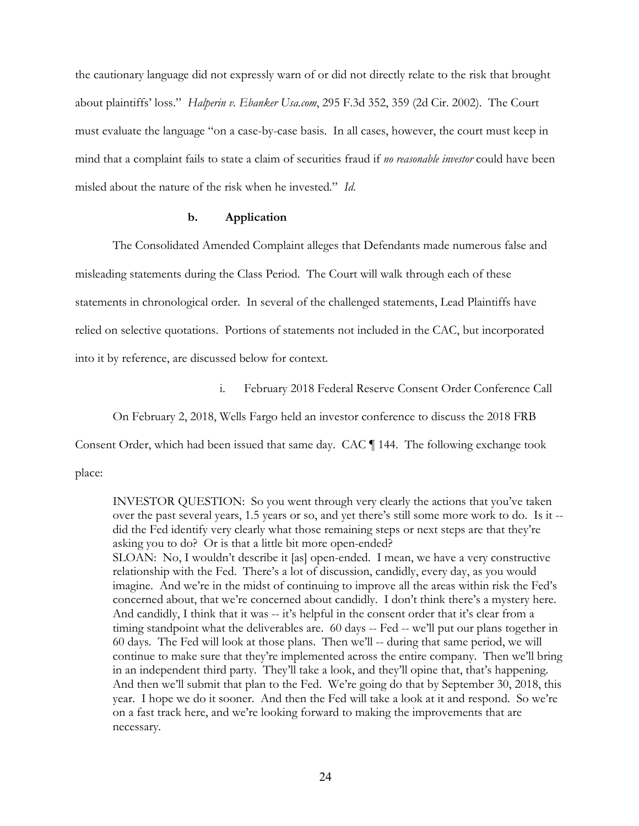the cautionary language did not expressly warn of or did not directly relate to the risk that brought about plaintiffs' loss." *Halperin v. Ebanker Usa.com*, 295 F.3d 352, 359 (2d Cir. 2002). The Court must evaluate the language "on a case-by-case basis. In all cases, however, the court must keep in mind that a complaint fails to state a claim of securities fraud if *no reasonable investor* could have been misled about the nature of the risk when he invested." *Id*.

## **b. Application**

The Consolidated Amended Complaint alleges that Defendants made numerous false and misleading statements during the Class Period. The Court will walk through each of these statements in chronological order. In several of the challenged statements, Lead Plaintiffs have relied on selective quotations. Portions of statements not included in the CAC, but incorporated into it by reference, are discussed below for context.

i. February 2018 Federal Reserve Consent Order Conference Call

On February 2, 2018, Wells Fargo held an investor conference to discuss the 2018 FRB

Consent Order, which had been issued that same day. CAC ¶ 144. The following exchange took

place:

INVESTOR QUESTION: So you went through very clearly the actions that you've taken over the past several years, 1.5 years or so, and yet there's still some more work to do. Is it - did the Fed identify very clearly what those remaining steps or next steps are that they're asking you to do? Or is that a little bit more open-ended? SLOAN: No, I wouldn't describe it [as] open-ended. I mean, we have a very constructive relationship with the Fed. There's a lot of discussion, candidly, every day, as you would imagine. And we're in the midst of continuing to improve all the areas within risk the Fed's concerned about, that we're concerned about candidly. I don't think there's a mystery here. And candidly, I think that it was -- it's helpful in the consent order that it's clear from a timing standpoint what the deliverables are. 60 days -- Fed -- we'll put our plans together in 60 days. The Fed will look at those plans. Then we'll -- during that same period, we will continue to make sure that they're implemented across the entire company. Then we'll bring in an independent third party. They'll take a look, and they'll opine that, that's happening. And then we'll submit that plan to the Fed. We're going do that by September 30, 2018, this year. I hope we do it sooner. And then the Fed will take a look at it and respond. So we're on a fast track here, and we're looking forward to making the improvements that are necessary.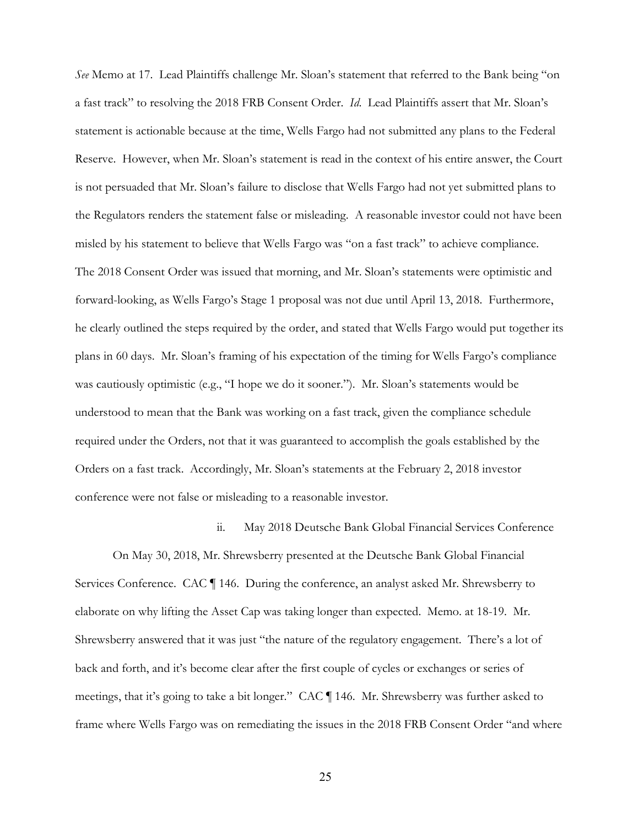*See* Memo at 17. Lead Plaintiffs challenge Mr. Sloan's statement that referred to the Bank being "on a fast track" to resolving the 2018 FRB Consent Order. *Id*. Lead Plaintiffs assert that Mr. Sloan's statement is actionable because at the time, Wells Fargo had not submitted any plans to the Federal Reserve. However, when Mr. Sloan's statement is read in the context of his entire answer, the Court is not persuaded that Mr. Sloan's failure to disclose that Wells Fargo had not yet submitted plans to the Regulators renders the statement false or misleading. A reasonable investor could not have been misled by his statement to believe that Wells Fargo was "on a fast track" to achieve compliance. The 2018 Consent Order was issued that morning, and Mr. Sloan's statements were optimistic and forward-looking, as Wells Fargo's Stage 1 proposal was not due until April 13, 2018. Furthermore, he clearly outlined the steps required by the order, and stated that Wells Fargo would put together its plans in 60 days. Mr. Sloan's framing of his expectation of the timing for Wells Fargo's compliance was cautiously optimistic (e.g., "I hope we do it sooner."). Mr. Sloan's statements would be understood to mean that the Bank was working on a fast track, given the compliance schedule required under the Orders, not that it was guaranteed to accomplish the goals established by the Orders on a fast track. Accordingly, Mr. Sloan's statements at the February 2, 2018 investor conference were not false or misleading to a reasonable investor.

ii. May 2018 Deutsche Bank Global Financial Services Conference

On May 30, 2018, Mr. Shrewsberry presented at the Deutsche Bank Global Financial Services Conference. CAC ¶ 146. During the conference, an analyst asked Mr. Shrewsberry to elaborate on why lifting the Asset Cap was taking longer than expected. Memo. at 18-19. Mr. Shrewsberry answered that it was just "the nature of the regulatory engagement. There's a lot of back and forth, and it's become clear after the first couple of cycles or exchanges or series of meetings, that it's going to take a bit longer." CAC ¶ 146. Mr. Shrewsberry was further asked to frame where Wells Fargo was on remediating the issues in the 2018 FRB Consent Order "and where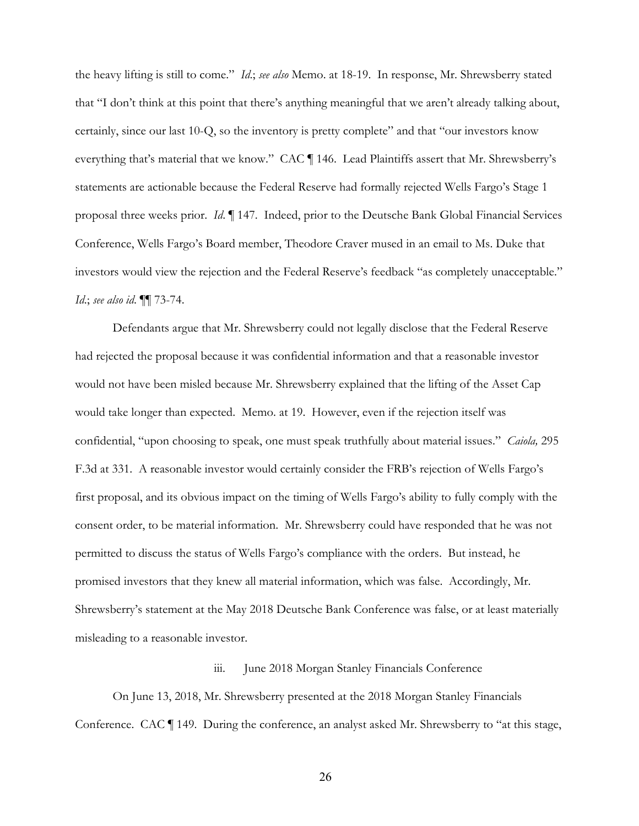the heavy lifting is still to come." *Id*.; *see also* Memo. at 18-19. In response, Mr. Shrewsberry stated that "I don't think at this point that there's anything meaningful that we aren't already talking about, certainly, since our last 10-Q, so the inventory is pretty complete" and that "our investors know everything that's material that we know." CAC ¶ 146. Lead Plaintiffs assert that Mr. Shrewsberry's statements are actionable because the Federal Reserve had formally rejected Wells Fargo's Stage 1 proposal three weeks prior. *Id*. ¶ 147. Indeed, prior to the Deutsche Bank Global Financial Services Conference, Wells Fargo's Board member, Theodore Craver mused in an email to Ms. Duke that investors would view the rejection and the Federal Reserve's feedback "as completely unacceptable." *Id*.; *see also id*. ¶¶ 73-74.

Defendants argue that Mr. Shrewsberry could not legally disclose that the Federal Reserve had rejected the proposal because it was confidential information and that a reasonable investor would not have been misled because Mr. Shrewsberry explained that the lifting of the Asset Cap would take longer than expected. Memo. at 19. However, even if the rejection itself was confidential, "upon choosing to speak, one must speak truthfully about material issues." *Caiola,* 295 F.3d at 331. A reasonable investor would certainly consider the FRB's rejection of Wells Fargo's first proposal, and its obvious impact on the timing of Wells Fargo's ability to fully comply with the consent order, to be material information. Mr. Shrewsberry could have responded that he was not permitted to discuss the status of Wells Fargo's compliance with the orders. But instead, he promised investors that they knew all material information, which was false. Accordingly, Mr. Shrewsberry's statement at the May 2018 Deutsche Bank Conference was false, or at least materially misleading to a reasonable investor.

## iii. June 2018 Morgan Stanley Financials Conference

On June 13, 2018, Mr. Shrewsberry presented at the 2018 Morgan Stanley Financials Conference. CAC ¶ 149. During the conference, an analyst asked Mr. Shrewsberry to "at this stage,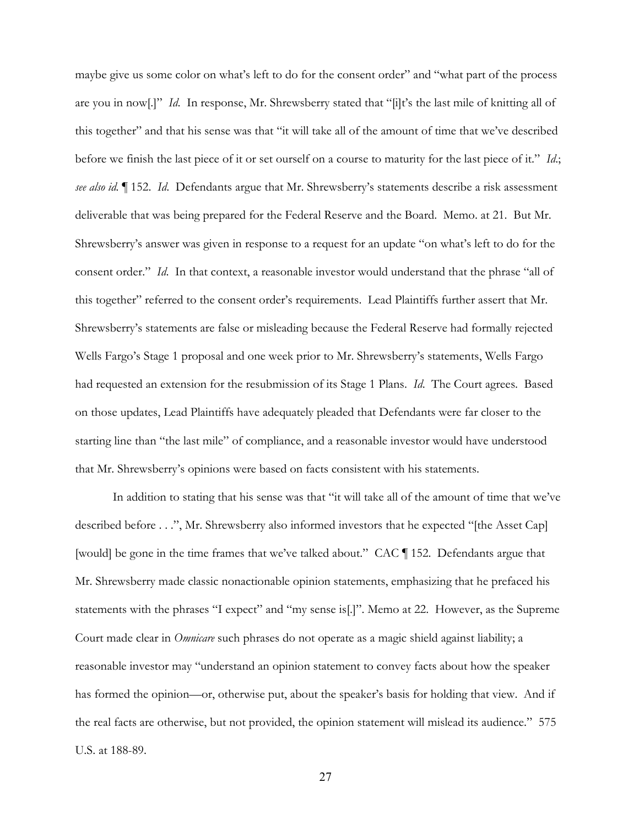maybe give us some color on what's left to do for the consent order" and "what part of the process are you in now[.]" *Id*. In response, Mr. Shrewsberry stated that "[i]t's the last mile of knitting all of this together" and that his sense was that "it will take all of the amount of time that we've described before we finish the last piece of it or set ourself on a course to maturity for the last piece of it." *Id*.; *see also id.* ¶ 152. *Id*. Defendants argue that Mr. Shrewsberry's statements describe a risk assessment deliverable that was being prepared for the Federal Reserve and the Board. Memo. at 21. But Mr. Shrewsberry's answer was given in response to a request for an update "on what's left to do for the consent order." *Id*. In that context, a reasonable investor would understand that the phrase "all of this together" referred to the consent order's requirements. Lead Plaintiffs further assert that Mr. Shrewsberry's statements are false or misleading because the Federal Reserve had formally rejected Wells Fargo's Stage 1 proposal and one week prior to Mr. Shrewsberry's statements, Wells Fargo had requested an extension for the resubmission of its Stage 1 Plans. *Id*. The Court agrees. Based on those updates, Lead Plaintiffs have adequately pleaded that Defendants were far closer to the starting line than "the last mile" of compliance, and a reasonable investor would have understood that Mr. Shrewsberry's opinions were based on facts consistent with his statements.

In addition to stating that his sense was that "it will take all of the amount of time that we've described before . . .", Mr. Shrewsberry also informed investors that he expected "[the Asset Cap] [would] be gone in the time frames that we've talked about." CAC ¶ 152. Defendants argue that Mr. Shrewsberry made classic nonactionable opinion statements, emphasizing that he prefaced his statements with the phrases "I expect" and "my sense is[.]". Memo at 22. However, as the Supreme Court made clear in *Omnicare* such phrases do not operate as a magic shield against liability; a reasonable investor may "understand an opinion statement to convey facts about how the speaker has formed the opinion—or, otherwise put, about the speaker's basis for holding that view. And if the real facts are otherwise, but not provided, the opinion statement will mislead its audience." 575 U.S. at 188-89.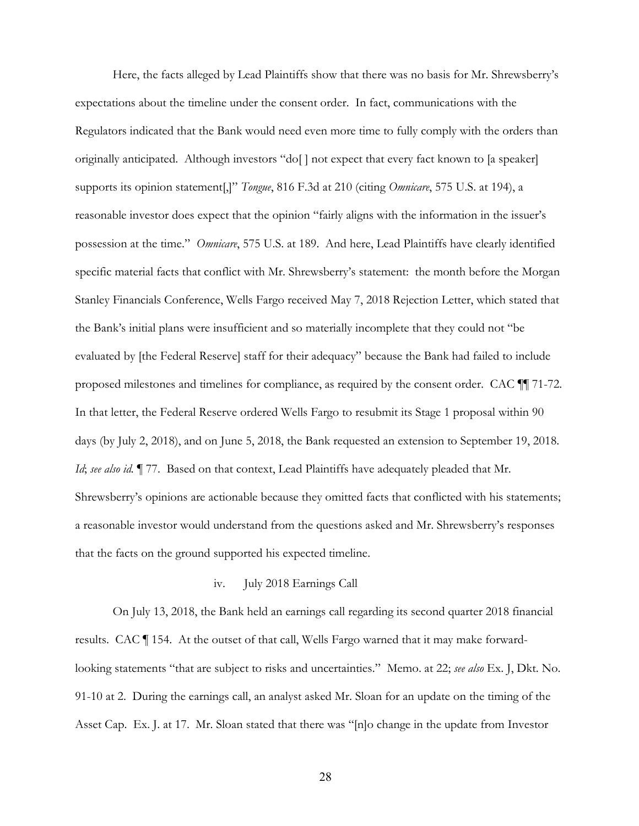Here, the facts alleged by Lead Plaintiffs show that there was no basis for Mr. Shrewsberry's expectations about the timeline under the consent order. In fact, communications with the Regulators indicated that the Bank would need even more time to fully comply with the orders than originally anticipated. Although investors "do[ ] not expect that every fact known to [a speaker] supports its opinion statement[,]" *Tongue*, 816 F.3d at 210 (citing *Omnicare*, 575 U.S. at 194), a reasonable investor does expect that the opinion "fairly aligns with the information in the issuer's possession at the time." *Omnicare*, 575 U.S. at 189. And here, Lead Plaintiffs have clearly identified specific material facts that conflict with Mr. Shrewsberry's statement: the month before the Morgan Stanley Financials Conference, Wells Fargo received May 7, 2018 Rejection Letter, which stated that the Bank's initial plans were insufficient and so materially incomplete that they could not "be evaluated by [the Federal Reserve] staff for their adequacy" because the Bank had failed to include proposed milestones and timelines for compliance, as required by the consent order. CAC ¶¶ 71-72. In that letter, the Federal Reserve ordered Wells Fargo to resubmit its Stage 1 proposal within 90 days (by July 2, 2018), and on June 5, 2018, the Bank requested an extension to September 19, 2018. *Id*; *see also id.* 177. Based on that context, Lead Plaintiffs have adequately pleaded that Mr. Shrewsberry's opinions are actionable because they omitted facts that conflicted with his statements; a reasonable investor would understand from the questions asked and Mr. Shrewsberry's responses that the facts on the ground supported his expected timeline.

### iv. July 2018 Earnings Call

On July 13, 2018, the Bank held an earnings call regarding its second quarter 2018 financial results. CAC ¶ 154. At the outset of that call, Wells Fargo warned that it may make forwardlooking statements "that are subject to risks and uncertainties." Memo. at 22; *see also* Ex. J, Dkt. No. 91-10 at 2. During the earnings call, an analyst asked Mr. Sloan for an update on the timing of the Asset Cap. Ex. J. at 17. Mr. Sloan stated that there was "[n]o change in the update from Investor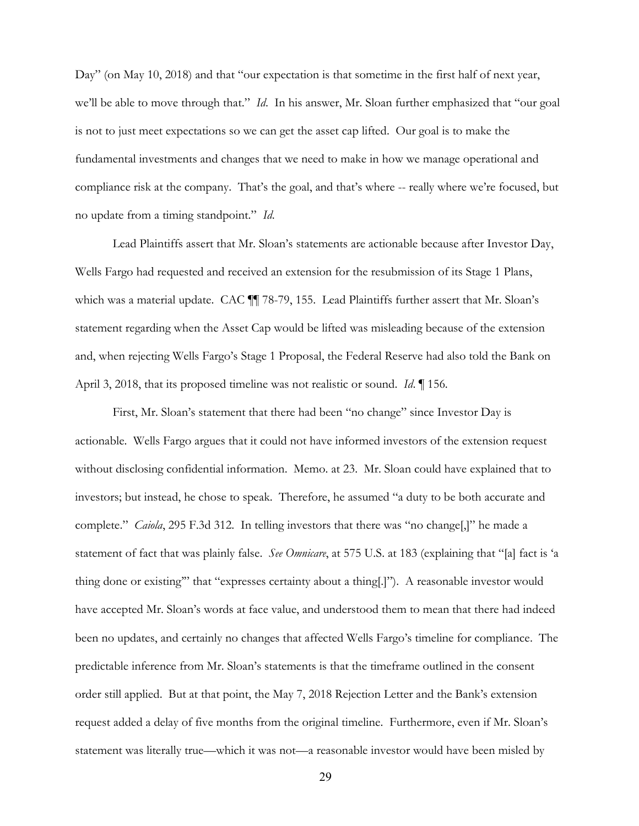Day" (on May 10, 2018) and that "our expectation is that sometime in the first half of next year, we'll be able to move through that." *Id*. In his answer, Mr. Sloan further emphasized that "our goal is not to just meet expectations so we can get the asset cap lifted. Our goal is to make the fundamental investments and changes that we need to make in how we manage operational and compliance risk at the company. That's the goal, and that's where -- really where we're focused, but no update from a timing standpoint." *Id*.

Lead Plaintiffs assert that Mr. Sloan's statements are actionable because after Investor Day, Wells Fargo had requested and received an extension for the resubmission of its Stage 1 Plans, which was a material update. CAC  $\P$  78-79, 155. Lead Plaintiffs further assert that Mr. Sloan's statement regarding when the Asset Cap would be lifted was misleading because of the extension and, when rejecting Wells Fargo's Stage 1 Proposal, the Federal Reserve had also told the Bank on April 3, 2018, that its proposed timeline was not realistic or sound. *Id*. ¶ 156.

First, Mr. Sloan's statement that there had been "no change" since Investor Day is actionable. Wells Fargo argues that it could not have informed investors of the extension request without disclosing confidential information. Memo. at 23. Mr. Sloan could have explained that to investors; but instead, he chose to speak. Therefore, he assumed "a duty to be both accurate and complete." *Caiola*, 295 F.3d 312. In telling investors that there was "no change[,]" he made a statement of fact that was plainly false. *See Omnicare*, at 575 U.S. at 183 (explaining that "[a] fact is 'a thing done or existing'" that "expresses certainty about a thing[.]"). A reasonable investor would have accepted Mr. Sloan's words at face value, and understood them to mean that there had indeed been no updates, and certainly no changes that affected Wells Fargo's timeline for compliance. The predictable inference from Mr. Sloan's statements is that the timeframe outlined in the consent order still applied. But at that point, the May 7, 2018 Rejection Letter and the Bank's extension request added a delay of five months from the original timeline. Furthermore, even if Mr. Sloan's statement was literally true—which it was not—a reasonable investor would have been misled by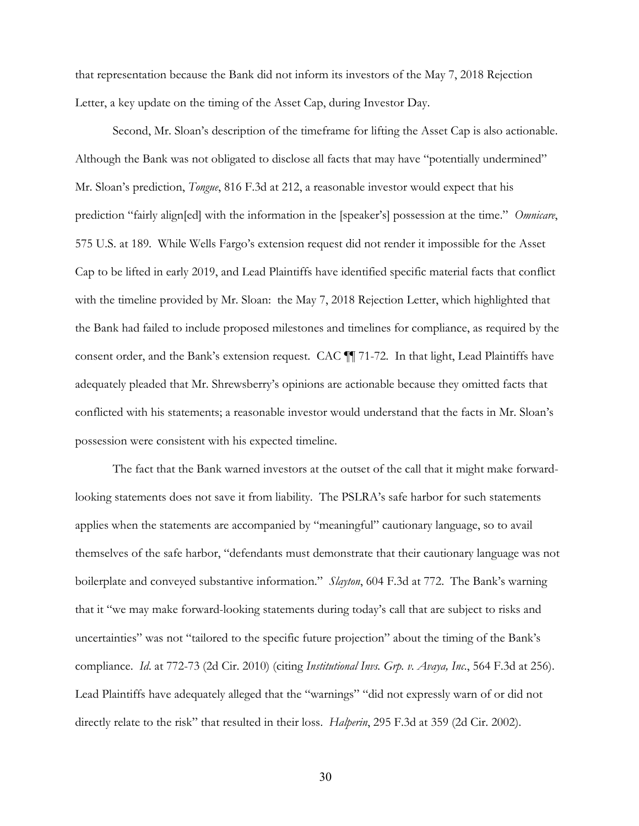that representation because the Bank did not inform its investors of the May 7, 2018 Rejection Letter, a key update on the timing of the Asset Cap, during Investor Day.

Second, Mr. Sloan's description of the timeframe for lifting the Asset Cap is also actionable. Although the Bank was not obligated to disclose all facts that may have "potentially undermined" Mr. Sloan's prediction, *Tongue*, 816 F.3d at 212, a reasonable investor would expect that his prediction "fairly align[ed] with the information in the [speaker's] possession at the time." *Omnicare*, 575 U.S. at 189. While Wells Fargo's extension request did not render it impossible for the Asset Cap to be lifted in early 2019, and Lead Plaintiffs have identified specific material facts that conflict with the timeline provided by Mr. Sloan: the May 7, 2018 Rejection Letter, which highlighted that the Bank had failed to include proposed milestones and timelines for compliance, as required by the consent order, and the Bank's extension request. CAC ¶¶ 71-72. In that light, Lead Plaintiffs have adequately pleaded that Mr. Shrewsberry's opinions are actionable because they omitted facts that conflicted with his statements; a reasonable investor would understand that the facts in Mr. Sloan's possession were consistent with his expected timeline.

The fact that the Bank warned investors at the outset of the call that it might make forwardlooking statements does not save it from liability. The PSLRA's safe harbor for such statements applies when the statements are accompanied by "meaningful" cautionary language, so to avail themselves of the safe harbor, "defendants must demonstrate that their cautionary language was not boilerplate and conveyed substantive information." *Slayton*, 604 F.3d at 772. The Bank's warning that it "we may make forward-looking statements during today's call that are subject to risks and uncertainties" was not "tailored to the specific future projection" about the timing of the Bank's compliance. *Id*. at 772-73 (2d Cir. 2010) (citing *Institutional Invs. Grp. v. Avaya, Inc*., 564 F.3d at 256). Lead Plaintiffs have adequately alleged that the "warnings" "did not expressly warn of or did not directly relate to the risk" that resulted in their loss. *Halperin*, 295 F.3d at 359 (2d Cir. 2002).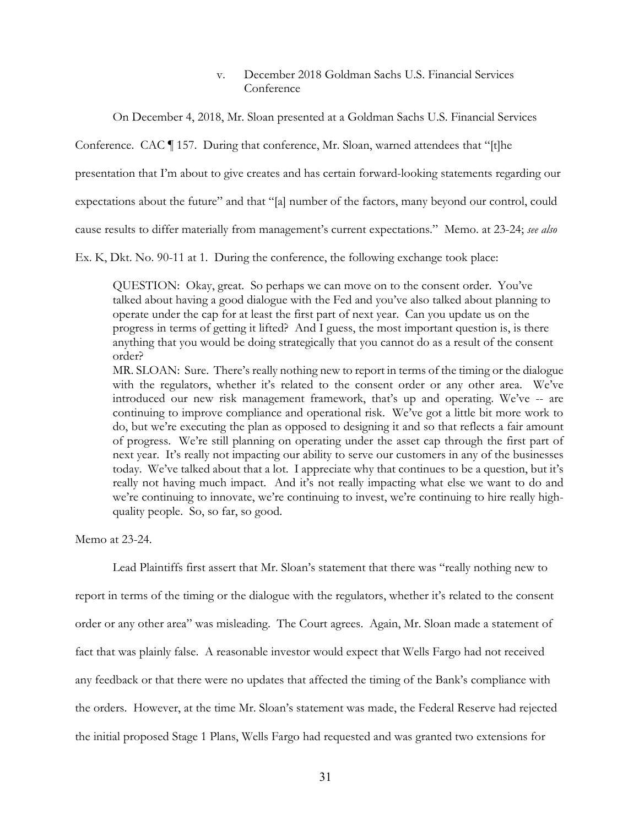# v. December 2018 Goldman Sachs U.S. Financial Services Conference

On December 4, 2018, Mr. Sloan presented at a Goldman Sachs U.S. Financial Services

Conference. CAC ¶ 157. During that conference, Mr. Sloan, warned attendees that "[t]he

presentation that I'm about to give creates and has certain forward-looking statements regarding our

expectations about the future" and that "[a] number of the factors, many beyond our control, could

cause results to differ materially from management's current expectations." Memo. at 23-24; *see also* 

Ex. K, Dkt. No. 90-11 at 1. During the conference, the following exchange took place:

QUESTION: Okay, great. So perhaps we can move on to the consent order. You've talked about having a good dialogue with the Fed and you've also talked about planning to operate under the cap for at least the first part of next year. Can you update us on the progress in terms of getting it lifted? And I guess, the most important question is, is there anything that you would be doing strategically that you cannot do as a result of the consent order?

MR. SLOAN: Sure. There's really nothing new to report in terms of the timing or the dialogue with the regulators, whether it's related to the consent order or any other area. We've introduced our new risk management framework, that's up and operating. We've -- are continuing to improve compliance and operational risk. We've got a little bit more work to do, but we're executing the plan as opposed to designing it and so that reflects a fair amount of progress. We're still planning on operating under the asset cap through the first part of next year. It's really not impacting our ability to serve our customers in any of the businesses today. We've talked about that a lot. I appreciate why that continues to be a question, but it's really not having much impact. And it's not really impacting what else we want to do and we're continuing to innovate, we're continuing to invest, we're continuing to hire really highquality people. So, so far, so good.

Memo at 23-24.

Lead Plaintiffs first assert that Mr. Sloan's statement that there was "really nothing new to

report in terms of the timing or the dialogue with the regulators, whether it's related to the consent order or any other area" was misleading. The Court agrees. Again, Mr. Sloan made a statement of fact that was plainly false. A reasonable investor would expect that Wells Fargo had not received any feedback or that there were no updates that affected the timing of the Bank's compliance with the orders. However, at the time Mr. Sloan's statement was made, the Federal Reserve had rejected the initial proposed Stage 1 Plans, Wells Fargo had requested and was granted two extensions for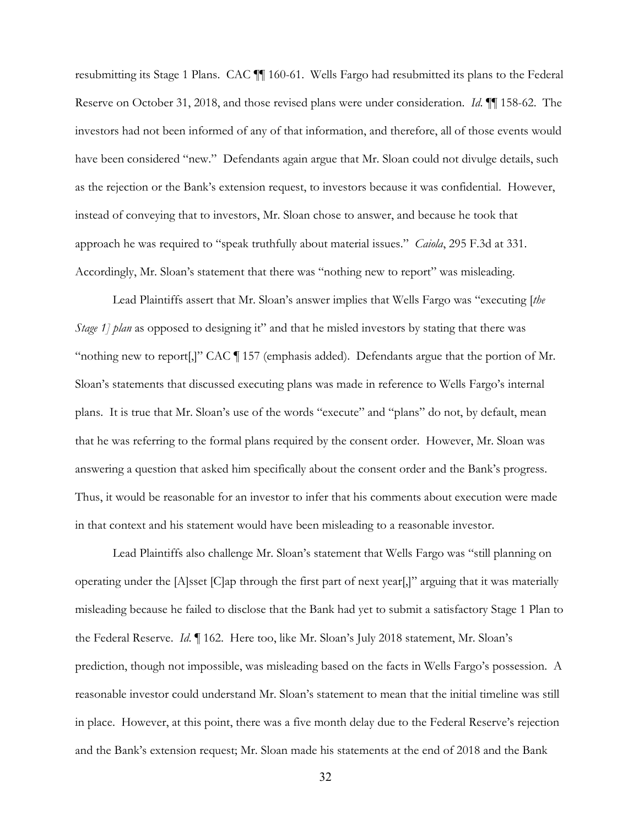resubmitting its Stage 1 Plans. CAC ¶¶ 160-61. Wells Fargo had resubmitted its plans to the Federal Reserve on October 31, 2018, and those revised plans were under consideration. *Id*. ¶¶ 158-62. The investors had not been informed of any of that information, and therefore, all of those events would have been considered "new." Defendants again argue that Mr. Sloan could not divulge details, such as the rejection or the Bank's extension request, to investors because it was confidential. However, instead of conveying that to investors, Mr. Sloan chose to answer, and because he took that approach he was required to "speak truthfully about material issues." *Caiola*, 295 F.3d at 331. Accordingly, Mr. Sloan's statement that there was "nothing new to report" was misleading.

Lead Plaintiffs assert that Mr. Sloan's answer implies that Wells Fargo was "executing [*the Stage 1] plan* as opposed to designing it" and that he misled investors by stating that there was "nothing new to report[,]" CAC ¶ 157 (emphasis added). Defendants argue that the portion of Mr. Sloan's statements that discussed executing plans was made in reference to Wells Fargo's internal plans. It is true that Mr. Sloan's use of the words "execute" and "plans" do not, by default, mean that he was referring to the formal plans required by the consent order. However, Mr. Sloan was answering a question that asked him specifically about the consent order and the Bank's progress. Thus, it would be reasonable for an investor to infer that his comments about execution were made in that context and his statement would have been misleading to a reasonable investor.

Lead Plaintiffs also challenge Mr. Sloan's statement that Wells Fargo was "still planning on operating under the [A]sset [C]ap through the first part of next year[,]" arguing that it was materially misleading because he failed to disclose that the Bank had yet to submit a satisfactory Stage 1 Plan to the Federal Reserve. *Id*. ¶ 162. Here too, like Mr. Sloan's July 2018 statement, Mr. Sloan's prediction, though not impossible, was misleading based on the facts in Wells Fargo's possession. A reasonable investor could understand Mr. Sloan's statement to mean that the initial timeline was still in place. However, at this point, there was a five month delay due to the Federal Reserve's rejection and the Bank's extension request; Mr. Sloan made his statements at the end of 2018 and the Bank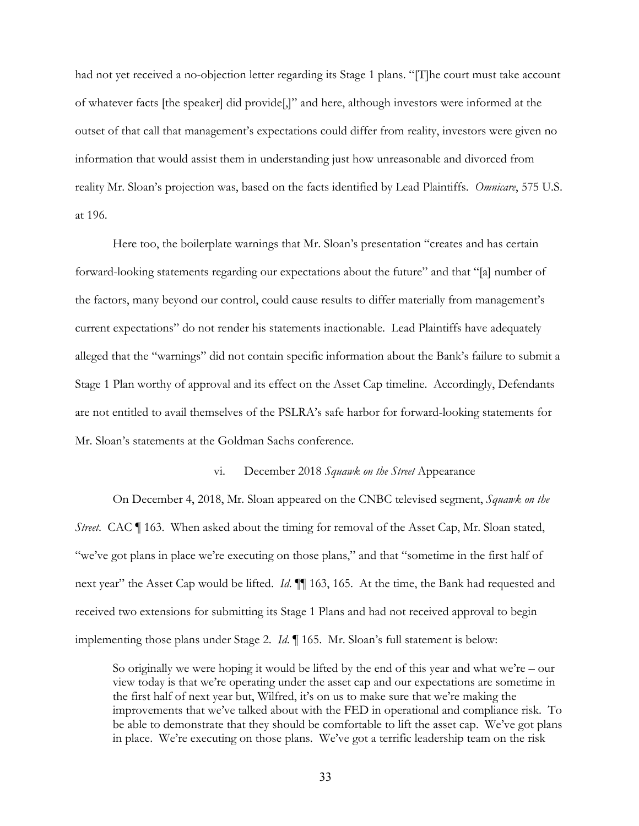had not yet received a no-objection letter regarding its Stage 1 plans. "[T]he court must take account of whatever facts [the speaker] did provide[,]" and here, although investors were informed at the outset of that call that management's expectations could differ from reality, investors were given no information that would assist them in understanding just how unreasonable and divorced from reality Mr. Sloan's projection was, based on the facts identified by Lead Plaintiffs. *Omnicare*, 575 U.S. at 196.

Here too, the boilerplate warnings that Mr. Sloan's presentation "creates and has certain forward-looking statements regarding our expectations about the future" and that "[a] number of the factors, many beyond our control, could cause results to differ materially from management's current expectations" do not render his statements inactionable. Lead Plaintiffs have adequately alleged that the "warnings" did not contain specific information about the Bank's failure to submit a Stage 1 Plan worthy of approval and its effect on the Asset Cap timeline. Accordingly, Defendants are not entitled to avail themselves of the PSLRA's safe harbor for forward-looking statements for Mr. Sloan's statements at the Goldman Sachs conference.

## vi. December 2018 *Squawk on the Street* Appearance

On December 4, 2018, Mr. Sloan appeared on the CNBC televised segment, *Squawk on the Street*. CAC ¶ 163. When asked about the timing for removal of the Asset Cap, Mr. Sloan stated, "we've got plans in place we're executing on those plans," and that "sometime in the first half of next year" the Asset Cap would be lifted. *Id*. ¶¶ 163, 165. At the time, the Bank had requested and received two extensions for submitting its Stage 1 Plans and had not received approval to begin implementing those plans under Stage 2. *Id*. ¶ 165. Mr. Sloan's full statement is below:

So originally we were hoping it would be lifted by the end of this year and what we're – our view today is that we're operating under the asset cap and our expectations are sometime in the first half of next year but, Wilfred, it's on us to make sure that we're making the improvements that we've talked about with the FED in operational and compliance risk. To be able to demonstrate that they should be comfortable to lift the asset cap. We've got plans in place. We're executing on those plans. We've got a terrific leadership team on the risk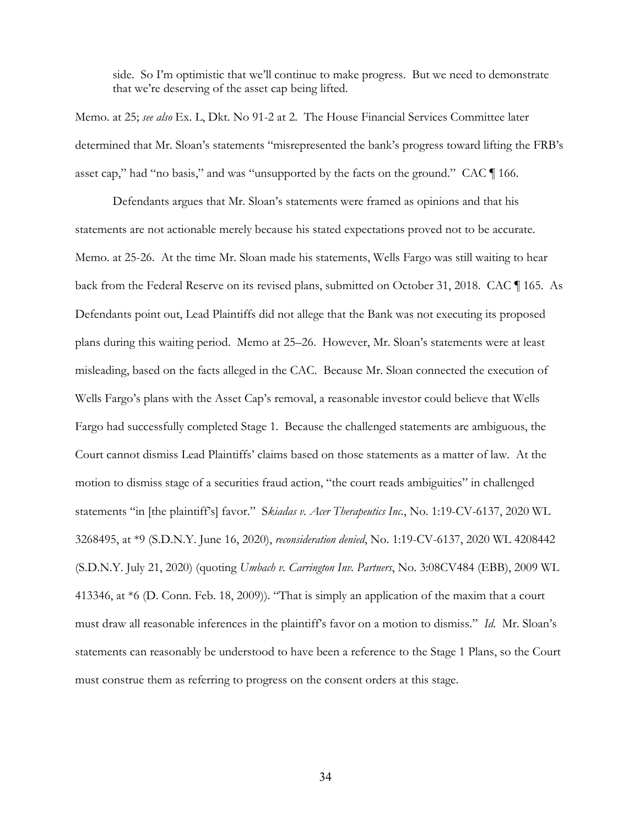side. So I'm optimistic that we'll continue to make progress. But we need to demonstrate that we're deserving of the asset cap being lifted.

Memo. at 25; *see also* Ex. L, Dkt. No 91-2 at 2. The House Financial Services Committee later determined that Mr. Sloan's statements "misrepresented the bank's progress toward lifting the FRB's asset cap," had "no basis," and was "unsupported by the facts on the ground." CAC ¶ 166.

Defendants argues that Mr. Sloan's statements were framed as opinions and that his statements are not actionable merely because his stated expectations proved not to be accurate. Memo. at 25-26. At the time Mr. Sloan made his statements, Wells Fargo was still waiting to hear back from the Federal Reserve on its revised plans, submitted on October 31, 2018. CAC ¶ 165. As Defendants point out, Lead Plaintiffs did not allege that the Bank was not executing its proposed plans during this waiting period. Memo at 25–26. However, Mr. Sloan's statements were at least misleading, based on the facts alleged in the CAC. Because Mr. Sloan connected the execution of Wells Fargo's plans with the Asset Cap's removal, a reasonable investor could believe that Wells Fargo had successfully completed Stage 1. Because the challenged statements are ambiguous, the Court cannot dismiss Lead Plaintiffs' claims based on those statements as a matter of law. At the motion to dismiss stage of a securities fraud action, "the court reads ambiguities" in challenged statements "in [the plaintiff's] favor." S*kiadas v. Acer Therapeutics Inc.*, No. 1:19-CV-6137, 2020 WL 3268495, at \*9 (S.D.N.Y. June 16, 2020), *reconsideration denied*, No. 1:19-CV-6137, 2020 WL 4208442 (S.D.N.Y. July 21, 2020) (quoting *Umbach v. Carrington Inv. Partners*, No. 3:08CV484 (EBB), 2009 WL 413346, at \*6 (D. Conn. Feb. 18, 2009)). "That is simply an application of the maxim that a court must draw all reasonable inferences in the plaintiff's favor on a motion to dismiss." *Id*. Mr. Sloan's statements can reasonably be understood to have been a reference to the Stage 1 Plans, so the Court must construe them as referring to progress on the consent orders at this stage.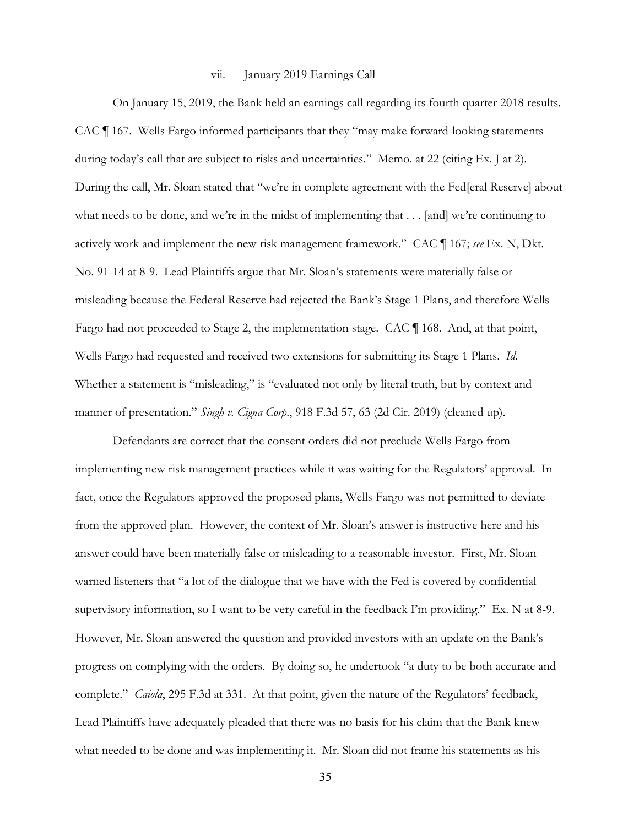#### vii. January 2019 Earnings Call

On January 15, 2019, the Bank held an earnings call regarding its fourth quarter 2018 results. CAC ¶ 167. Wells Fargo informed participants that they "may make forward-looking statements during today's call that are subject to risks and uncertainties." Memo. at 22 (citing Ex. J at 2). During the call, Mr. Sloan stated that "we're in complete agreement with the Fed[eral Reserve] about what needs to be done, and we're in the midst of implementing that  $\dots$  [and] we're continuing to actively work and implement the new risk management framework." CAC ¶ 167; *see* Ex. N, Dkt. No. 91-14 at 8-9. Lead Plaintiffs argue that Mr. Sloan's statements were materially false or misleading because the Federal Reserve had rejected the Bank's Stage 1 Plans, and therefore Wells Fargo had not proceeded to Stage 2, the implementation stage. CAC ¶ 168. And, at that point, Wells Fargo had requested and received two extensions for submitting its Stage 1 Plans. *Id*. Whether a statement is "misleading," is "evaluated not only by literal truth, but by context and manner of presentation." *Singh v. Cigna Corp*., 918 F.3d 57, 63 (2d Cir. 2019) (cleaned up).

Defendants are correct that the consent orders did not preclude Wells Fargo from implementing new risk management practices while it was waiting for the Regulators' approval. In fact, once the Regulators approved the proposed plans, Wells Fargo was not permitted to deviate from the approved plan. However, the context of Mr. Sloan's answer is instructive here and his answer could have been materially false or misleading to a reasonable investor. First, Mr. Sloan warned listeners that "a lot of the dialogue that we have with the Fed is covered by confidential supervisory information, so I want to be very careful in the feedback I'm providing." Ex. N at 8-9. However, Mr. Sloan answered the question and provided investors with an update on the Bank's progress on complying with the orders. By doing so, he undertook "a duty to be both accurate and complete." *Caiola*, 295 F.3d at 331. At that point, given the nature of the Regulators' feedback, Lead Plaintiffs have adequately pleaded that there was no basis for his claim that the Bank knew what needed to be done and was implementing it. Mr. Sloan did not frame his statements as his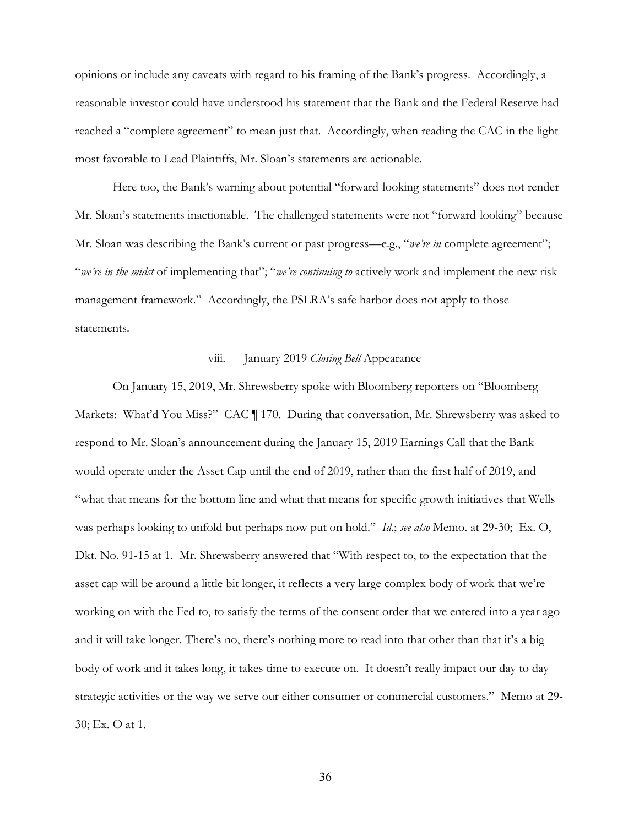opinions or include any caveats with regard to his framing of the Bank's progress. Accordingly, a reasonable investor could have understood his statement that the Bank and the Federal Reserve had reached a "complete agreement" to mean just that. Accordingly, when reading the CAC in the light most favorable to Lead Plaintiffs, Mr. Sloan's statements are actionable.

Here too, the Bank's warning about potential "forward-looking statements" does not render Mr. Sloan's statements inactionable. The challenged statements were not "forward-looking" because Mr. Sloan was describing the Bank's current or past progress—e.g., "*we're in* complete agreement"; "*we're in the midst* of implementing that"; "*we're continuing to* actively work and implement the new risk management framework." Accordingly, the PSLRA's safe harbor does not apply to those statements.

## viii. January 2019 *Closing Bell* Appearance

On January 15, 2019, Mr. Shrewsberry spoke with Bloomberg reporters on "Bloomberg Markets: What'd You Miss?" CAC [170. During that conversation, Mr. Shrewsberry was asked to respond to Mr. Sloan's announcement during the January 15, 2019 Earnings Call that the Bank would operate under the Asset Cap until the end of 2019, rather than the first half of 2019, and "what that means for the bottom line and what that means for specific growth initiatives that Wells was perhaps looking to unfold but perhaps now put on hold." *Id*.; *see also* Memo. at 29-30; Ex. O, Dkt. No. 91-15 at 1. Mr. Shrewsberry answered that "With respect to, to the expectation that the asset cap will be around a little bit longer, it reflects a very large complex body of work that we're working on with the Fed to, to satisfy the terms of the consent order that we entered into a year ago and it will take longer. There's no, there's nothing more to read into that other than that it's a big body of work and it takes long, it takes time to execute on. It doesn't really impact our day to day strategic activities or the way we serve our either consumer or commercial customers." Memo at 29- 30; Ex. O at 1.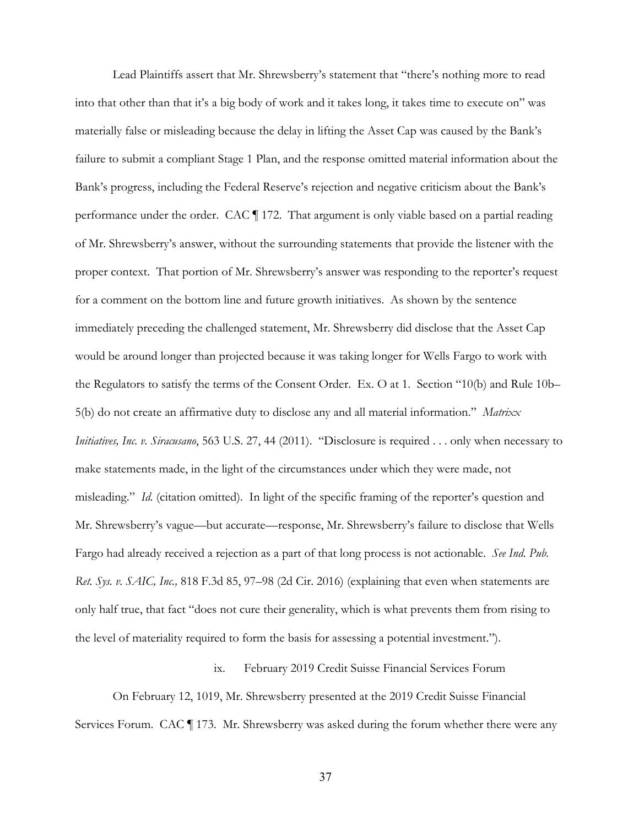Lead Plaintiffs assert that Mr. Shrewsberry's statement that "there's nothing more to read into that other than that it's a big body of work and it takes long, it takes time to execute on" was materially false or misleading because the delay in lifting the Asset Cap was caused by the Bank's failure to submit a compliant Stage 1 Plan, and the response omitted material information about the Bank's progress, including the Federal Reserve's rejection and negative criticism about the Bank's performance under the order. CAC ¶ 172. That argument is only viable based on a partial reading of Mr. Shrewsberry's answer, without the surrounding statements that provide the listener with the proper context. That portion of Mr. Shrewsberry's answer was responding to the reporter's request for a comment on the bottom line and future growth initiatives. As shown by the sentence immediately preceding the challenged statement, Mr. Shrewsberry did disclose that the Asset Cap would be around longer than projected because it was taking longer for Wells Fargo to work with the Regulators to satisfy the terms of the Consent Order. Ex. O at 1. Section "10(b) and Rule 10b– 5(b) do not create an affirmative duty to disclose any and all material information." *Matrixx Initiatives, Inc. v. Siracusano*, 563 U.S. 27, 44 (2011). "Disclosure is required . . . only when necessary to make statements made, in the light of the circumstances under which they were made, not misleading." *Id.* (citation omitted). In light of the specific framing of the reporter's question and Mr. Shrewsberry's vague—but accurate—response, Mr. Shrewsberry's failure to disclose that Wells Fargo had already received a rejection as a part of that long process is not actionable. *See Ind. Pub. Ret. Sys. v. SAIC, Inc.,* 818 F.3d 85, 97–98 (2d Cir. 2016) (explaining that even when statements are only half true, that fact "does not cure their generality, which is what prevents them from rising to the level of materiality required to form the basis for assessing a potential investment.").

## ix. February 2019 Credit Suisse Financial Services Forum

On February 12, 1019, Mr. Shrewsberry presented at the 2019 Credit Suisse Financial Services Forum. CAC ¶ 173. Mr. Shrewsberry was asked during the forum whether there were any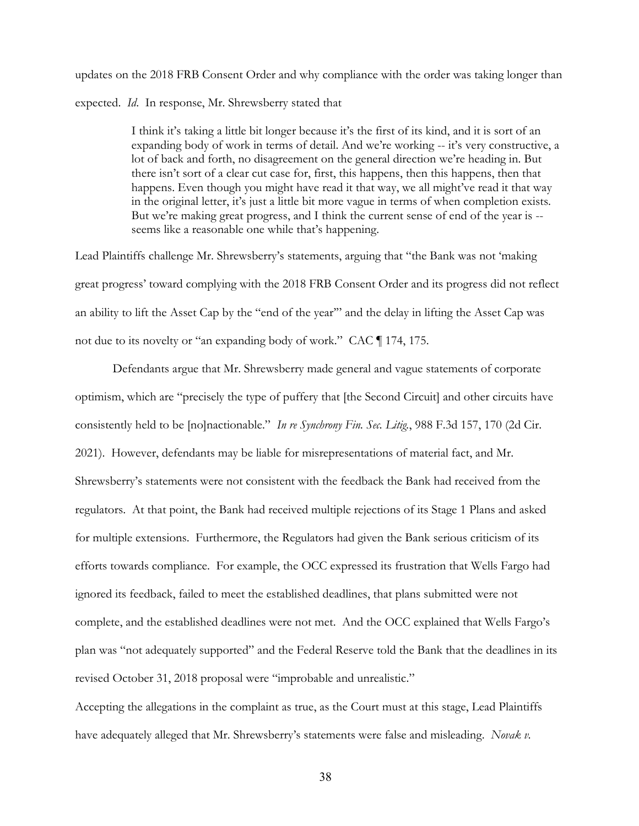updates on the 2018 FRB Consent Order and why compliance with the order was taking longer than expected. *Id*. In response, Mr. Shrewsberry stated that

> I think it's taking a little bit longer because it's the first of its kind, and it is sort of an expanding body of work in terms of detail. And we're working -- it's very constructive, a lot of back and forth, no disagreement on the general direction we're heading in. But there isn't sort of a clear cut case for, first, this happens, then this happens, then that happens. Even though you might have read it that way, we all might've read it that way in the original letter, it's just a little bit more vague in terms of when completion exists. But we're making great progress, and I think the current sense of end of the year is - seems like a reasonable one while that's happening.

Lead Plaintiffs challenge Mr. Shrewsberry's statements, arguing that "the Bank was not 'making great progress' toward complying with the 2018 FRB Consent Order and its progress did not reflect an ability to lift the Asset Cap by the "end of the year'" and the delay in lifting the Asset Cap was not due to its novelty or "an expanding body of work." CAC ¶ 174, 175.

Defendants argue that Mr. Shrewsberry made general and vague statements of corporate optimism, which are "precisely the type of puffery that [the Second Circuit] and other circuits have consistently held to be [no]nactionable." *In re Synchrony Fin. Sec. Litig.*, 988 F.3d 157, 170 (2d Cir. 2021). However, defendants may be liable for misrepresentations of material fact, and Mr. Shrewsberry's statements were not consistent with the feedback the Bank had received from the regulators. At that point, the Bank had received multiple rejections of its Stage 1 Plans and asked for multiple extensions. Furthermore, the Regulators had given the Bank serious criticism of its efforts towards compliance. For example, the OCC expressed its frustration that Wells Fargo had ignored its feedback, failed to meet the established deadlines, that plans submitted were not complete, and the established deadlines were not met. And the OCC explained that Wells Fargo's plan was "not adequately supported" and the Federal Reserve told the Bank that the deadlines in its revised October 31, 2018 proposal were "improbable and unrealistic."

Accepting the allegations in the complaint as true, as the Court must at this stage, Lead Plaintiffs have adequately alleged that Mr. Shrewsberry's statements were false and misleading. *Novak v.*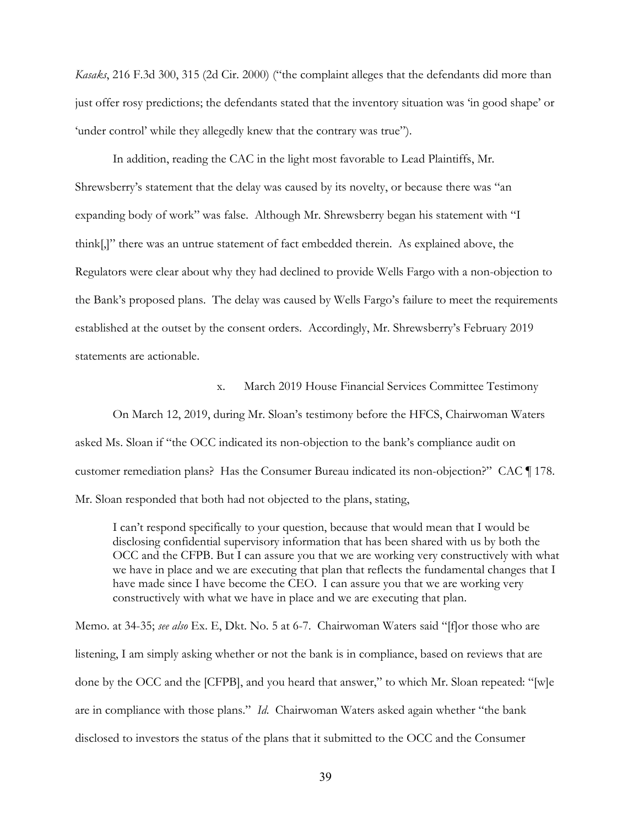*Kasaks*, 216 F.3d 300, 315 (2d Cir. 2000) ("the complaint alleges that the defendants did more than just offer rosy predictions; the defendants stated that the inventory situation was 'in good shape' or 'under control' while they allegedly knew that the contrary was true").

In addition, reading the CAC in the light most favorable to Lead Plaintiffs, Mr. Shrewsberry's statement that the delay was caused by its novelty, or because there was "an expanding body of work" was false. Although Mr. Shrewsberry began his statement with "I think[,]" there was an untrue statement of fact embedded therein. As explained above, the Regulators were clear about why they had declined to provide Wells Fargo with a non-objection to the Bank's proposed plans. The delay was caused by Wells Fargo's failure to meet the requirements established at the outset by the consent orders. Accordingly, Mr. Shrewsberry's February 2019 statements are actionable.

x. March 2019 House Financial Services Committee Testimony

On March 12, 2019, during Mr. Sloan's testimony before the HFCS, Chairwoman Waters asked Ms. Sloan if "the OCC indicated its non-objection to the bank's compliance audit on customer remediation plans? Has the Consumer Bureau indicated its non-objection?" CAC ¶ 178. Mr. Sloan responded that both had not objected to the plans, stating,

I can't respond specifically to your question, because that would mean that I would be disclosing confidential supervisory information that has been shared with us by both the OCC and the CFPB. But I can assure you that we are working very constructively with what we have in place and we are executing that plan that reflects the fundamental changes that I have made since I have become the CEO. I can assure you that we are working very constructively with what we have in place and we are executing that plan.

Memo. at 34-35; *see also* Ex. E, Dkt. No. 5 at 6-7. Chairwoman Waters said "[f]or those who are listening, I am simply asking whether or not the bank is in compliance, based on reviews that are done by the OCC and the [CFPB], and you heard that answer," to which Mr. Sloan repeated: "[w]e are in compliance with those plans." *Id*. Chairwoman Waters asked again whether "the bank disclosed to investors the status of the plans that it submitted to the OCC and the Consumer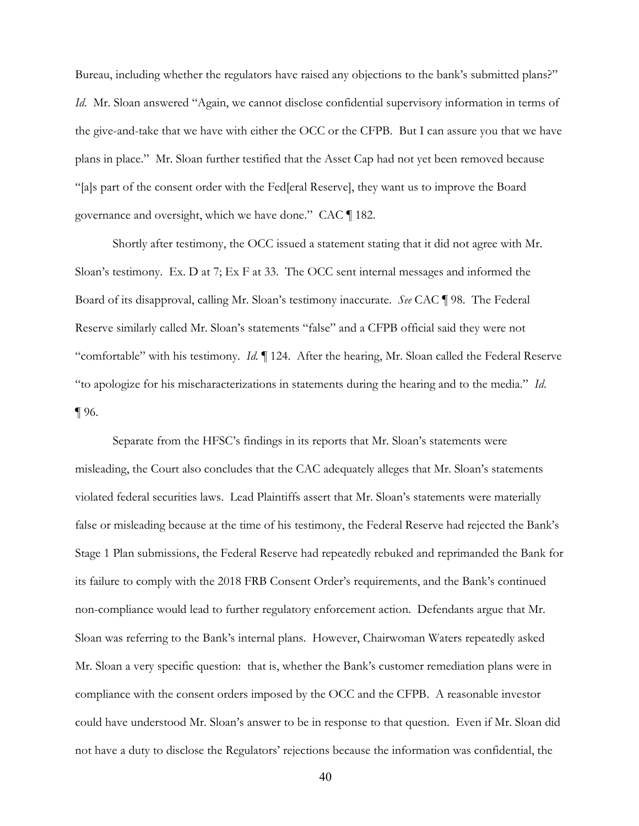Bureau, including whether the regulators have raised any objections to the bank's submitted plans?" *Id*.Mr. Sloan answered "Again, we cannot disclose confidential supervisory information in terms of the give-and-take that we have with either the OCC or the CFPB. But I can assure you that we have plans in place." Mr. Sloan further testified that the Asset Cap had not yet been removed because "[a]s part of the consent order with the Fed[eral Reserve], they want us to improve the Board governance and oversight, which we have done." CAC ¶ 182.

Shortly after testimony, the OCC issued a statement stating that it did not agree with Mr. Sloan's testimony. Ex. D at 7; Ex F at 33. The OCC sent internal messages and informed the Board of its disapproval, calling Mr. Sloan's testimony inaccurate. *See* CAC ¶ 98. The Federal Reserve similarly called Mr. Sloan's statements "false" and a CFPB official said they were not "comfortable" with his testimony. *Id.* ¶ 124. After the hearing, Mr. Sloan called the Federal Reserve "to apologize for his mischaracterizations in statements during the hearing and to the media." *Id*. ¶ 96.

Separate from the HFSC's findings in its reports that Mr. Sloan's statements were misleading, the Court also concludes that the CAC adequately alleges that Mr. Sloan's statements violated federal securities laws. Lead Plaintiffs assert that Mr. Sloan's statements were materially false or misleading because at the time of his testimony, the Federal Reserve had rejected the Bank's Stage 1 Plan submissions, the Federal Reserve had repeatedly rebuked and reprimanded the Bank for its failure to comply with the 2018 FRB Consent Order's requirements, and the Bank's continued non-compliance would lead to further regulatory enforcement action. Defendants argue that Mr. Sloan was referring to the Bank's internal plans. However, Chairwoman Waters repeatedly asked Mr. Sloan a very specific question: that is, whether the Bank's customer remediation plans were in compliance with the consent orders imposed by the OCC and the CFPB. A reasonable investor could have understood Mr. Sloan's answer to be in response to that question. Even if Mr. Sloan did not have a duty to disclose the Regulators' rejections because the information was confidential, the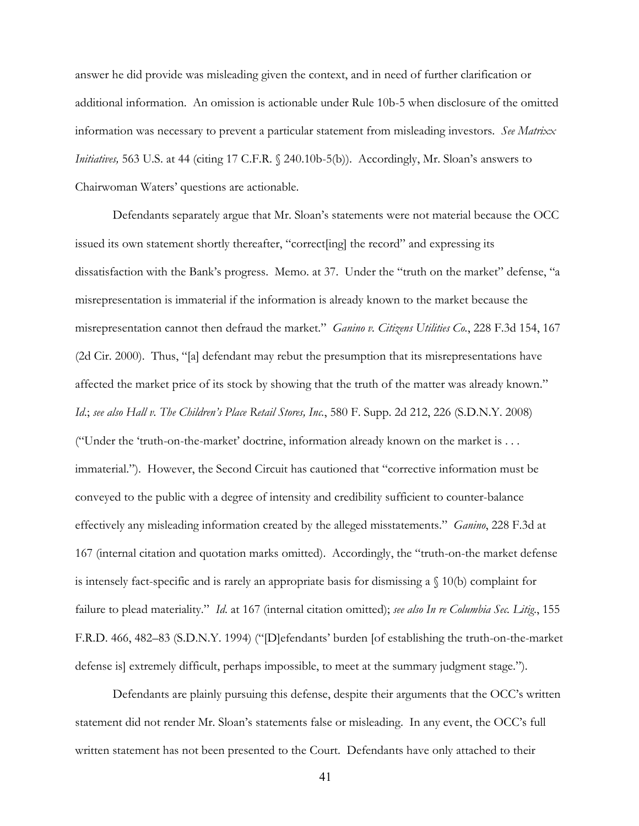answer he did provide was misleading given the context, and in need of further clarification or additional information. An omission is actionable under Rule 10b-5 when disclosure of the omitted information was necessary to prevent a particular statement from misleading investors. *See Matrixx Initiatives*, 563 U.S. at 44 (citing 17 C.F.R. § 240.10b-5(b)). Accordingly, Mr. Sloan's answers to Chairwoman Waters' questions are actionable.

Defendants separately argue that Mr. Sloan's statements were not material because the OCC issued its own statement shortly thereafter, "correct[ing] the record" and expressing its dissatisfaction with the Bank's progress. Memo. at 37. Under the "truth on the market" defense, "a misrepresentation is immaterial if the information is already known to the market because the misrepresentation cannot then defraud the market." *Ganino v. Citizens Utilities Co.*, 228 F.3d 154, 167 (2d Cir. 2000). Thus, "[a] defendant may rebut the presumption that its misrepresentations have affected the market price of its stock by showing that the truth of the matter was already known." *Id*.; *see also Hall v. The Children's Place Retail Stores, Inc.*, 580 F. Supp. 2d 212, 226 (S.D.N.Y. 2008) ("Under the 'truth-on-the-market' doctrine, information already known on the market is . . . immaterial."). However, the Second Circuit has cautioned that "corrective information must be conveyed to the public with a degree of intensity and credibility sufficient to counter-balance effectively any misleading information created by the alleged misstatements." *Ganino*, 228 F.3d at 167 (internal citation and quotation marks omitted). Accordingly, the "truth-on-the market defense is intensely fact-specific and is rarely an appropriate basis for dismissing a  $\{(10)(b) \text{ complaint for }$ failure to plead materiality." *Id*. at 167 (internal citation omitted); *see also In re Columbia Sec. Litig*., 155 F.R.D. 466, 482–83 (S.D.N.Y. 1994) ("[D]efendants' burden [of establishing the truth-on-the-market defense is] extremely difficult, perhaps impossible, to meet at the summary judgment stage.").

Defendants are plainly pursuing this defense, despite their arguments that the OCC's written statement did not render Mr. Sloan's statements false or misleading. In any event, the OCC's full written statement has not been presented to the Court. Defendants have only attached to their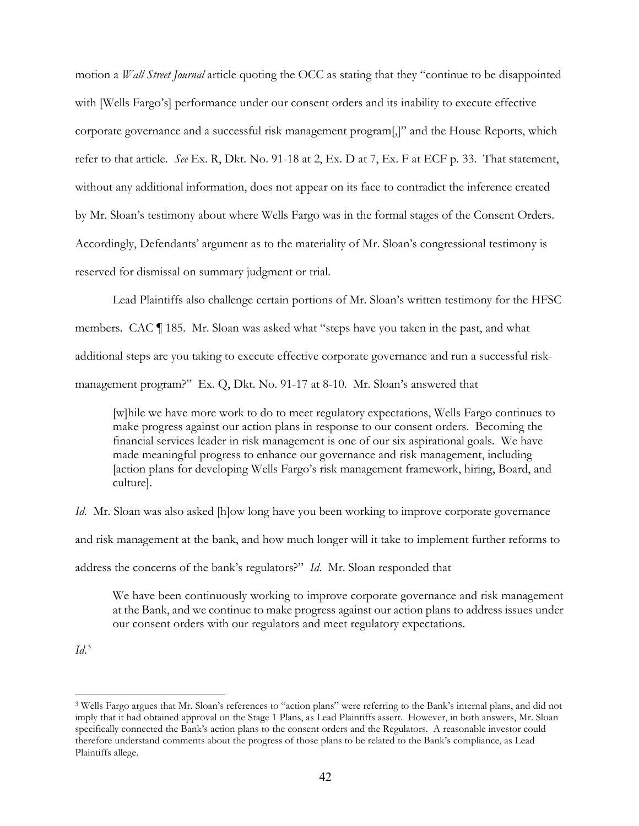motion a *Wall Street Journal* article quoting the OCC as stating that they "continue to be disappointed with [Wells Fargo's] performance under our consent orders and its inability to execute effective corporate governance and a successful risk management program[,]" and the House Reports, which refer to that article. *See* Ex. R, Dkt. No. 91-18 at 2, Ex. D at 7, Ex. F at ECF p. 33. That statement, without any additional information, does not appear on its face to contradict the inference created by Mr. Sloan's testimony about where Wells Fargo was in the formal stages of the Consent Orders. Accordingly, Defendants' argument as to the materiality of Mr. Sloan's congressional testimony is reserved for dismissal on summary judgment or trial.

Lead Plaintiffs also challenge certain portions of Mr. Sloan's written testimony for the HFSC members. CAC ¶ 185. Mr. Sloan was asked what "steps have you taken in the past, and what additional steps are you taking to execute effective corporate governance and run a successful riskmanagement program?" Ex. Q, Dkt. No. 91-17 at 8-10. Mr. Sloan's answered that

[w]hile we have more work to do to meet regulatory expectations, Wells Fargo continues to make progress against our action plans in response to our consent orders. Becoming the financial services leader in risk management is one of our six aspirational goals. We have made meaningful progress to enhance our governance and risk management, including [action plans for developing Wells Fargo's risk management framework, hiring, Board, and culture].

*Id.* Mr. Sloan was also asked [h]ow long have you been working to improve corporate governance and risk management at the bank, and how much longer will it take to implement further reforms to address the concerns of the bank's regulators?" *Id*. Mr. Sloan responded that

We have been continuously working to improve corporate governance and risk management at the Bank, and we continue to make progress against our action plans to address issues under our consent orders with our regulators and meet regulatory expectations.

*Id*. 3

<sup>3</sup> Wells Fargo argues that Mr. Sloan's references to "action plans" were referring to the Bank's internal plans, and did not imply that it had obtained approval on the Stage 1 Plans, as Lead Plaintiffs assert. However, in both answers, Mr. Sloan specifically connected the Bank's action plans to the consent orders and the Regulators. A reasonable investor could therefore understand comments about the progress of those plans to be related to the Bank's compliance, as Lead Plaintiffs allege.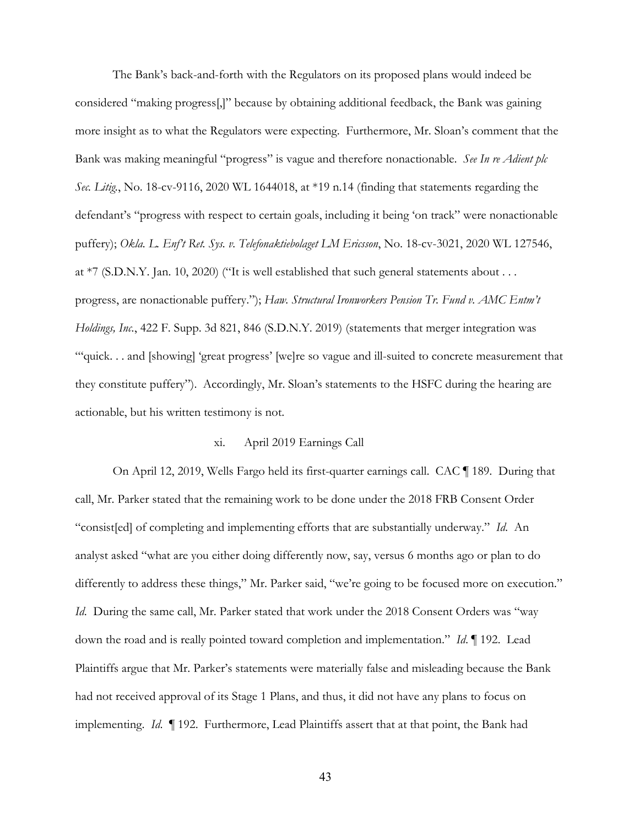The Bank's back-and-forth with the Regulators on its proposed plans would indeed be considered "making progress[,]" because by obtaining additional feedback, the Bank was gaining more insight as to what the Regulators were expecting. Furthermore, Mr. Sloan's comment that the Bank was making meaningful "progress" is vague and therefore nonactionable. *See In re Adient plc Sec. Litig.*, No. 18-cv-9116, 2020 WL 1644018, at \*19 n.14 (finding that statements regarding the defendant's "progress with respect to certain goals, including it being 'on track" were nonactionable puffery); *Okla. L. Enf't Ret. Sys. v. Telefonaktiebolaget LM Ericsson*, No. 18-cv-3021, 2020 WL 127546, at \*7 (S.D.N.Y. Jan. 10, 2020) ("It is well established that such general statements about . . . progress, are nonactionable puffery."); *Haw. Structural Ironworkers Pension Tr. Fund v. AMC Entm't Holdings, Inc.*, 422 F. Supp. 3d 821, 846 (S.D.N.Y. 2019) (statements that merger integration was "'quick. . . and [showing] 'great progress' [we]re so vague and ill-suited to concrete measurement that they constitute puffery"). Accordingly, Mr. Sloan's statements to the HSFC during the hearing are actionable, but his written testimony is not.

#### xi. April 2019 Earnings Call

On April 12, 2019, Wells Fargo held its first-quarter earnings call. CAC ¶ 189. During that call, Mr. Parker stated that the remaining work to be done under the 2018 FRB Consent Order "consist[ed] of completing and implementing efforts that are substantially underway." *Id*. An analyst asked "what are you either doing differently now, say, versus 6 months ago or plan to do differently to address these things," Mr. Parker said, "we're going to be focused more on execution." *Id.* During the same call, Mr. Parker stated that work under the 2018 Consent Orders was "way" down the road and is really pointed toward completion and implementation." *Id*. ¶ 192. Lead Plaintiffs argue that Mr. Parker's statements were materially false and misleading because the Bank had not received approval of its Stage 1 Plans, and thus, it did not have any plans to focus on implementing. *Id*. ¶ 192. Furthermore, Lead Plaintiffs assert that at that point, the Bank had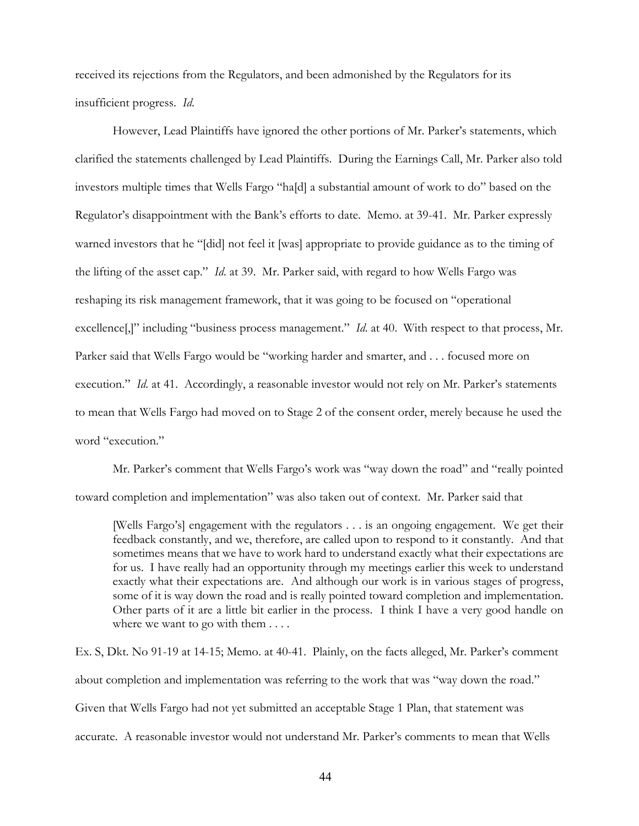received its rejections from the Regulators, and been admonished by the Regulators for its insufficient progress. *Id*.

However, Lead Plaintiffs have ignored the other portions of Mr. Parker's statements, which clarified the statements challenged by Lead Plaintiffs. During the Earnings Call, Mr. Parker also told investors multiple times that Wells Fargo "ha[d] a substantial amount of work to do" based on the Regulator's disappointment with the Bank's efforts to date. Memo. at 39-41. Mr. Parker expressly warned investors that he "[did] not feel it [was] appropriate to provide guidance as to the timing of the lifting of the asset cap." *Id*. at 39. Mr. Parker said, with regard to how Wells Fargo was reshaping its risk management framework, that it was going to be focused on "operational excellence[,]" including "business process management." *Id*. at 40. With respect to that process, Mr. Parker said that Wells Fargo would be "working harder and smarter, and . . . focused more on execution." *Id.* at 41. Accordingly, a reasonable investor would not rely on Mr. Parker's statements to mean that Wells Fargo had moved on to Stage 2 of the consent order, merely because he used the word "execution."

Mr. Parker's comment that Wells Fargo's work was "way down the road" and "really pointed toward completion and implementation" was also taken out of context. Mr. Parker said that

[Wells Fargo's] engagement with the regulators . . . is an ongoing engagement. We get their feedback constantly, and we, therefore, are called upon to respond to it constantly. And that sometimes means that we have to work hard to understand exactly what their expectations are for us. I have really had an opportunity through my meetings earlier this week to understand exactly what their expectations are. And although our work is in various stages of progress, some of it is way down the road and is really pointed toward completion and implementation. Other parts of it are a little bit earlier in the process. I think I have a very good handle on where we want to go with them . . . .

Ex. S, Dkt. No 91-19 at 14-15; Memo. at 40-41. Plainly, on the facts alleged, Mr. Parker's comment about completion and implementation was referring to the work that was "way down the road." Given that Wells Fargo had not yet submitted an acceptable Stage 1 Plan, that statement was accurate. A reasonable investor would not understand Mr. Parker's comments to mean that Wells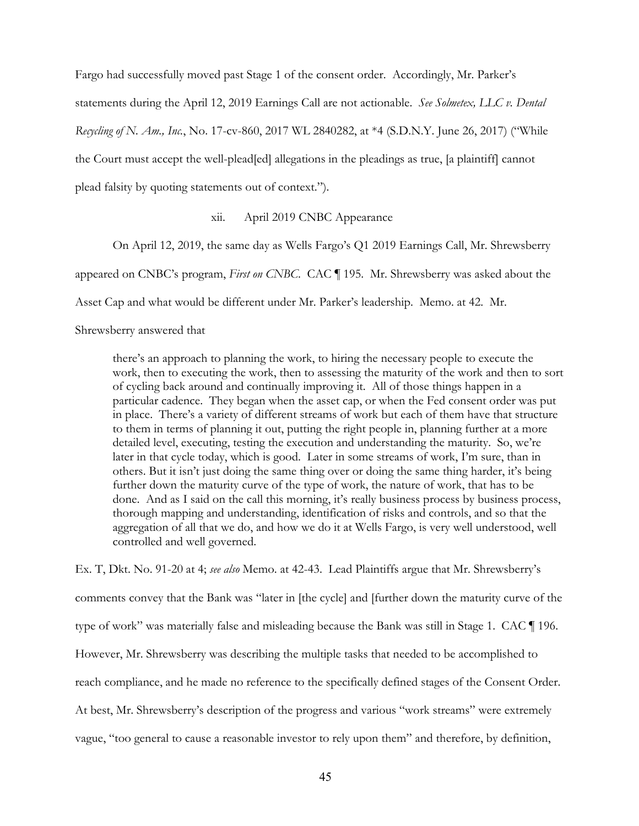Fargo had successfully moved past Stage 1 of the consent order. Accordingly, Mr. Parker's statements during the April 12, 2019 Earnings Call are not actionable. *See Solmetex, LLC v. Dental Recycling of N. Am., Inc.*, No. 17-cv-860, 2017 WL 2840282, at \*4 (S.D.N.Y. June 26, 2017) ("While the Court must accept the well-plead[ed] allegations in the pleadings as true, [a plaintiff] cannot plead falsity by quoting statements out of context.").

## xii. April 2019 CNBC Appearance

On April 12, 2019, the same day as Wells Fargo's Q1 2019 Earnings Call, Mr. Shrewsberry

appeared on CNBC's program, *First on CNBC*. CAC ¶ 195. Mr. Shrewsberry was asked about the

Asset Cap and what would be different under Mr. Parker's leadership. Memo. at 42. Mr.

Shrewsberry answered that

there's an approach to planning the work, to hiring the necessary people to execute the work, then to executing the work, then to assessing the maturity of the work and then to sort of cycling back around and continually improving it. All of those things happen in a particular cadence. They began when the asset cap, or when the Fed consent order was put in place. There's a variety of different streams of work but each of them have that structure to them in terms of planning it out, putting the right people in, planning further at a more detailed level, executing, testing the execution and understanding the maturity. So, we're later in that cycle today, which is good. Later in some streams of work, I'm sure, than in others. But it isn't just doing the same thing over or doing the same thing harder, it's being further down the maturity curve of the type of work, the nature of work, that has to be done. And as I said on the call this morning, it's really business process by business process, thorough mapping and understanding, identification of risks and controls, and so that the aggregation of all that we do, and how we do it at Wells Fargo, is very well understood, well controlled and well governed.

Ex. T, Dkt. No. 91-20 at 4; *see also* Memo. at 42-43. Lead Plaintiffs argue that Mr. Shrewsberry's comments convey that the Bank was "later in [the cycle] and [further down the maturity curve of the type of work" was materially false and misleading because the Bank was still in Stage 1. CAC ¶ 196. However, Mr. Shrewsberry was describing the multiple tasks that needed to be accomplished to reach compliance, and he made no reference to the specifically defined stages of the Consent Order. At best, Mr. Shrewsberry's description of the progress and various "work streams" were extremely vague, "too general to cause a reasonable investor to rely upon them" and therefore, by definition,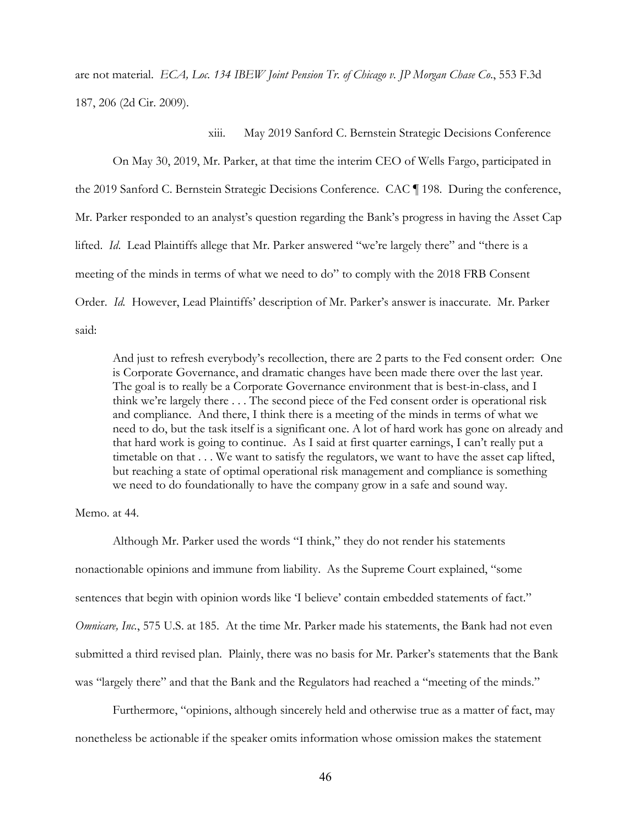are not material. *ECA, Loc. 134 IBEW Joint Pension Tr. of Chicago v. JP Morgan Chase Co*., 553 F.3d 187, 206 (2d Cir. 2009).

xiii. May 2019 Sanford C. Bernstein Strategic Decisions Conference

On May 30, 2019, Mr. Parker, at that time the interim CEO of Wells Fargo, participated in the 2019 Sanford C. Bernstein Strategic Decisions Conference. CAC ¶ 198. During the conference, Mr. Parker responded to an analyst's question regarding the Bank's progress in having the Asset Cap lifted. *Id*. Lead Plaintiffs allege that Mr. Parker answered "we're largely there" and "there is a meeting of the minds in terms of what we need to do" to comply with the 2018 FRB Consent Order. *Id.* However, Lead Plaintiffs' description of Mr. Parker's answer is inaccurate. Mr. Parker said:

And just to refresh everybody's recollection, there are 2 parts to the Fed consent order: One is Corporate Governance, and dramatic changes have been made there over the last year. The goal is to really be a Corporate Governance environment that is best-in-class, and I think we're largely there . . . The second piece of the Fed consent order is operational risk and compliance. And there, I think there is a meeting of the minds in terms of what we need to do, but the task itself is a significant one. A lot of hard work has gone on already and that hard work is going to continue. As I said at first quarter earnings, I can't really put a timetable on that . . . We want to satisfy the regulators, we want to have the asset cap lifted, but reaching a state of optimal operational risk management and compliance is something we need to do foundationally to have the company grow in a safe and sound way.

Memo. at 44.

Although Mr. Parker used the words "I think," they do not render his statements nonactionable opinions and immune from liability. As the Supreme Court explained, "some sentences that begin with opinion words like 'I believe' contain embedded statements of fact." *Omnicare, Inc.*, 575 U.S. at 185. At the time Mr. Parker made his statements, the Bank had not even submitted a third revised plan. Plainly, there was no basis for Mr. Parker's statements that the Bank was "largely there" and that the Bank and the Regulators had reached a "meeting of the minds."

Furthermore, "opinions, although sincerely held and otherwise true as a matter of fact, may nonetheless be actionable if the speaker omits information whose omission makes the statement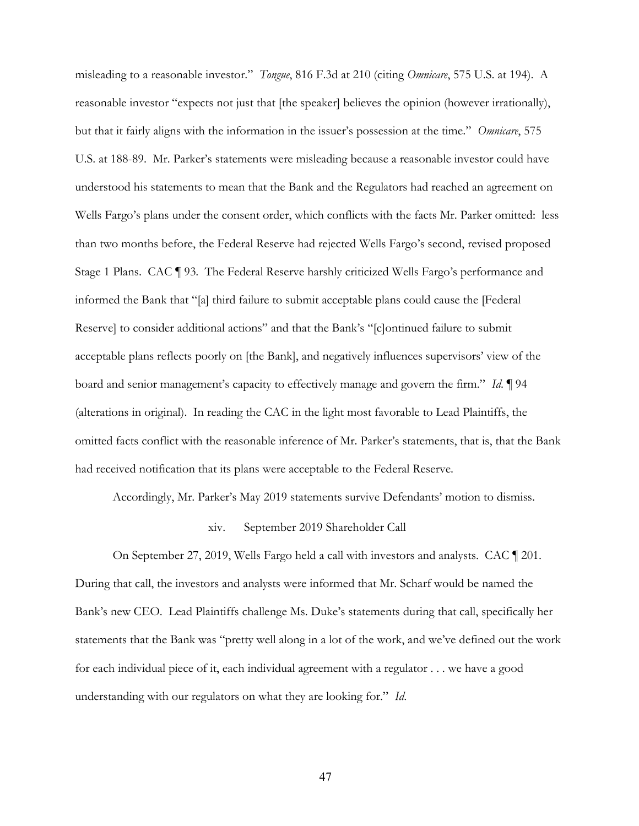misleading to a reasonable investor." *Tongue*, 816 F.3d at 210 (citing *Omnicare*, 575 U.S. at 194). A reasonable investor "expects not just that [the speaker] believes the opinion (however irrationally), but that it fairly aligns with the information in the issuer's possession at the time." *Omnicare*, 575 U.S. at 188-89. Mr. Parker's statements were misleading because a reasonable investor could have understood his statements to mean that the Bank and the Regulators had reached an agreement on Wells Fargo's plans under the consent order, which conflicts with the facts Mr. Parker omitted: less than two months before, the Federal Reserve had rejected Wells Fargo's second, revised proposed Stage 1 Plans. CAC ¶ 93. The Federal Reserve harshly criticized Wells Fargo's performance and informed the Bank that "[a] third failure to submit acceptable plans could cause the [Federal Reserve] to consider additional actions" and that the Bank's "[c]ontinued failure to submit acceptable plans reflects poorly on [the Bank], and negatively influences supervisors' view of the board and senior management's capacity to effectively manage and govern the firm." *Id*. ¶ 94 (alterations in original). In reading the CAC in the light most favorable to Lead Plaintiffs, the omitted facts conflict with the reasonable inference of Mr. Parker's statements, that is, that the Bank had received notification that its plans were acceptable to the Federal Reserve.

Accordingly, Mr. Parker's May 2019 statements survive Defendants' motion to dismiss.

## xiv. September 2019 Shareholder Call

On September 27, 2019, Wells Fargo held a call with investors and analysts. CAC ¶ 201. During that call, the investors and analysts were informed that Mr. Scharf would be named the Bank's new CEO. Lead Plaintiffs challenge Ms. Duke's statements during that call, specifically her statements that the Bank was "pretty well along in a lot of the work, and we've defined out the work for each individual piece of it, each individual agreement with a regulator . . . we have a good understanding with our regulators on what they are looking for." *Id*.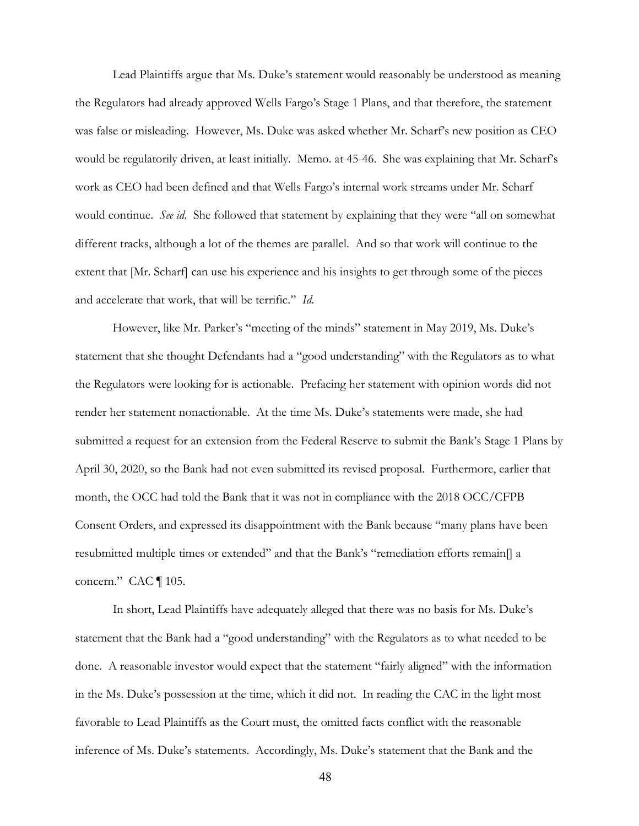Lead Plaintiffs argue that Ms. Duke's statement would reasonably be understood as meaning the Regulators had already approved Wells Fargo's Stage 1 Plans, and that therefore, the statement was false or misleading. However, Ms. Duke was asked whether Mr. Scharf's new position as CEO would be regulatorily driven, at least initially. Memo. at 45-46. She was explaining that Mr. Scharf's work as CEO had been defined and that Wells Fargo's internal work streams under Mr. Scharf would continue. *See id*. She followed that statement by explaining that they were "all on somewhat different tracks, although a lot of the themes are parallel. And so that work will continue to the extent that [Mr. Scharf] can use his experience and his insights to get through some of the pieces and accelerate that work, that will be terrific." *Id*.

However, like Mr. Parker's "meeting of the minds" statement in May 2019, Ms. Duke's statement that she thought Defendants had a "good understanding" with the Regulators as to what the Regulators were looking for is actionable. Prefacing her statement with opinion words did not render her statement nonactionable. At the time Ms. Duke's statements were made, she had submitted a request for an extension from the Federal Reserve to submit the Bank's Stage 1 Plans by April 30, 2020, so the Bank had not even submitted its revised proposal. Furthermore, earlier that month, the OCC had told the Bank that it was not in compliance with the 2018 OCC/CFPB Consent Orders, and expressed its disappointment with the Bank because "many plans have been resubmitted multiple times or extended" and that the Bank's "remediation efforts remain[] a concern." CAC ¶ 105.

In short, Lead Plaintiffs have adequately alleged that there was no basis for Ms. Duke's statement that the Bank had a "good understanding" with the Regulators as to what needed to be done. A reasonable investor would expect that the statement "fairly aligned" with the information in the Ms. Duke's possession at the time, which it did not. In reading the CAC in the light most favorable to Lead Plaintiffs as the Court must, the omitted facts conflict with the reasonable inference of Ms. Duke's statements. Accordingly, Ms. Duke's statement that the Bank and the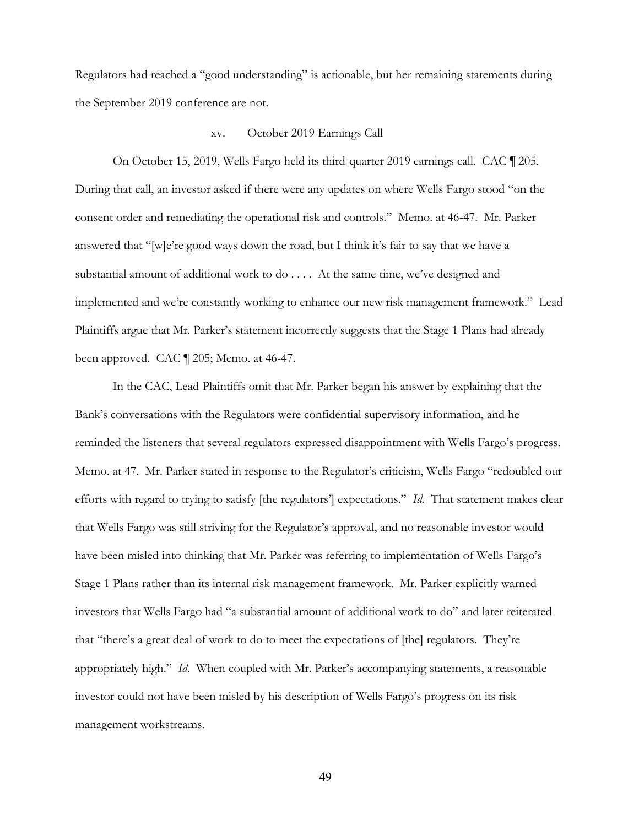Regulators had reached a "good understanding" is actionable, but her remaining statements during the September 2019 conference are not.

#### xv. October 2019 Earnings Call

On October 15, 2019, Wells Fargo held its third-quarter 2019 earnings call. CAC ¶ 205. During that call, an investor asked if there were any updates on where Wells Fargo stood "on the consent order and remediating the operational risk and controls." Memo. at 46-47. Mr. Parker answered that "[w]e're good ways down the road, but I think it's fair to say that we have a substantial amount of additional work to do . . . . At the same time, we've designed and implemented and we're constantly working to enhance our new risk management framework." Lead Plaintiffs argue that Mr. Parker's statement incorrectly suggests that the Stage 1 Plans had already been approved. CAC ¶ 205; Memo. at 46-47.

In the CAC, Lead Plaintiffs omit that Mr. Parker began his answer by explaining that the Bank's conversations with the Regulators were confidential supervisory information, and he reminded the listeners that several regulators expressed disappointment with Wells Fargo's progress. Memo. at 47. Mr. Parker stated in response to the Regulator's criticism, Wells Fargo "redoubled our efforts with regard to trying to satisfy [the regulators'] expectations." *Id.* That statement makes clear that Wells Fargo was still striving for the Regulator's approval, and no reasonable investor would have been misled into thinking that Mr. Parker was referring to implementation of Wells Fargo's Stage 1 Plans rather than its internal risk management framework. Mr. Parker explicitly warned investors that Wells Fargo had "a substantial amount of additional work to do" and later reiterated that "there's a great deal of work to do to meet the expectations of [the] regulators. They're appropriately high." *Id*. When coupled with Mr. Parker's accompanying statements, a reasonable investor could not have been misled by his description of Wells Fargo's progress on its risk management workstreams.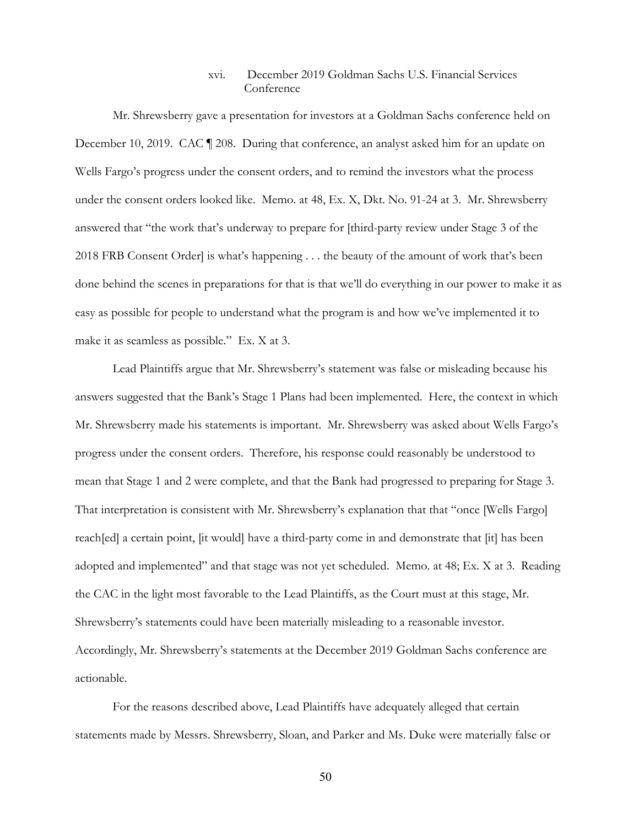# xvi. December 2019 Goldman Sachs U.S. Financial Services Conference

Mr. Shrewsberry gave a presentation for investors at a Goldman Sachs conference held on December 10, 2019. CAC [208. During that conference, an analyst asked him for an update on Wells Fargo's progress under the consent orders, and to remind the investors what the process under the consent orders looked like. Memo. at 48, Ex. X, Dkt. No. 91-24 at 3. Mr. Shrewsberry answered that "the work that's underway to prepare for [third-party review under Stage 3 of the 2018 FRB Consent Order] is what's happening . . . the beauty of the amount of work that's been done behind the scenes in preparations for that is that we'll do everything in our power to make it as easy as possible for people to understand what the program is and how we've implemented it to make it as seamless as possible." Ex. X at 3.

 Lead Plaintiffs argue that Mr. Shrewsberry's statement was false or misleading because his answers suggested that the Bank's Stage 1 Plans had been implemented. Here, the context in which Mr. Shrewsberry made his statements is important. Mr. Shrewsberry was asked about Wells Fargo's progress under the consent orders. Therefore, his response could reasonably be understood to mean that Stage 1 and 2 were complete, and that the Bank had progressed to preparing for Stage 3. That interpretation is consistent with Mr. Shrewsberry's explanation that that "once [Wells Fargo] reach[ed] a certain point, [it would] have a third-party come in and demonstrate that [it] has been adopted and implemented" and that stage was not yet scheduled. Memo. at 48; Ex. X at 3. Reading the CAC in the light most favorable to the Lead Plaintiffs, as the Court must at this stage, Mr. Shrewsberry's statements could have been materially misleading to a reasonable investor. Accordingly, Mr. Shrewsberry's statements at the December 2019 Goldman Sachs conference are actionable.

For the reasons described above, Lead Plaintiffs have adequately alleged that certain statements made by Messrs. Shrewsberry, Sloan, and Parker and Ms. Duke were materially false or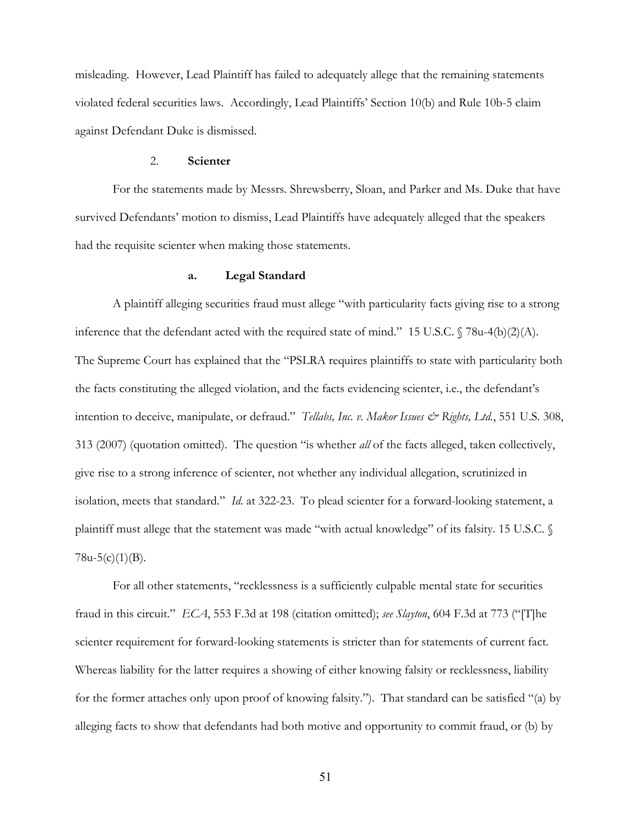misleading. However, Lead Plaintiff has failed to adequately allege that the remaining statements violated federal securities laws. Accordingly, Lead Plaintiffs' Section 10(b) and Rule 10b-5 claim against Defendant Duke is dismissed.

## 2. **Scienter**

For the statements made by Messrs. Shrewsberry, Sloan, and Parker and Ms. Duke that have survived Defendants' motion to dismiss, Lead Plaintiffs have adequately alleged that the speakers had the requisite scienter when making those statements.

## **a. Legal Standard**

A plaintiff alleging securities fraud must allege "with particularity facts giving rise to a strong inference that the defendant acted with the required state of mind." 15 U.S.C.  $\sqrt{78u-4(b)(2)(A)}$ . The Supreme Court has explained that the "PSLRA requires plaintiffs to state with particularity both the facts constituting the alleged violation, and the facts evidencing scienter, i.e., the defendant's intention to deceive, manipulate, or defraud." *Tellabs, Inc. v. Makor Issues & Rights, Ltd.*, 551 U.S. 308, 313 (2007) (quotation omitted). The question "is whether *all* of the facts alleged, taken collectively, give rise to a strong inference of scienter, not whether any individual allegation, scrutinized in isolation, meets that standard." *Id.* at 322-23. To plead scienter for a forward-looking statement, a plaintiff must allege that the statement was made "with actual knowledge" of its falsity. 15 U.S.C. §  $78u-5(c)(1)(B)$ .

For all other statements, "recklessness is a sufficiently culpable mental state for securities fraud in this circuit." *ECA*, 553 F.3d at 198 (citation omitted); *see Slayton*, 604 F.3d at 773 ("[T]he scienter requirement for forward-looking statements is stricter than for statements of current fact. Whereas liability for the latter requires a showing of either knowing falsity or recklessness, liability for the former attaches only upon proof of knowing falsity."). That standard can be satisfied "(a) by alleging facts to show that defendants had both motive and opportunity to commit fraud, or (b) by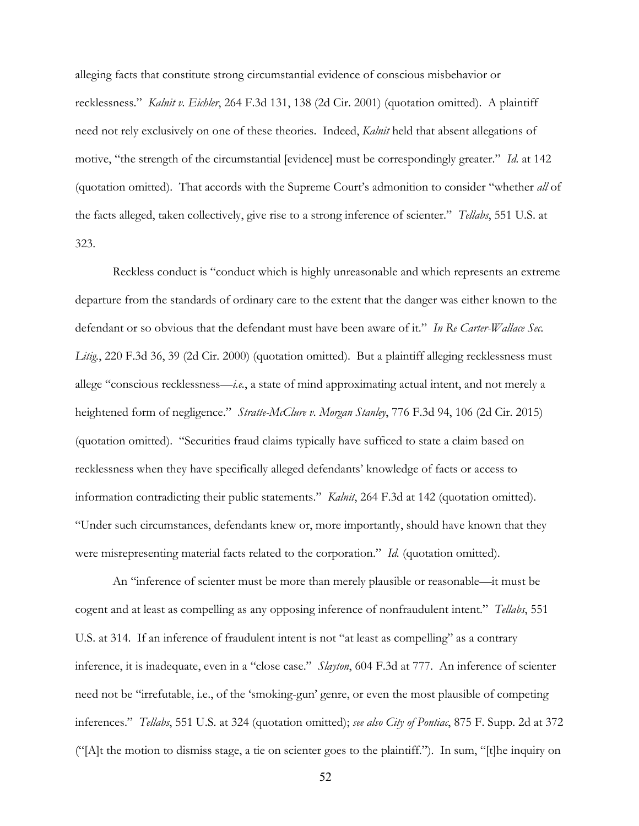alleging facts that constitute strong circumstantial evidence of conscious misbehavior or recklessness." *Kalnit v. Eichler*, 264 F.3d 131, 138 (2d Cir. 2001) (quotation omitted). A plaintiff need not rely exclusively on one of these theories. Indeed, *Kalnit* held that absent allegations of motive, "the strength of the circumstantial [evidence] must be correspondingly greater." *Id.* at 142 (quotation omitted). That accords with the Supreme Court's admonition to consider "whether *all* of the facts alleged, taken collectively, give rise to a strong inference of scienter." *Tellabs*, 551 U.S. at 323.

Reckless conduct is "conduct which is highly unreasonable and which represents an extreme departure from the standards of ordinary care to the extent that the danger was either known to the defendant or so obvious that the defendant must have been aware of it." *In Re Carter-Wallace Sec. Litig.*, 220 F.3d 36, 39 (2d Cir. 2000) (quotation omitted). But a plaintiff alleging recklessness must allege "conscious recklessness—*i.e.*, a state of mind approximating actual intent, and not merely a heightened form of negligence." *Stratte-McClure v. Morgan Stanley*, 776 F.3d 94, 106 (2d Cir. 2015) (quotation omitted). "Securities fraud claims typically have sufficed to state a claim based on recklessness when they have specifically alleged defendants' knowledge of facts or access to information contradicting their public statements." *Kalnit*, 264 F.3d at 142 (quotation omitted). "Under such circumstances, defendants knew or, more importantly, should have known that they were misrepresenting material facts related to the corporation." *Id.* (quotation omitted).

An "inference of scienter must be more than merely plausible or reasonable—it must be cogent and at least as compelling as any opposing inference of nonfraudulent intent." *Tellabs*, 551 U.S. at 314. If an inference of fraudulent intent is not "at least as compelling" as a contrary inference, it is inadequate, even in a "close case." *Slayton*, 604 F.3d at 777. An inference of scienter need not be "irrefutable, i.e., of the 'smoking-gun' genre, or even the most plausible of competing inferences." *Tellabs*, 551 U.S. at 324 (quotation omitted); *see also City of Pontiac*, 875 F. Supp. 2d at 372 ("[A]t the motion to dismiss stage, a tie on scienter goes to the plaintiff."). In sum, "[t]he inquiry on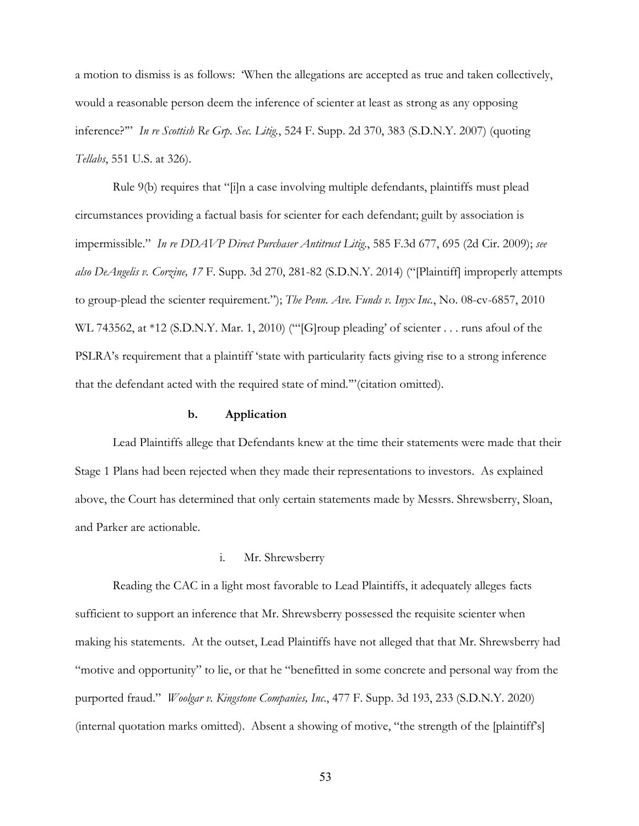a motion to dismiss is as follows: 'When the allegations are accepted as true and taken collectively, would a reasonable person deem the inference of scienter at least as strong as any opposing inference?'" *In re Scottish Re Grp. Sec. Litig.*, 524 F. Supp. 2d 370, 383 (S.D.N.Y. 2007) (quoting *Tellabs*, 551 U.S. at 326).

Rule 9(b) requires that "[i]n a case involving multiple defendants, plaintiffs must plead circumstances providing a factual basis for scienter for each defendant; guilt by association is impermissible." *In re DDAVP Direct Purchaser Antitrust Litig*., 585 F.3d 677, 695 (2d Cir. 2009); *see also DeAngelis v. Corzine, 17* F. Supp. 3d 270, 281-82 (S.D.N.Y. 2014) ("[Plaintiff] improperly attempts to group-plead the scienter requirement."); *The Penn. Ave. Funds v. Inyx Inc.*, No. 08-cv-6857, 2010 WL 743562, at \*12 (S.D.N.Y. Mar. 1, 2010) ("[G]roup pleading' of scienter . . . runs afoul of the PSLRA's requirement that a plaintiff 'state with particularity facts giving rise to a strong inference that the defendant acted with the required state of mind.'"(citation omitted).

#### **b. Application**

Lead Plaintiffs allege that Defendants knew at the time their statements were made that their Stage 1 Plans had been rejected when they made their representations to investors. As explained above, the Court has determined that only certain statements made by Messrs. Shrewsberry, Sloan, and Parker are actionable.

### i. Mr. Shrewsberry

Reading the CAC in a light most favorable to Lead Plaintiffs, it adequately alleges facts sufficient to support an inference that Mr. Shrewsberry possessed the requisite scienter when making his statements. At the outset, Lead Plaintiffs have not alleged that that Mr. Shrewsberry had "motive and opportunity" to lie, or that he "benefitted in some concrete and personal way from the purported fraud." *Woolgar v. Kingstone Companies, Inc*., 477 F. Supp. 3d 193, 233 (S.D.N.Y. 2020) (internal quotation marks omitted). Absent a showing of motive, "the strength of the [plaintiff's]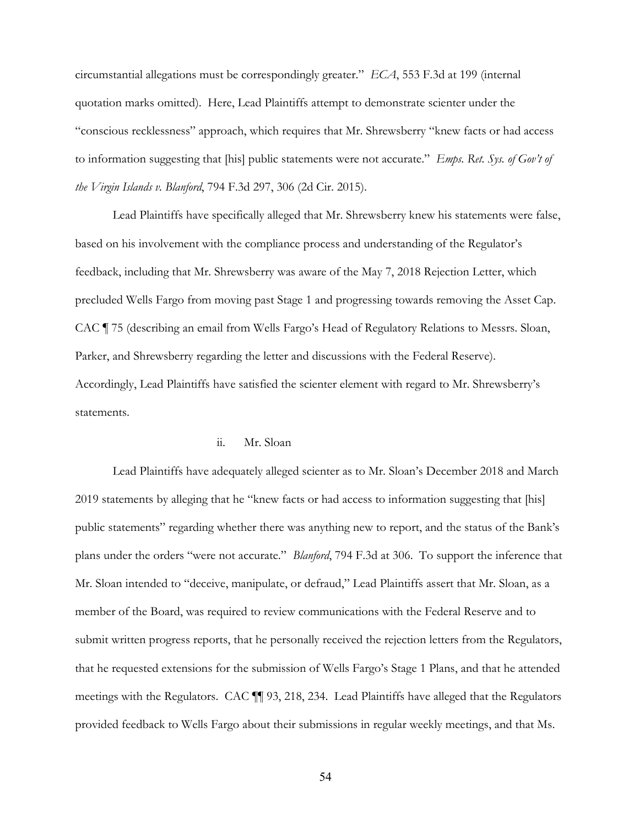circumstantial allegations must be correspondingly greater." *ECA*, 553 F.3d at 199 (internal quotation marks omitted). Here, Lead Plaintiffs attempt to demonstrate scienter under the "conscious recklessness" approach, which requires that Mr. Shrewsberry "knew facts or had access to information suggesting that [his] public statements were not accurate." *Emps. Ret. Sys. of Gov't of the Virgin Islands v. Blanford*, 794 F.3d 297, 306 (2d Cir. 2015).

Lead Plaintiffs have specifically alleged that Mr. Shrewsberry knew his statements were false, based on his involvement with the compliance process and understanding of the Regulator's feedback, including that Mr. Shrewsberry was aware of the May 7, 2018 Rejection Letter, which precluded Wells Fargo from moving past Stage 1 and progressing towards removing the Asset Cap. CAC ¶ 75 (describing an email from Wells Fargo's Head of Regulatory Relations to Messrs. Sloan, Parker, and Shrewsberry regarding the letter and discussions with the Federal Reserve). Accordingly, Lead Plaintiffs have satisfied the scienter element with regard to Mr. Shrewsberry's statements.

## ii. Mr. Sloan

Lead Plaintiffs have adequately alleged scienter as to Mr. Sloan's December 2018 and March 2019 statements by alleging that he "knew facts or had access to information suggesting that [his] public statements" regarding whether there was anything new to report, and the status of the Bank's plans under the orders "were not accurate." *Blanford*, 794 F.3d at 306. To support the inference that Mr. Sloan intended to "deceive, manipulate, or defraud," Lead Plaintiffs assert that Mr. Sloan, as a member of the Board, was required to review communications with the Federal Reserve and to submit written progress reports, that he personally received the rejection letters from the Regulators, that he requested extensions for the submission of Wells Fargo's Stage 1 Plans, and that he attended meetings with the Regulators. CAC ¶¶ 93, 218, 234. Lead Plaintiffs have alleged that the Regulators provided feedback to Wells Fargo about their submissions in regular weekly meetings, and that Ms.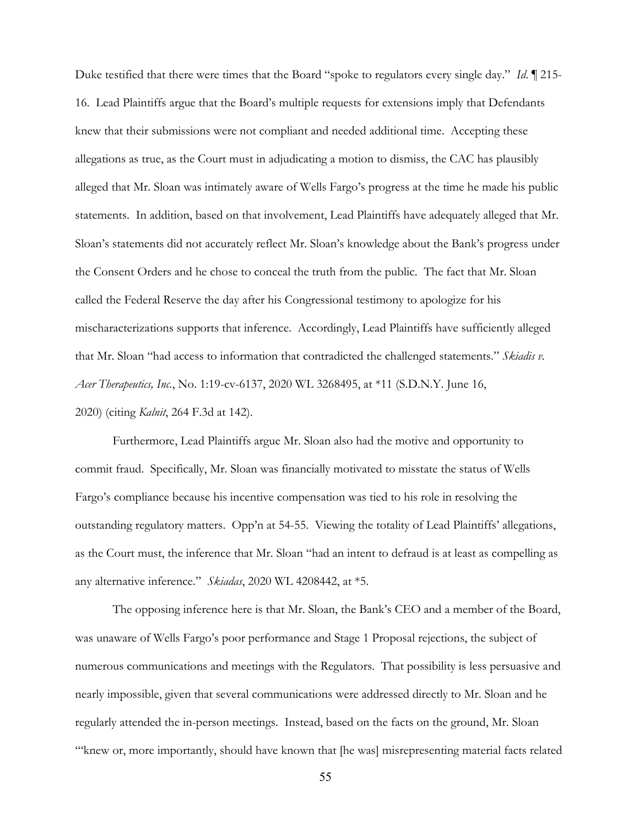Duke testified that there were times that the Board "spoke to regulators every single day." *Id*. ¶ 215- 16. Lead Plaintiffs argue that the Board's multiple requests for extensions imply that Defendants knew that their submissions were not compliant and needed additional time. Accepting these allegations as true, as the Court must in adjudicating a motion to dismiss, the CAC has plausibly alleged that Mr. Sloan was intimately aware of Wells Fargo's progress at the time he made his public statements. In addition, based on that involvement, Lead Plaintiffs have adequately alleged that Mr. Sloan's statements did not accurately reflect Mr. Sloan's knowledge about the Bank's progress under the Consent Orders and he chose to conceal the truth from the public. The fact that Mr. Sloan called the Federal Reserve the day after his Congressional testimony to apologize for his mischaracterizations supports that inference. Accordingly, Lead Plaintiffs have sufficiently alleged that Mr. Sloan "had access to information that contradicted the challenged statements." *Skiadis v. Acer Therapeutics, Inc.*, No. 1:19-cv-6137, 2020 WL 3268495, at \*11 (S.D.N.Y. June 16, 2020) (citing *Kalnit*, 264 F.3d at 142).

Furthermore, Lead Plaintiffs argue Mr. Sloan also had the motive and opportunity to commit fraud. Specifically, Mr. Sloan was financially motivated to misstate the status of Wells Fargo's compliance because his incentive compensation was tied to his role in resolving the outstanding regulatory matters. Opp'n at 54-55. Viewing the totality of Lead Plaintiffs' allegations, as the Court must, the inference that Mr. Sloan "had an intent to defraud is at least as compelling as any alternative inference." *Skiadas*, 2020 WL 4208442, at \*5.

The opposing inference here is that Mr. Sloan, the Bank's CEO and a member of the Board, was unaware of Wells Fargo's poor performance and Stage 1 Proposal rejections, the subject of numerous communications and meetings with the Regulators. That possibility is less persuasive and nearly impossible, given that several communications were addressed directly to Mr. Sloan and he regularly attended the in-person meetings. Instead, based on the facts on the ground, Mr. Sloan "'knew or, more importantly, should have known that [he was] misrepresenting material facts related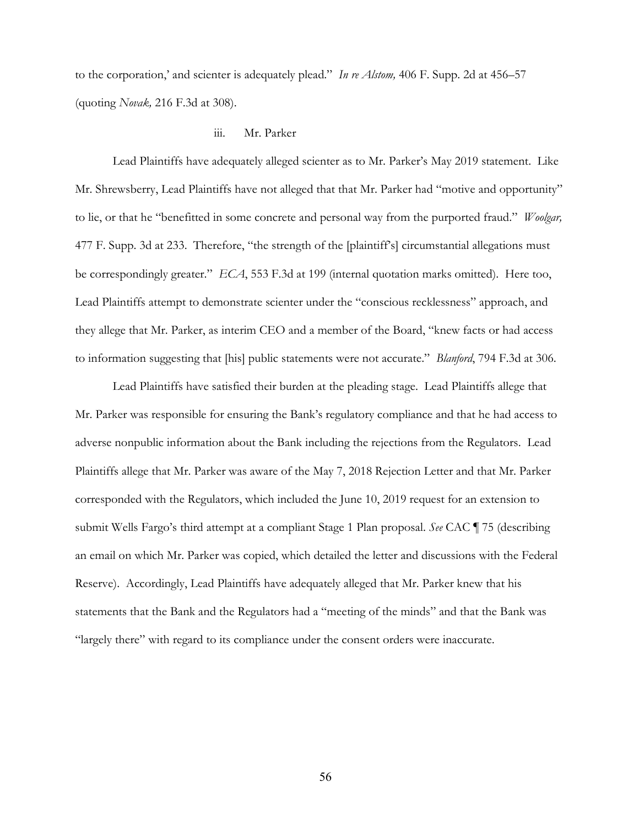to the corporation,' and scienter is adequately plead." *In re Alstom,* 406 F. Supp. 2d at 456–57 (quoting *Novak,* 216 F.3d at 308).

#### iii. Mr. Parker

Lead Plaintiffs have adequately alleged scienter as to Mr. Parker's May 2019 statement. Like Mr. Shrewsberry, Lead Plaintiffs have not alleged that that Mr. Parker had "motive and opportunity" to lie, or that he "benefitted in some concrete and personal way from the purported fraud." *Woolgar,*  477 F. Supp. 3d at 233. Therefore, "the strength of the [plaintiff's] circumstantial allegations must be correspondingly greater." *ECA*, 553 F.3d at 199 (internal quotation marks omitted). Here too, Lead Plaintiffs attempt to demonstrate scienter under the "conscious recklessness" approach, and they allege that Mr. Parker, as interim CEO and a member of the Board, "knew facts or had access to information suggesting that [his] public statements were not accurate." *Blanford*, 794 F.3d at 306.

Lead Plaintiffs have satisfied their burden at the pleading stage. Lead Plaintiffs allege that Mr. Parker was responsible for ensuring the Bank's regulatory compliance and that he had access to adverse nonpublic information about the Bank including the rejections from the Regulators. Lead Plaintiffs allege that Mr. Parker was aware of the May 7, 2018 Rejection Letter and that Mr. Parker corresponded with the Regulators, which included the June 10, 2019 request for an extension to submit Wells Fargo's third attempt at a compliant Stage 1 Plan proposal. *See* CAC ¶ 75 (describing an email on which Mr. Parker was copied, which detailed the letter and discussions with the Federal Reserve). Accordingly, Lead Plaintiffs have adequately alleged that Mr. Parker knew that his statements that the Bank and the Regulators had a "meeting of the minds" and that the Bank was "largely there" with regard to its compliance under the consent orders were inaccurate.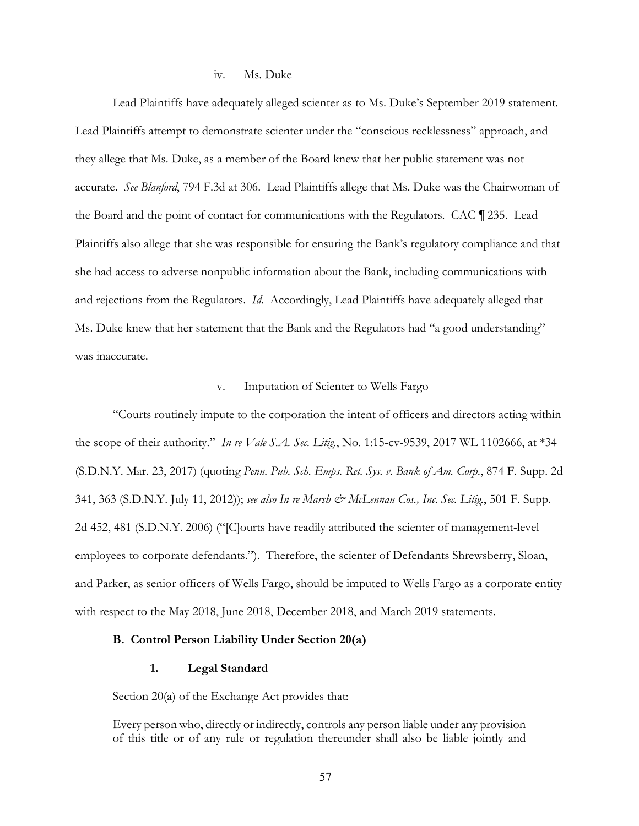## iv. Ms. Duke

Lead Plaintiffs have adequately alleged scienter as to Ms. Duke's September 2019 statement. Lead Plaintiffs attempt to demonstrate scienter under the "conscious recklessness" approach, and they allege that Ms. Duke, as a member of the Board knew that her public statement was not accurate. *See Blanford*, 794 F.3d at 306. Lead Plaintiffs allege that Ms. Duke was the Chairwoman of the Board and the point of contact for communications with the Regulators. CAC ¶ 235. Lead Plaintiffs also allege that she was responsible for ensuring the Bank's regulatory compliance and that she had access to adverse nonpublic information about the Bank, including communications with and rejections from the Regulators. *Id*. Accordingly, Lead Plaintiffs have adequately alleged that Ms. Duke knew that her statement that the Bank and the Regulators had "a good understanding" was inaccurate.

### v. Imputation of Scienter to Wells Fargo

"Courts routinely impute to the corporation the intent of officers and directors acting within the scope of their authority." *In re Vale S.A. Sec. Litig.*, No. 1:15-cv-9539, 2017 WL 1102666, at \*34 (S.D.N.Y. Mar. 23, 2017) (quoting *Penn. Pub. Sch. Emps. Ret. Sys. v. Bank of Am. Corp.*, 874 F. Supp. 2d 341, 363 (S.D.N.Y. July 11, 2012)); *see also In re Marsh & McLennan Cos., Inc. Sec. Litig.*, 501 F. Supp. 2d 452, 481 (S.D.N.Y. 2006) ("[C]ourts have readily attributed the scienter of management-level employees to corporate defendants."). Therefore, the scienter of Defendants Shrewsberry, Sloan, and Parker, as senior officers of Wells Fargo, should be imputed to Wells Fargo as a corporate entity with respect to the May 2018, June 2018, December 2018, and March 2019 statements.

#### **B. Control Person Liability Under Section 20(a)**

## **1. Legal Standard**

Section 20(a) of the Exchange Act provides that:

Every person who, directly or indirectly, controls any person liable under any provision of this title or of any rule or regulation thereunder shall also be liable jointly and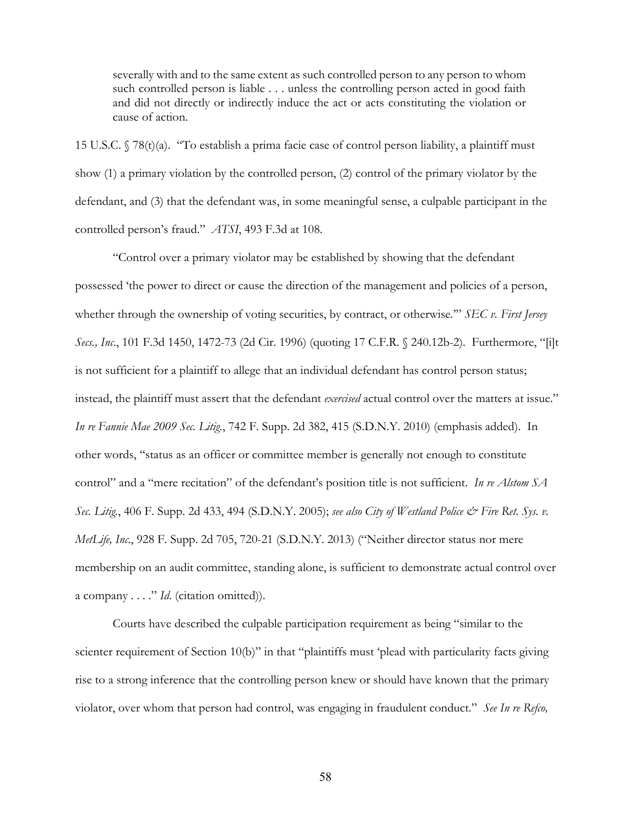severally with and to the same extent as such controlled person to any person to whom such controlled person is liable . . . unless the controlling person acted in good faith and did not directly or indirectly induce the act or acts constituting the violation or cause of action.

15 U.S.C. § 78(t)(a). "To establish a prima facie case of control person liability, a plaintiff must show (1) a primary violation by the controlled person, (2) control of the primary violator by the defendant, and (3) that the defendant was, in some meaningful sense, a culpable participant in the controlled person's fraud." *ATSI*, 493 F.3d at 108.

"Control over a primary violator may be established by showing that the defendant possessed 'the power to direct or cause the direction of the management and policies of a person, whether through the ownership of voting securities, by contract, or otherwise.'" *SEC v. First Jersey Secs., Inc*., 101 F.3d 1450, 1472-73 (2d Cir. 1996) (quoting 17 C.F.R. § 240.12b-2). Furthermore, "[i]t is not sufficient for a plaintiff to allege that an individual defendant has control person status; instead, the plaintiff must assert that the defendant *exercised* actual control over the matters at issue." *In re Fannie Mae 2009 Sec. Litig.*, 742 F. Supp. 2d 382, 415 (S.D.N.Y. 2010) (emphasis added). In other words, "status as an officer or committee member is generally not enough to constitute control" and a "mere recitation" of the defendant's position title is not sufficient. *In re Alstom SA Sec. Litig.*, 406 F. Supp. 2d 433, 494 (S.D.N.Y. 2005); *see also City of Westland Police & Fire Ret. Sys. v. MetLife, Inc.*, 928 F. Supp. 2d 705, 720-21 (S.D.N.Y. 2013) ("Neither director status nor mere membership on an audit committee, standing alone, is sufficient to demonstrate actual control over a company . . . ." *Id*. (citation omitted)).

Courts have described the culpable participation requirement as being "similar to the scienter requirement of Section 10(b)" in that "plaintiffs must 'plead with particularity facts giving rise to a strong inference that the controlling person knew or should have known that the primary violator, over whom that person had control, was engaging in fraudulent conduct." *See In re Refco,*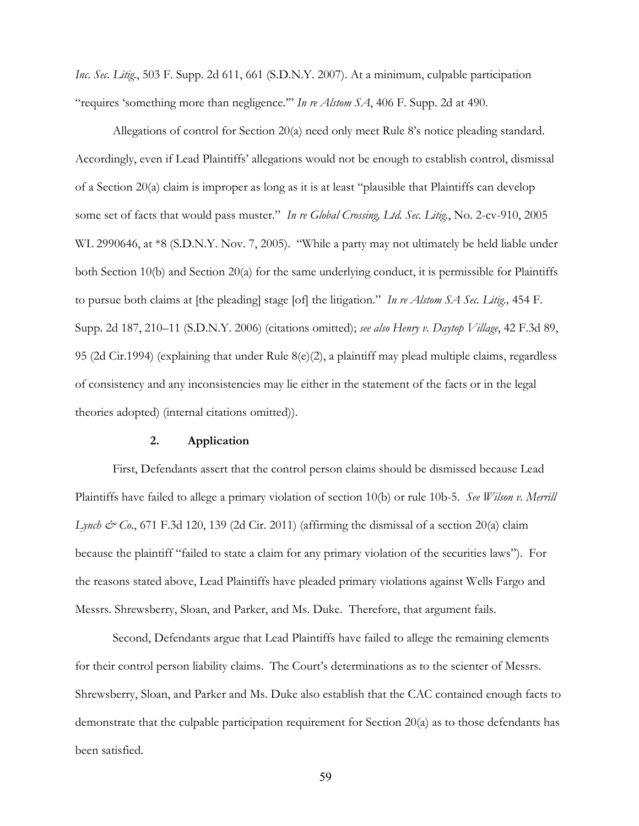*Inc. Sec. Litig*., 503 F. Supp. 2d 611, 661 (S.D.N.Y. 2007). At a minimum, culpable participation "requires 'something more than negligence.'" *In re Alstom SA*, 406 F. Supp. 2d at 490.

Allegations of control for Section 20(a) need only meet Rule 8's notice pleading standard. Accordingly, even if Lead Plaintiffs' allegations would not be enough to establish control, dismissal of a Section 20(a) claim is improper as long as it is at least "plausible that Plaintiffs can develop some set of facts that would pass muster." *In re Global Crossing, Ltd. Sec. Litig.*, No. 2-cv-910, 2005 WL 2990646, at \*8 (S.D.N.Y. Nov. 7, 2005). "While a party may not ultimately be held liable under both Section 10(b) and Section 20(a) for the same underlying conduct, it is permissible for Plaintiffs to pursue both claims at [the pleading] stage [of] the litigation." *In re Alstom SA Sec. Litig.,* 454 F. Supp. 2d 187, 210–11 (S.D.N.Y. 2006) (citations omitted); *see also Henry v. Daytop Village*, 42 F.3d 89, 95 (2d Cir.1994) (explaining that under Rule 8(e)(2), a plaintiff may plead multiple claims, regardless of consistency and any inconsistencies may lie either in the statement of the facts or in the legal theories adopted) (internal citations omitted)).

#### **2. Application**

First, Defendants assert that the control person claims should be dismissed because Lead Plaintiffs have failed to allege a primary violation of section 10(b) or rule 10b-5. *See Wilson v. Merrill Lynch & Co.*, 671 F.3d 120, 139 (2d Cir. 2011) (affirming the dismissal of a section 20(a) claim because the plaintiff "failed to state a claim for any primary violation of the securities laws"). For the reasons stated above, Lead Plaintiffs have pleaded primary violations against Wells Fargo and Messrs. Shrewsberry, Sloan, and Parker, and Ms. Duke. Therefore, that argument fails.

Second, Defendants argue that Lead Plaintiffs have failed to allege the remaining elements for their control person liability claims. The Court's determinations as to the scienter of Messrs. Shrewsberry, Sloan, and Parker and Ms. Duke also establish that the CAC contained enough facts to demonstrate that the culpable participation requirement for Section 20(a) as to those defendants has been satisfied.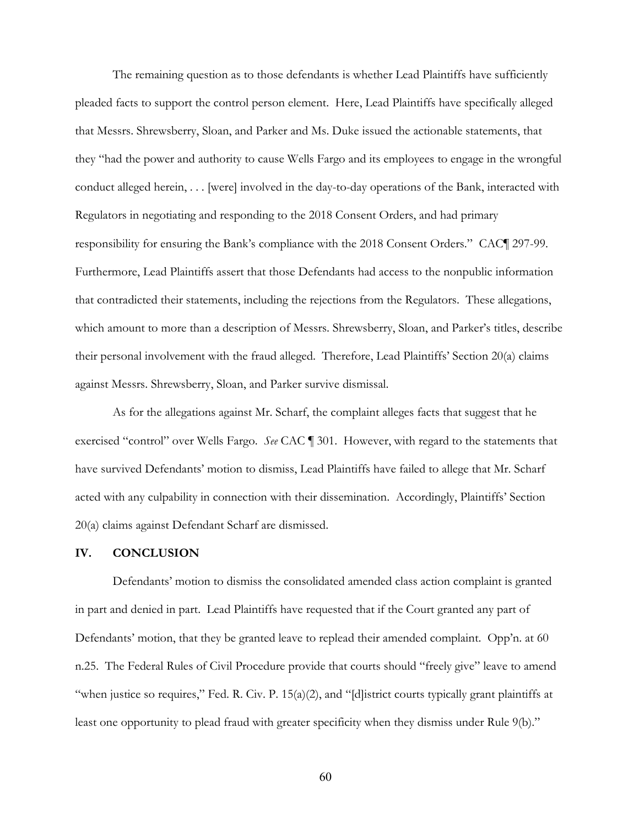The remaining question as to those defendants is whether Lead Plaintiffs have sufficiently pleaded facts to support the control person element. Here, Lead Plaintiffs have specifically alleged that Messrs. Shrewsberry, Sloan, and Parker and Ms. Duke issued the actionable statements, that they "had the power and authority to cause Wells Fargo and its employees to engage in the wrongful conduct alleged herein, . . . [were] involved in the day-to-day operations of the Bank, interacted with Regulators in negotiating and responding to the 2018 Consent Orders, and had primary responsibility for ensuring the Bank's compliance with the 2018 Consent Orders." CAC¶ 297-99. Furthermore, Lead Plaintiffs assert that those Defendants had access to the nonpublic information that contradicted their statements, including the rejections from the Regulators. These allegations, which amount to more than a description of Messrs. Shrewsberry, Sloan, and Parker's titles, describe their personal involvement with the fraud alleged. Therefore, Lead Plaintiffs' Section 20(a) claims against Messrs. Shrewsberry, Sloan, and Parker survive dismissal.

As for the allegations against Mr. Scharf, the complaint alleges facts that suggest that he exercised "control" over Wells Fargo. *See* CAC ¶ 301. However, with regard to the statements that have survived Defendants' motion to dismiss, Lead Plaintiffs have failed to allege that Mr. Scharf acted with any culpability in connection with their dissemination. Accordingly, Plaintiffs' Section 20(a) claims against Defendant Scharf are dismissed.

## **IV. CONCLUSION**

Defendants' motion to dismiss the consolidated amended class action complaint is granted in part and denied in part. Lead Plaintiffs have requested that if the Court granted any part of Defendants' motion, that they be granted leave to replead their amended complaint. Opp'n. at 60 n.25. The Federal Rules of Civil Procedure provide that courts should "freely give" leave to amend "when justice so requires," Fed. R. Civ. P. 15(a)(2), and "[d]istrict courts typically grant plaintiffs at least one opportunity to plead fraud with greater specificity when they dismiss under Rule 9(b)."